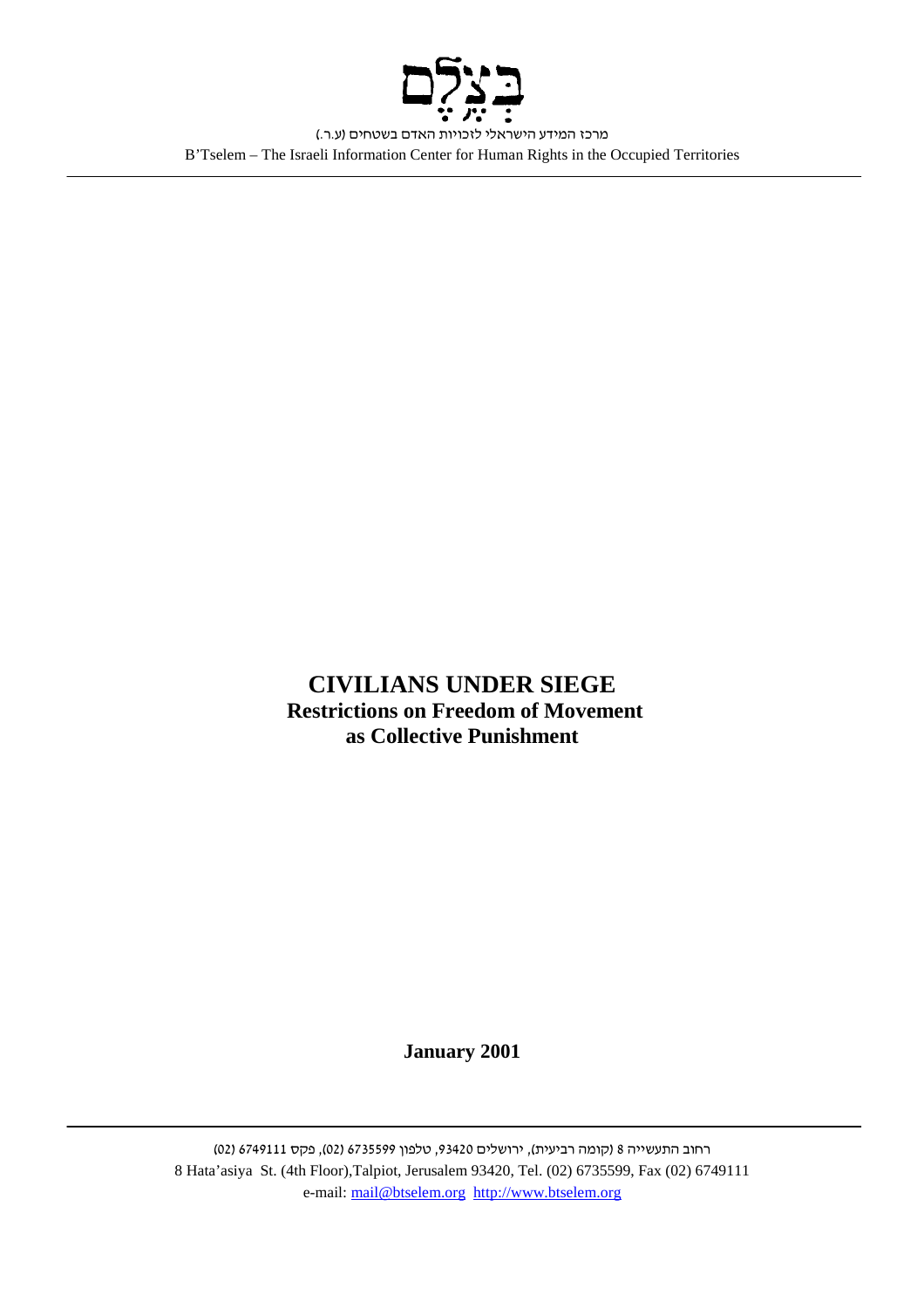

**CIVILIANS UNDER SIEGE Restrictions on Freedom of Movement as Collective Punishment**

**January 2001** 

רחוב התעשייה 8 (קומה רביעית), ירושלים 93420, טלפון 6735599 (02), פקס 6749111 (02) 8 Hata'asiya St. (4th Floor),Talpiot, Jerusalem 93420, Tel. (02) 6735599, Fax (02) 6749111 e-mail: mail@btselem.org http://www.btselem.org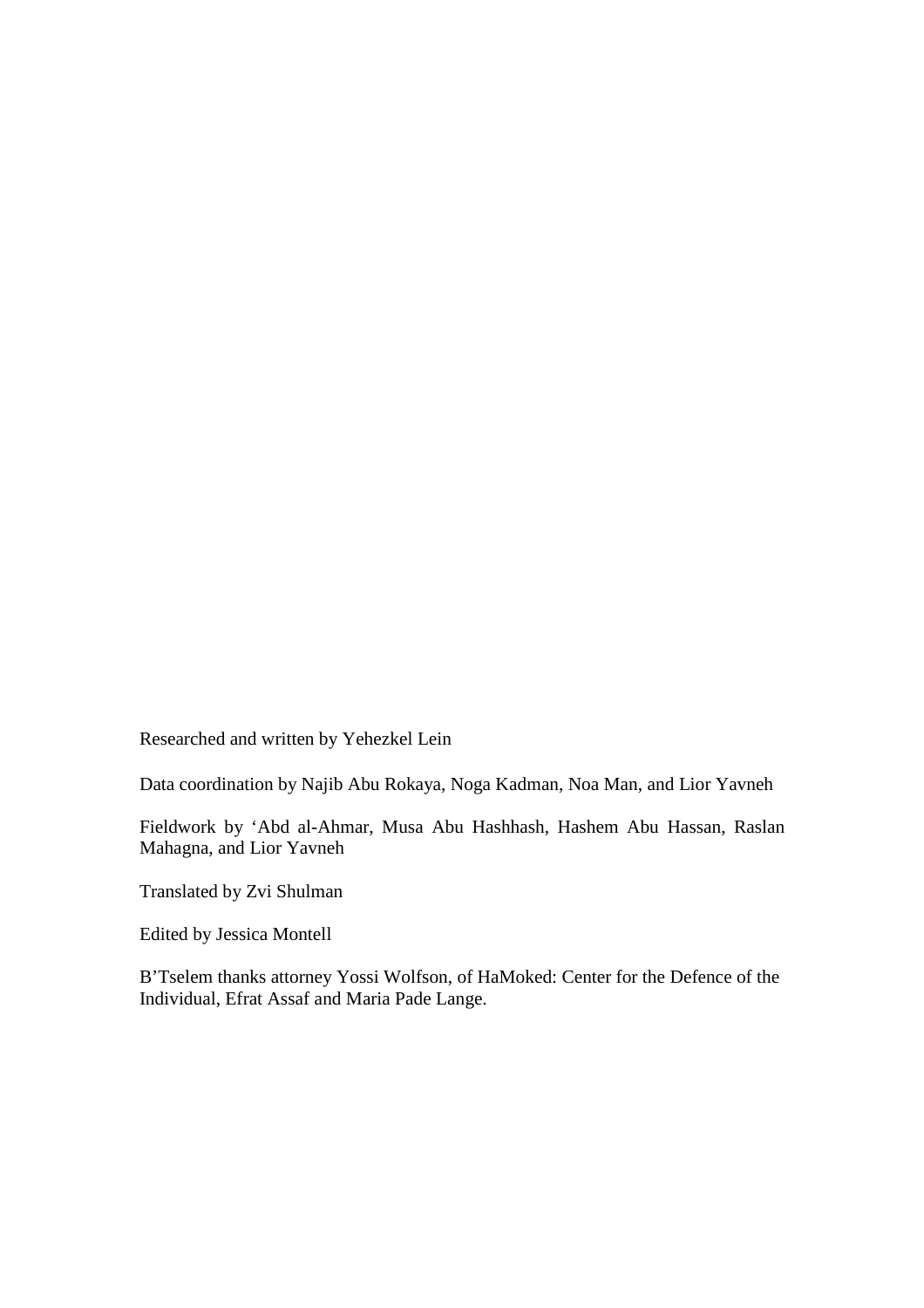Researched and written by Yehezkel Lein

Data coordination by Najib Abu Rokaya, Noga Kadman, Noa Man, and Lior Yavneh

Fieldwork by 'Abd al-Ahmar, Musa Abu Hashhash, Hashem Abu Hassan, Raslan Mahagna, and Lior Yavneh

Translated by Zvi Shulman

Edited by Jessica Montell

B'Tselem thanks attorney Yossi Wolfson, of HaMoked: Center for the Defence of the Individual, Efrat Assaf and Maria Pade Lange.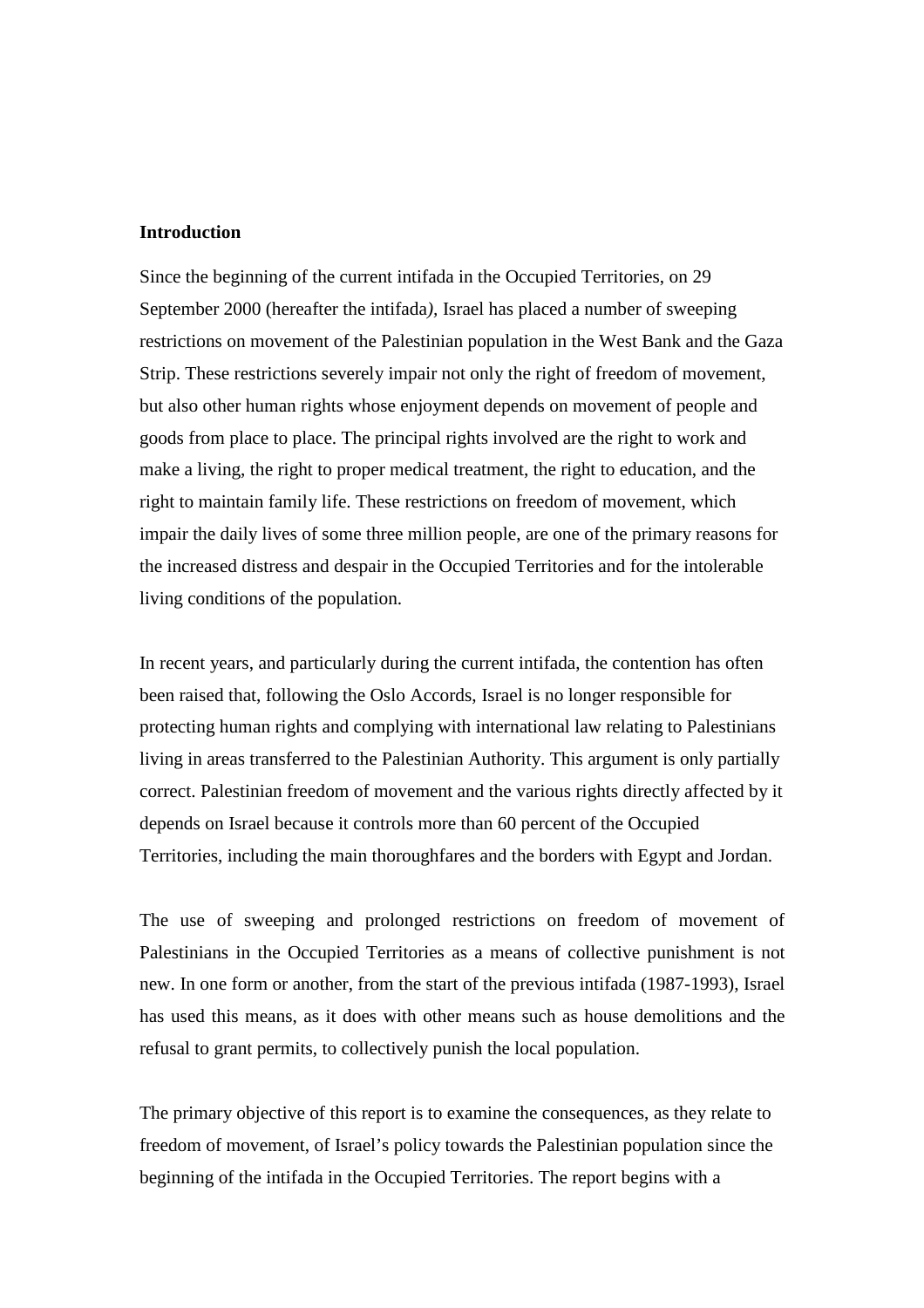# **Introduction**

Since the beginning of the current intifada in the Occupied Territories, on 29 September 2000 (hereafter the intifada*),* Israel has placed a number of sweeping restrictions on movement of the Palestinian population in the West Bank and the Gaza Strip. These restrictions severely impair not only the right of freedom of movement, but also other human rights whose enjoyment depends on movement of people and goods from place to place. The principal rights involved are the right to work and make a living, the right to proper medical treatment, the right to education, and the right to maintain family life. These restrictions on freedom of movement, which impair the daily lives of some three million people, are one of the primary reasons for the increased distress and despair in the Occupied Territories and for the intolerable living conditions of the population.

In recent years, and particularly during the current intifada, the contention has often been raised that, following the Oslo Accords, Israel is no longer responsible for protecting human rights and complying with international law relating to Palestinians living in areas transferred to the Palestinian Authority. This argument is only partially correct. Palestinian freedom of movement and the various rights directly affected by it depends on Israel because it controls more than 60 percent of the Occupied Territories, including the main thoroughfares and the borders with Egypt and Jordan.

The use of sweeping and prolonged restrictions on freedom of movement of Palestinians in the Occupied Territories as a means of collective punishment is not new. In one form or another, from the start of the previous intifada (1987-1993), Israel has used this means, as it does with other means such as house demolitions and the refusal to grant permits, to collectively punish the local population.

The primary objective of this report is to examine the consequences, as they relate to freedom of movement, of Israel's policy towards the Palestinian population since the beginning of the intifada in the Occupied Territories. The report begins with a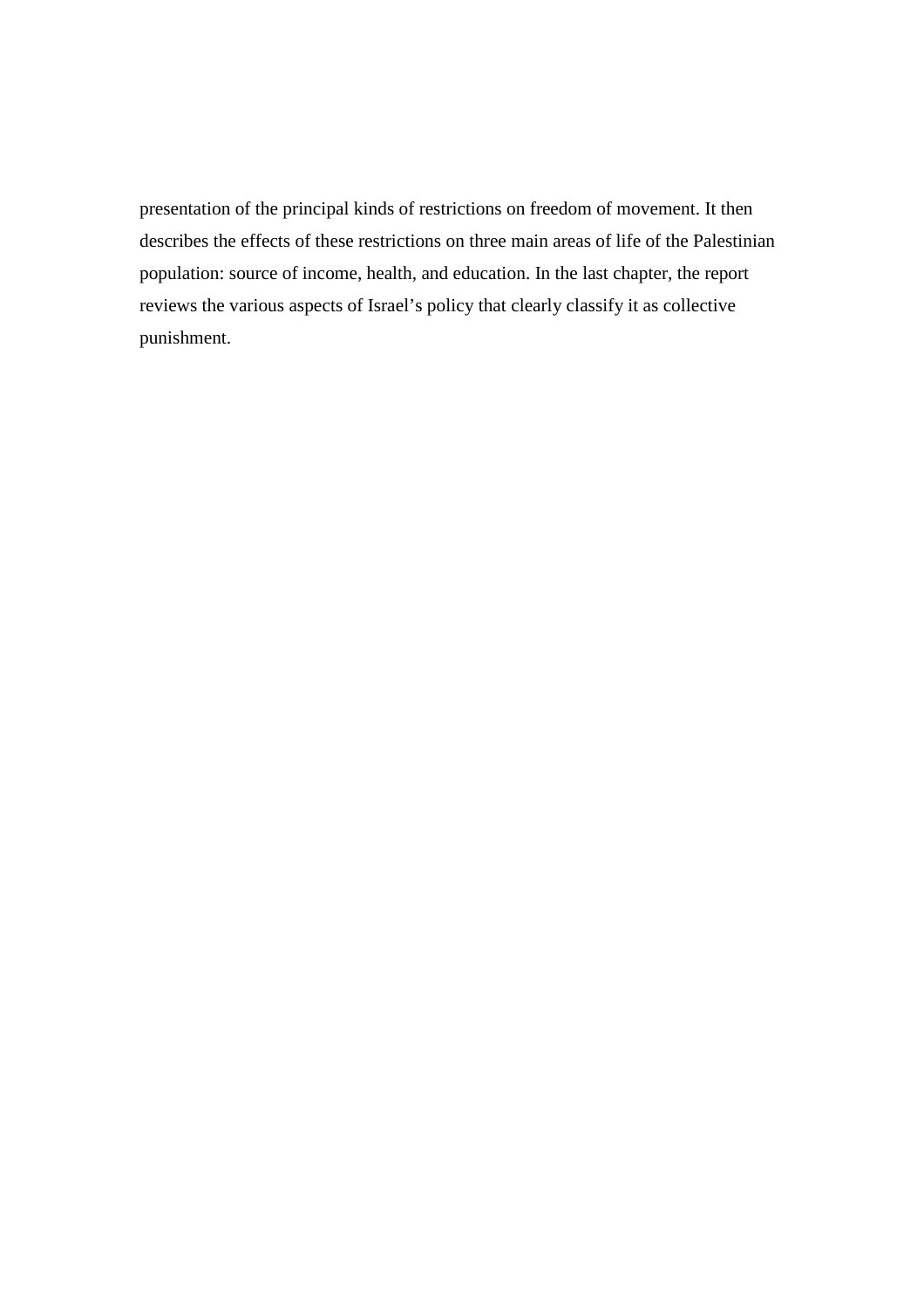presentation of the principal kinds of restrictions on freedom of movement. It then describes the effects of these restrictions on three main areas of life of the Palestinian population: source of income, health, and education. In the last chapter, the report reviews the various aspects of Israel's policy that clearly classify it as collective punishment.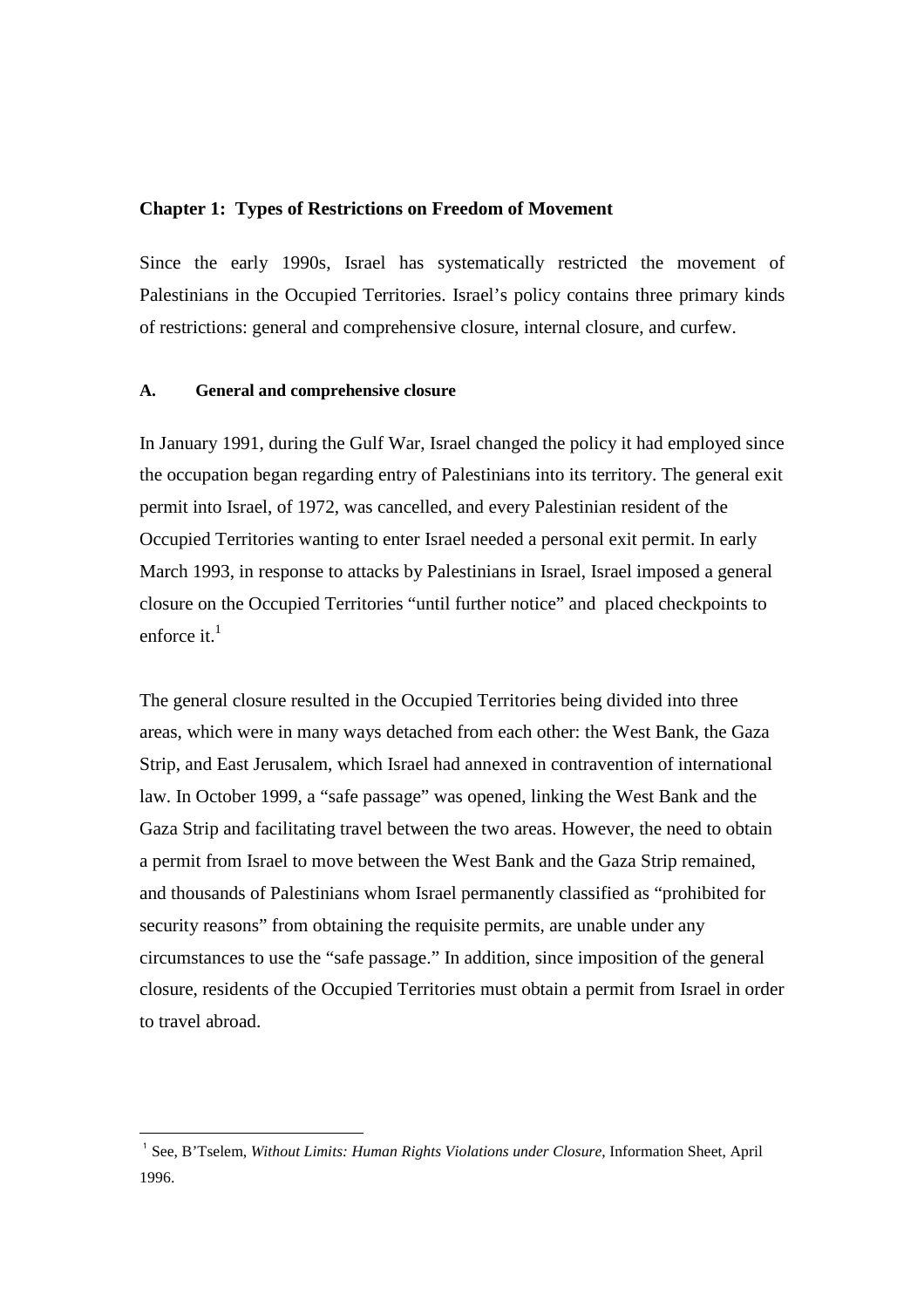## **Chapter 1: Types of Restrictions on Freedom of Movement**

Since the early 1990s, Israel has systematically restricted the movement of Palestinians in the Occupied Territories. Israel's policy contains three primary kinds of restrictions: general and comprehensive closure, internal closure, and curfew.

## **A. General and comprehensive closure**

 $\overline{a}$ 

In January 1991, during the Gulf War, Israel changed the policy it had employed since the occupation began regarding entry of Palestinians into its territory. The general exit permit into Israel, of 1972, was cancelled, and every Palestinian resident of the Occupied Territories wanting to enter Israel needed a personal exit permit. In early March 1993, in response to attacks by Palestinians in Israel, Israel imposed a general closure on the Occupied Territories "until further notice" and placed checkpoints to enforce it  $<sup>1</sup>$ </sup>

The general closure resulted in the Occupied Territories being divided into three areas, which were in many ways detached from each other: the West Bank, the Gaza Strip, and East Jerusalem, which Israel had annexed in contravention of international law. In October 1999, a "safe passage" was opened, linking the West Bank and the Gaza Strip and facilitating travel between the two areas. However, the need to obtain a permit from Israel to move between the West Bank and the Gaza Strip remained, and thousands of Palestinians whom Israel permanently classified as "prohibited for security reasons" from obtaining the requisite permits, are unable under any circumstances to use the "safe passage." In addition, since imposition of the general closure, residents of the Occupied Territories must obtain a permit from Israel in order to travel abroad.

<sup>&</sup>lt;sup>1</sup> See, B'Tselem, *Without Limits: Human Rights Violations under Closure*, Information Sheet, April 1996.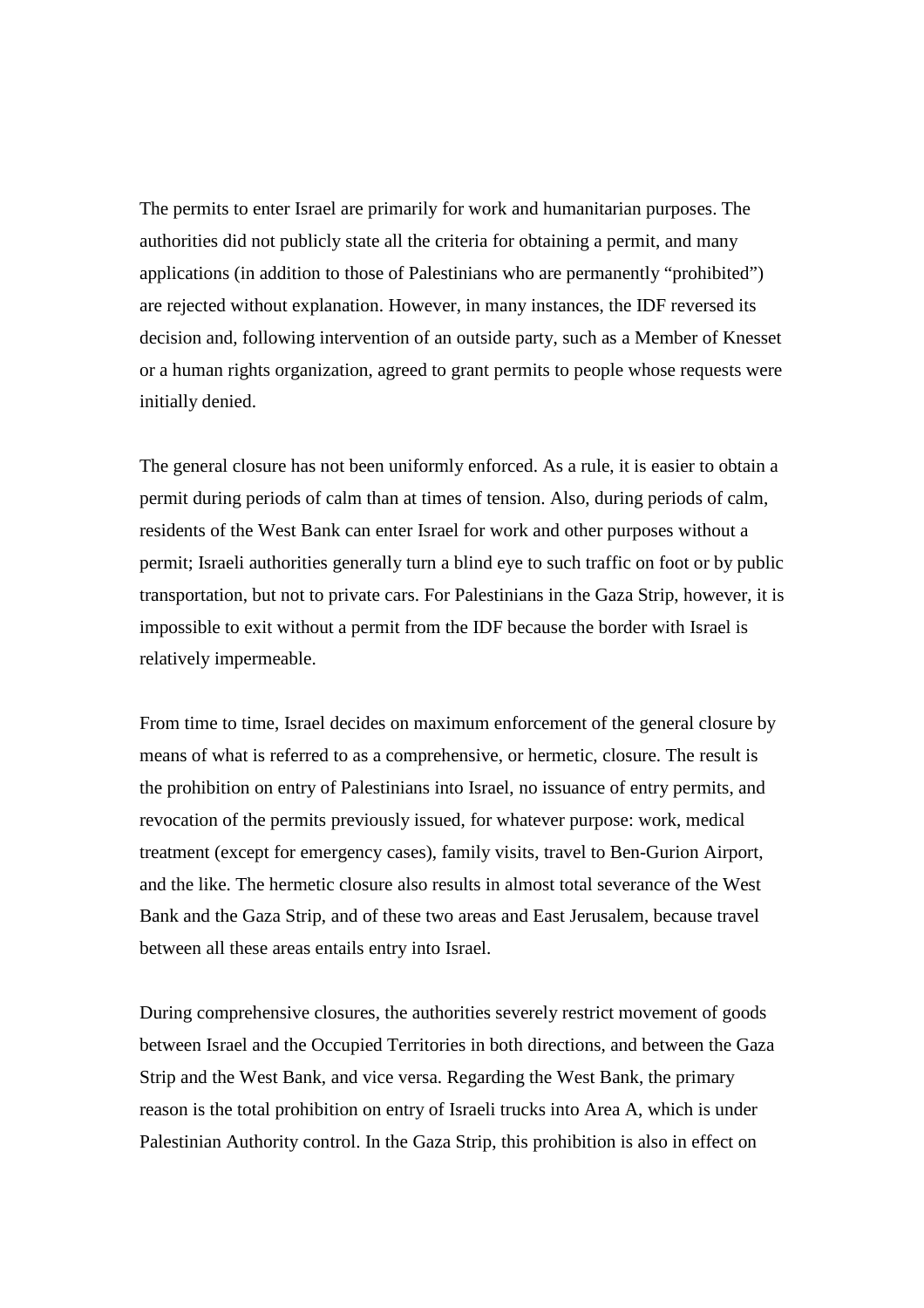The permits to enter Israel are primarily for work and humanitarian purposes. The authorities did not publicly state all the criteria for obtaining a permit, and many applications (in addition to those of Palestinians who are permanently "prohibited") are rejected without explanation. However, in many instances, the IDF reversed its decision and, following intervention of an outside party, such as a Member of Knesset or a human rights organization, agreed to grant permits to people whose requests were initially denied.

The general closure has not been uniformly enforced. As a rule, it is easier to obtain a permit during periods of calm than at times of tension. Also, during periods of calm, residents of the West Bank can enter Israel for work and other purposes without a permit; Israeli authorities generally turn a blind eye to such traffic on foot or by public transportation, but not to private cars. For Palestinians in the Gaza Strip, however, it is impossible to exit without a permit from the IDF because the border with Israel is relatively impermeable.

From time to time, Israel decides on maximum enforcement of the general closure by means of what is referred to as a comprehensive, or hermetic, closure. The result is the prohibition on entry of Palestinians into Israel, no issuance of entry permits, and revocation of the permits previously issued, for whatever purpose: work, medical treatment (except for emergency cases), family visits, travel to Ben-Gurion Airport, and the like. The hermetic closure also results in almost total severance of the West Bank and the Gaza Strip, and of these two areas and East Jerusalem, because travel between all these areas entails entry into Israel.

During comprehensive closures, the authorities severely restrict movement of goods between Israel and the Occupied Territories in both directions, and between the Gaza Strip and the West Bank, and vice versa. Regarding the West Bank, the primary reason is the total prohibition on entry of Israeli trucks into Area A, which is under Palestinian Authority control. In the Gaza Strip, this prohibition is also in effect on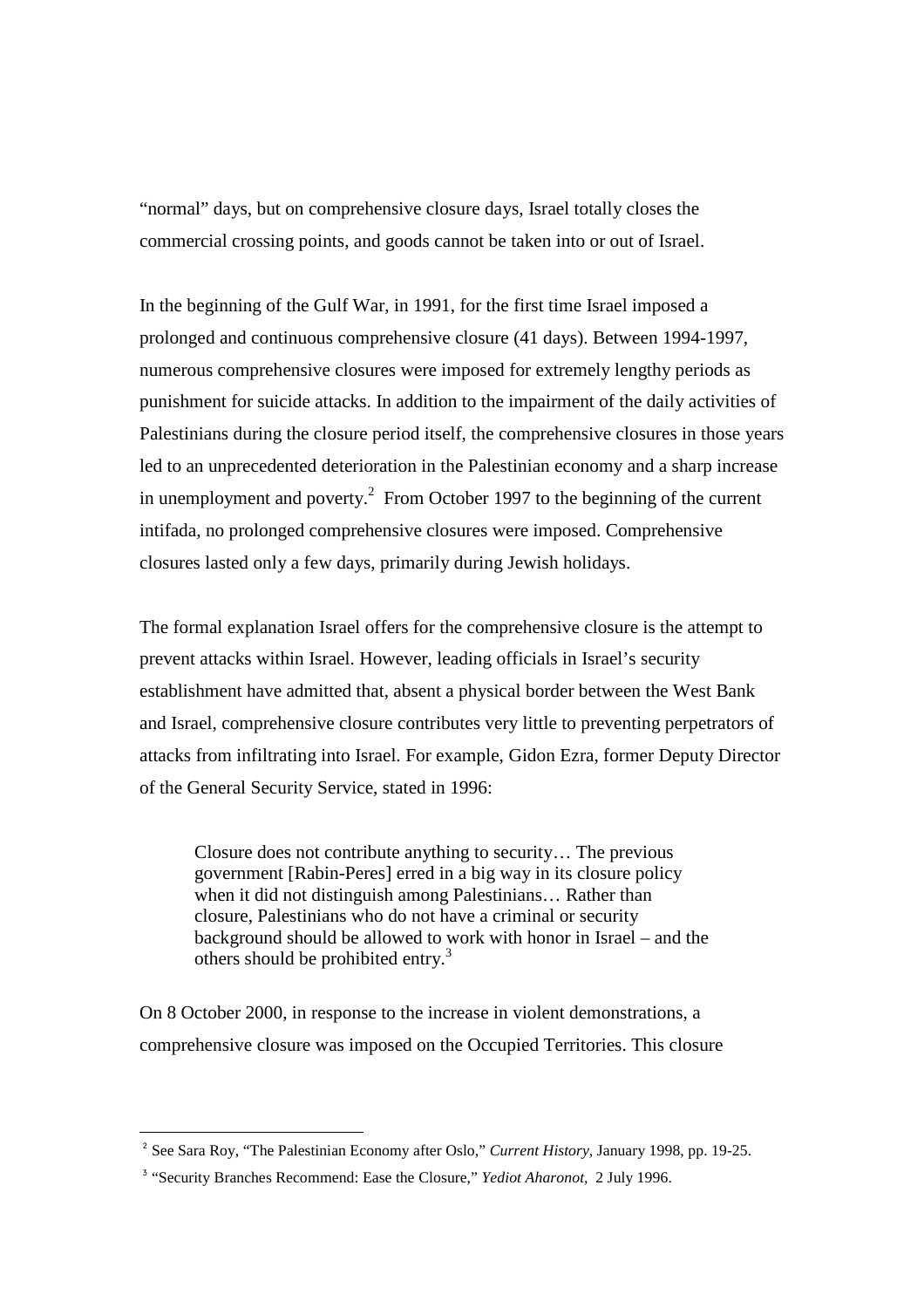"normal" days, but on comprehensive closure days, Israel totally closes the commercial crossing points, and goods cannot be taken into or out of Israel.

In the beginning of the Gulf War, in 1991, for the first time Israel imposed a prolonged and continuous comprehensive closure (41 days). Between 1994-1997, numerous comprehensive closures were imposed for extremely lengthy periods as punishment for suicide attacks. In addition to the impairment of the daily activities of Palestinians during the closure period itself, the comprehensive closures in those years led to an unprecedented deterioration in the Palestinian economy and a sharp increase in unemployment and poverty.<sup>2</sup> From October 1997 to the beginning of the current intifada, no prolonged comprehensive closures were imposed. Comprehensive closures lasted only a few days, primarily during Jewish holidays.

The formal explanation Israel offers for the comprehensive closure is the attempt to prevent attacks within Israel. However, leading officials in Israel's security establishment have admitted that, absent a physical border between the West Bank and Israel, comprehensive closure contributes very little to preventing perpetrators of attacks from infiltrating into Israel. For example, Gidon Ezra, former Deputy Director of the General Security Service, stated in 1996:

Closure does not contribute anything to security… The previous government [Rabin-Peres] erred in a big way in its closure policy when it did not distinguish among Palestinians… Rather than closure, Palestinians who do not have a criminal or security background should be allowed to work with honor in Israel – and the others should be prohibited entry.<sup>3</sup>

On 8 October 2000, in response to the increase in violent demonstrations, a comprehensive closure was imposed on the Occupied Territories. This closure

<sup>2</sup> See Sara Roy, "The Palestinian Economy after Oslo," *Current History,* January 1998, pp. 19-25.

<sup>&</sup>lt;sup>3</sup> "Security Branches Recommend: Ease the Closure," *Yediot Aharonot*, 2 July 1996.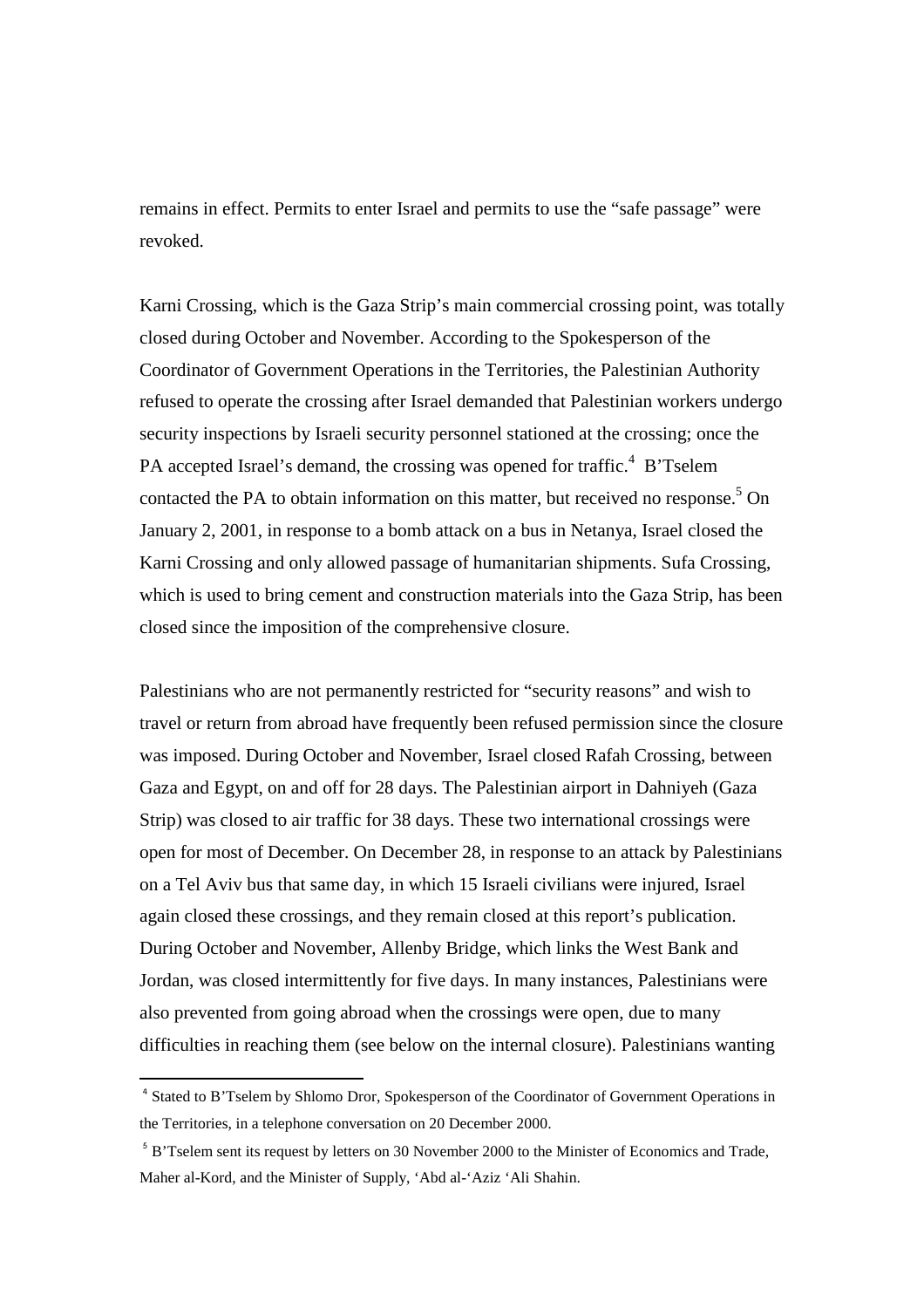remains in effect. Permits to enter Israel and permits to use the "safe passage" were revoked.

Karni Crossing, which is the Gaza Strip's main commercial crossing point, was totally closed during October and November. According to the Spokesperson of the Coordinator of Government Operations in the Territories, the Palestinian Authority refused to operate the crossing after Israel demanded that Palestinian workers undergo security inspections by Israeli security personnel stationed at the crossing; once the PA accepted Israel's demand, the crossing was opened for traffic.<sup>4</sup> B'Tselem contacted the PA to obtain information on this matter, but received no response.<sup>5</sup> On January 2, 2001, in response to a bomb attack on a bus in Netanya, Israel closed the Karni Crossing and only allowed passage of humanitarian shipments. Sufa Crossing, which is used to bring cement and construction materials into the Gaza Strip, has been closed since the imposition of the comprehensive closure.

Palestinians who are not permanently restricted for "security reasons" and wish to travel or return from abroad have frequently been refused permission since the closure was imposed. During October and November, Israel closed Rafah Crossing, between Gaza and Egypt, on and off for 28 days. The Palestinian airport in Dahniyeh (Gaza Strip) was closed to air traffic for 38 days. These two international crossings were open for most of December. On December 28, in response to an attack by Palestinians on a Tel Aviv bus that same day, in which 15 Israeli civilians were injured, Israel again closed these crossings, and they remain closed at this report's publication. During October and November, Allenby Bridge, which links the West Bank and Jordan, was closed intermittently for five days. In many instances, Palestinians were also prevented from going abroad when the crossings were open, due to many difficulties in reaching them (see below on the internal closure). Palestinians wanting

<sup>&</sup>lt;sup>4</sup> Stated to B'Tselem by Shlomo Dror, Spokesperson of the Coordinator of Government Operations in the Territories, in a telephone conversation on 20 December 2000.

<sup>&</sup>lt;sup>5</sup> B'Tselem sent its request by letters on 30 November 2000 to the Minister of Economics and Trade, Maher al-Kord, and the Minister of Supply, 'Abd al-'Aziz 'Ali Shahin.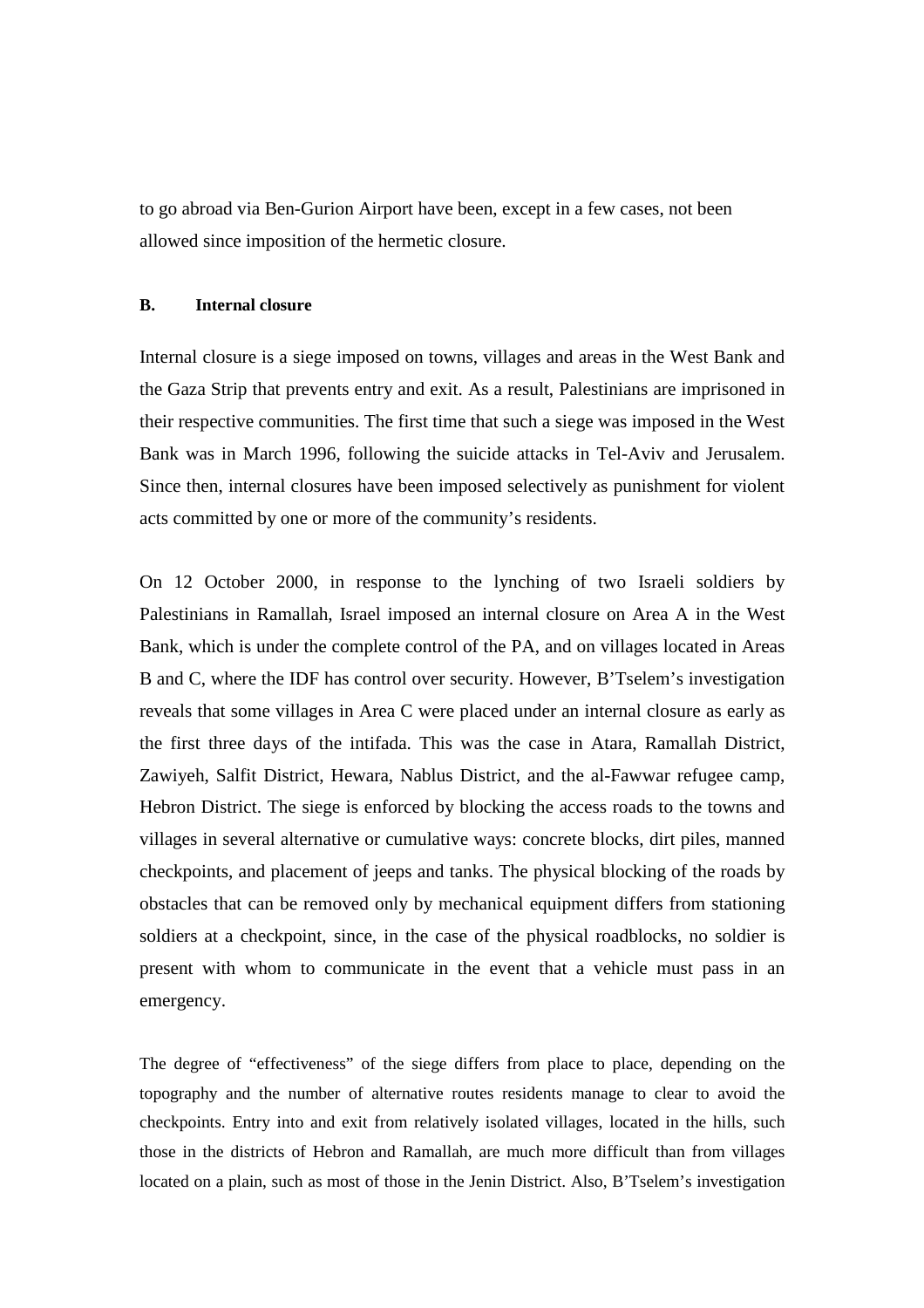to go abroad via Ben-Gurion Airport have been, except in a few cases, not been allowed since imposition of the hermetic closure.

### **B. Internal closure**

Internal closure is a siege imposed on towns, villages and areas in the West Bank and the Gaza Strip that prevents entry and exit. As a result, Palestinians are imprisoned in their respective communities. The first time that such a siege was imposed in the West Bank was in March 1996, following the suicide attacks in Tel-Aviv and Jerusalem. Since then, internal closures have been imposed selectively as punishment for violent acts committed by one or more of the community's residents.

On 12 October 2000, in response to the lynching of two Israeli soldiers by Palestinians in Ramallah, Israel imposed an internal closure on Area A in the West Bank, which is under the complete control of the PA, and on villages located in Areas B and C, where the IDF has control over security. However, B'Tselem's investigation reveals that some villages in Area C were placed under an internal closure as early as the first three days of the intifada. This was the case in Atara, Ramallah District, Zawiyeh, Salfit District, Hewara, Nablus District, and the al-Fawwar refugee camp, Hebron District. The siege is enforced by blocking the access roads to the towns and villages in several alternative or cumulative ways: concrete blocks, dirt piles, manned checkpoints, and placement of jeeps and tanks. The physical blocking of the roads by obstacles that can be removed only by mechanical equipment differs from stationing soldiers at a checkpoint, since, in the case of the physical roadblocks, no soldier is present with whom to communicate in the event that a vehicle must pass in an emergency.

The degree of "effectiveness" of the siege differs from place to place, depending on the topography and the number of alternative routes residents manage to clear to avoid the checkpoints. Entry into and exit from relatively isolated villages, located in the hills, such those in the districts of Hebron and Ramallah, are much more difficult than from villages located on a plain, such as most of those in the Jenin District. Also, B'Tselem's investigation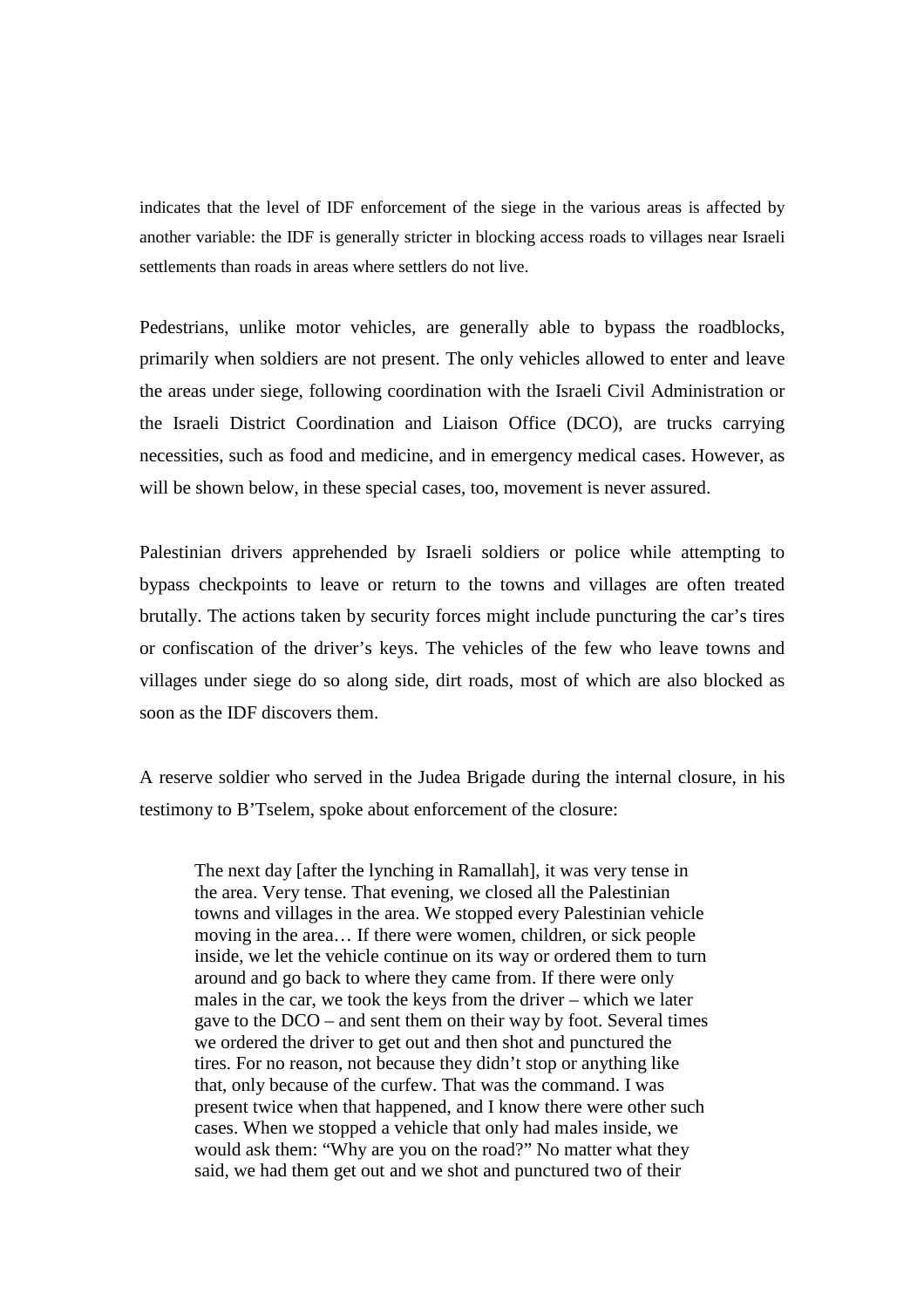indicates that the level of IDF enforcement of the siege in the various areas is affected by another variable: the IDF is generally stricter in blocking access roads to villages near Israeli settlements than roads in areas where settlers do not live.

Pedestrians, unlike motor vehicles, are generally able to bypass the roadblocks, primarily when soldiers are not present. The only vehicles allowed to enter and leave the areas under siege, following coordination with the Israeli Civil Administration or the Israeli District Coordination and Liaison Office (DCO), are trucks carrying necessities, such as food and medicine, and in emergency medical cases. However, as will be shown below, in these special cases, too, movement is never assured.

Palestinian drivers apprehended by Israeli soldiers or police while attempting to bypass checkpoints to leave or return to the towns and villages are often treated brutally. The actions taken by security forces might include puncturing the car's tires or confiscation of the driver's keys. The vehicles of the few who leave towns and villages under siege do so along side, dirt roads, most of which are also blocked as soon as the IDF discovers them.

A reserve soldier who served in the Judea Brigade during the internal closure, in his testimony to B'Tselem, spoke about enforcement of the closure:

The next day [after the lynching in Ramallah], it was very tense in the area. Very tense. That evening, we closed all the Palestinian towns and villages in the area. We stopped every Palestinian vehicle moving in the area… If there were women, children, or sick people inside, we let the vehicle continue on its way or ordered them to turn around and go back to where they came from. If there were only males in the car, we took the keys from the driver – which we later gave to the DCO – and sent them on their way by foot. Several times we ordered the driver to get out and then shot and punctured the tires. For no reason, not because they didn't stop or anything like that, only because of the curfew. That was the command. I was present twice when that happened, and I know there were other such cases. When we stopped a vehicle that only had males inside, we would ask them: "Why are you on the road?" No matter what they said, we had them get out and we shot and punctured two of their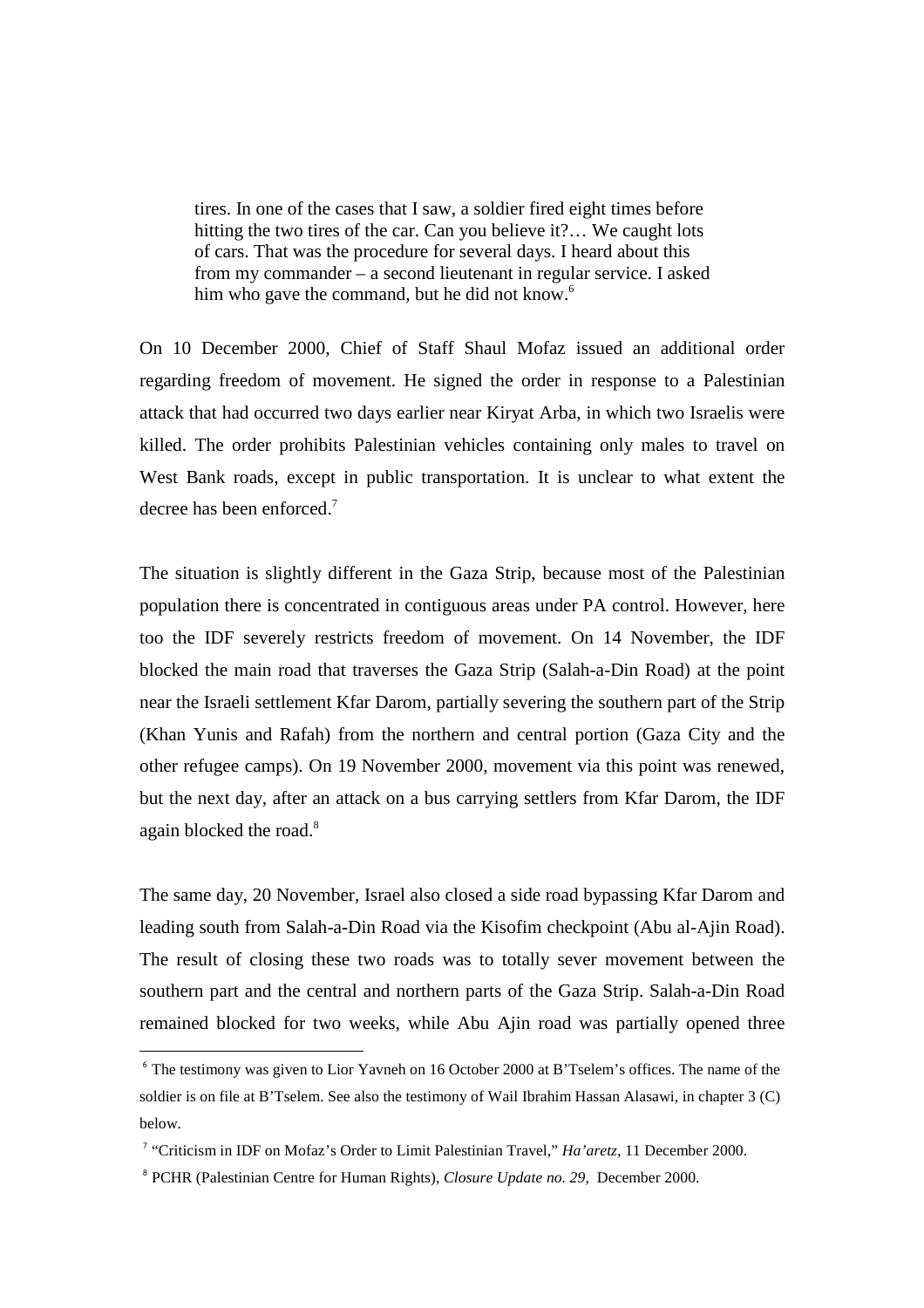tires. In one of the cases that I saw, a soldier fired eight times before hitting the two tires of the car. Can you believe it?... We caught lots of cars. That was the procedure for several days. I heard about this from my commander – a second lieutenant in regular service. I asked him who gave the command, but he did not know.<sup>6</sup>

On 10 December 2000, Chief of Staff Shaul Mofaz issued an additional order regarding freedom of movement. He signed the order in response to a Palestinian attack that had occurred two days earlier near Kiryat Arba, in which two Israelis were killed. The order prohibits Palestinian vehicles containing only males to travel on West Bank roads, except in public transportation. It is unclear to what extent the decree has been enforced.<sup>7</sup>

The situation is slightly different in the Gaza Strip, because most of the Palestinian population there is concentrated in contiguous areas under PA control. However, here too the IDF severely restricts freedom of movement. On 14 November, the IDF blocked the main road that traverses the Gaza Strip (Salah-a-Din Road) at the point near the Israeli settlement Kfar Darom, partially severing the southern part of the Strip (Khan Yunis and Rafah) from the northern and central portion (Gaza City and the other refugee camps). On 19 November 2000, movement via this point was renewed, but the next day, after an attack on a bus carrying settlers from Kfar Darom, the IDF again blocked the road.<sup>8</sup>

The same day, 20 November, Israel also closed a side road bypassing Kfar Darom and leading south from Salah-a-Din Road via the Kisofim checkpoint (Abu al-Ajin Road). The result of closing these two roads was to totally sever movement between the southern part and the central and northern parts of the Gaza Strip. Salah-a-Din Road remained blocked for two weeks, while Abu Ajin road was partially opened three

<sup>&</sup>lt;sup>6</sup> The testimony was given to Lior Yavneh on 16 October 2000 at B'Tselem's offices. The name of the soldier is on file at B'Tselem. See also the testimony of Wail Ibrahim Hassan Alasawi, in chapter 3 (C) below.

<sup>&</sup>lt;sup>7</sup> "Criticism in IDF on Mofaz's Order to Limit Palestinian Travel," *Ha'aretz*, 11 December 2000.

<sup>&</sup>lt;sup>8</sup> PCHR (Palestinian Centre for Human Rights), *Closure Update no.* 29, December 2000.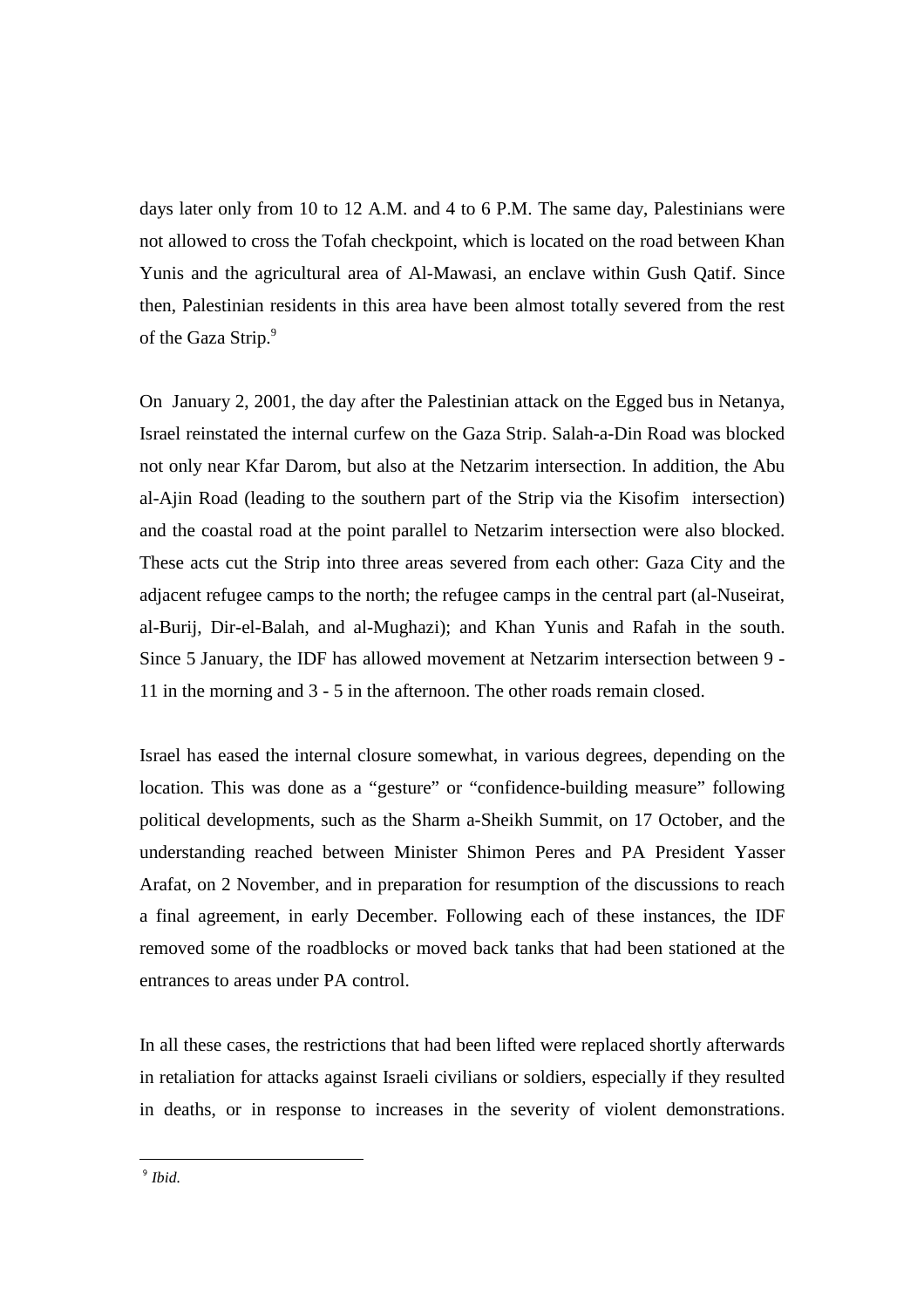days later only from 10 to 12 A.M. and 4 to 6 P.M. The same day, Palestinians were not allowed to cross the Tofah checkpoint, which is located on the road between Khan Yunis and the agricultural area of Al-Mawasi, an enclave within Gush Qatif. Since then, Palestinian residents in this area have been almost totally severed from the rest of the Gaza Strip.<sup>9</sup>

On January 2, 2001, the day after the Palestinian attack on the Egged bus in Netanya, Israel reinstated the internal curfew on the Gaza Strip. Salah-a-Din Road was blocked not only near Kfar Darom, but also at the Netzarim intersection. In addition, the Abu al-Ajin Road (leading to the southern part of the Strip via the Kisofim intersection) and the coastal road at the point parallel to Netzarim intersection were also blocked. These acts cut the Strip into three areas severed from each other: Gaza City and the adjacent refugee camps to the north; the refugee camps in the central part (al-Nuseirat, al-Burij, Dir-el-Balah, and al-Mughazi); and Khan Yunis and Rafah in the south. Since 5 January, the IDF has allowed movement at Netzarim intersection between 9 - 11 in the morning and 3 - 5 in the afternoon. The other roads remain closed.

Israel has eased the internal closure somewhat, in various degrees, depending on the location. This was done as a "gesture" or "confidence-building measure" following political developments, such as the Sharm a-Sheikh Summit, on 17 October, and the understanding reached between Minister Shimon Peres and PA President Yasser Arafat, on 2 November, and in preparation for resumption of the discussions to reach a final agreement, in early December. Following each of these instances, the IDF removed some of the roadblocks or moved back tanks that had been stationed at the entrances to areas under PA control.

In all these cases, the restrictions that had been lifted were replaced shortly afterwards in retaliation for attacks against Israeli civilians or soldiers, especially if they resulted in deaths, or in response to increases in the severity of violent demonstrations.

 9 *Ibid.*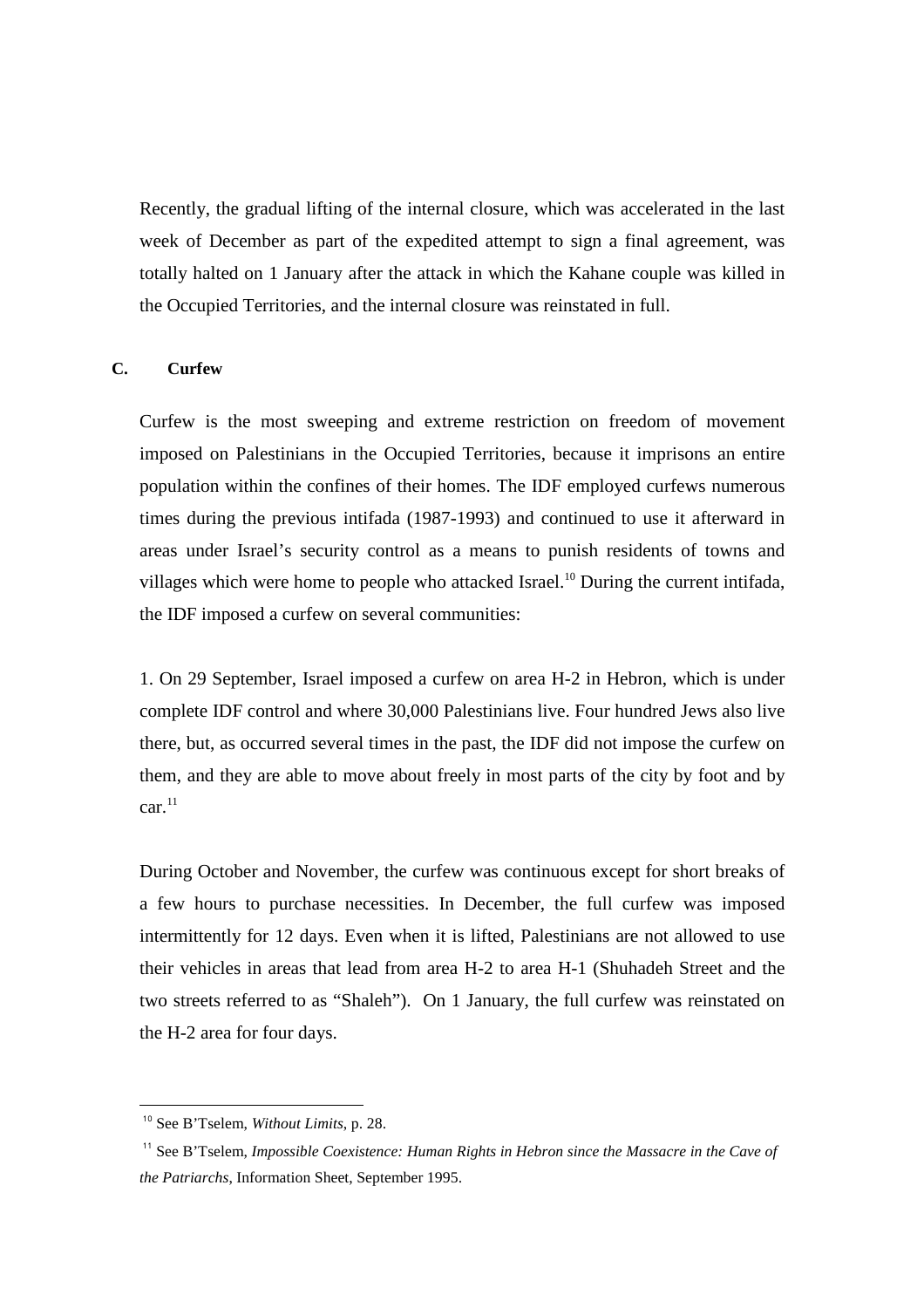Recently, the gradual lifting of the internal closure, which was accelerated in the last week of December as part of the expedited attempt to sign a final agreement, was totally halted on 1 January after the attack in which the Kahane couple was killed in the Occupied Territories, and the internal closure was reinstated in full.

## **C. Curfew**

Curfew is the most sweeping and extreme restriction on freedom of movement imposed on Palestinians in the Occupied Territories, because it imprisons an entire population within the confines of their homes. The IDF employed curfews numerous times during the previous intifada (1987-1993) and continued to use it afterward in areas under Israel's security control as a means to punish residents of towns and villages which were home to people who attacked Israel.<sup>10</sup> During the current intifada, the IDF imposed a curfew on several communities:

1. On 29 September, Israel imposed a curfew on area H-2 in Hebron, which is under complete IDF control and where 30,000 Palestinians live. Four hundred Jews also live there, but, as occurred several times in the past, the IDF did not impose the curfew on them, and they are able to move about freely in most parts of the city by foot and by  $car.<sup>11</sup>$ 

During October and November, the curfew was continuous except for short breaks of a few hours to purchase necessities. In December, the full curfew was imposed intermittently for 12 days. Even when it is lifted, Palestinians are not allowed to use their vehicles in areas that lead from area H-2 to area H-1 (Shuhadeh Street and the two streets referred to as "Shaleh"). On 1 January, the full curfew was reinstated on the H-2 area for four days.

<sup>10</sup> See B'Tselem, *Without Limits*, p. 28.

<sup>&</sup>lt;sup>11</sup> See B'Tselem, *Impossible Coexistence: Human Rights in Hebron since the Massacre in the Cave of the Patriarchs*, Information Sheet, September 1995.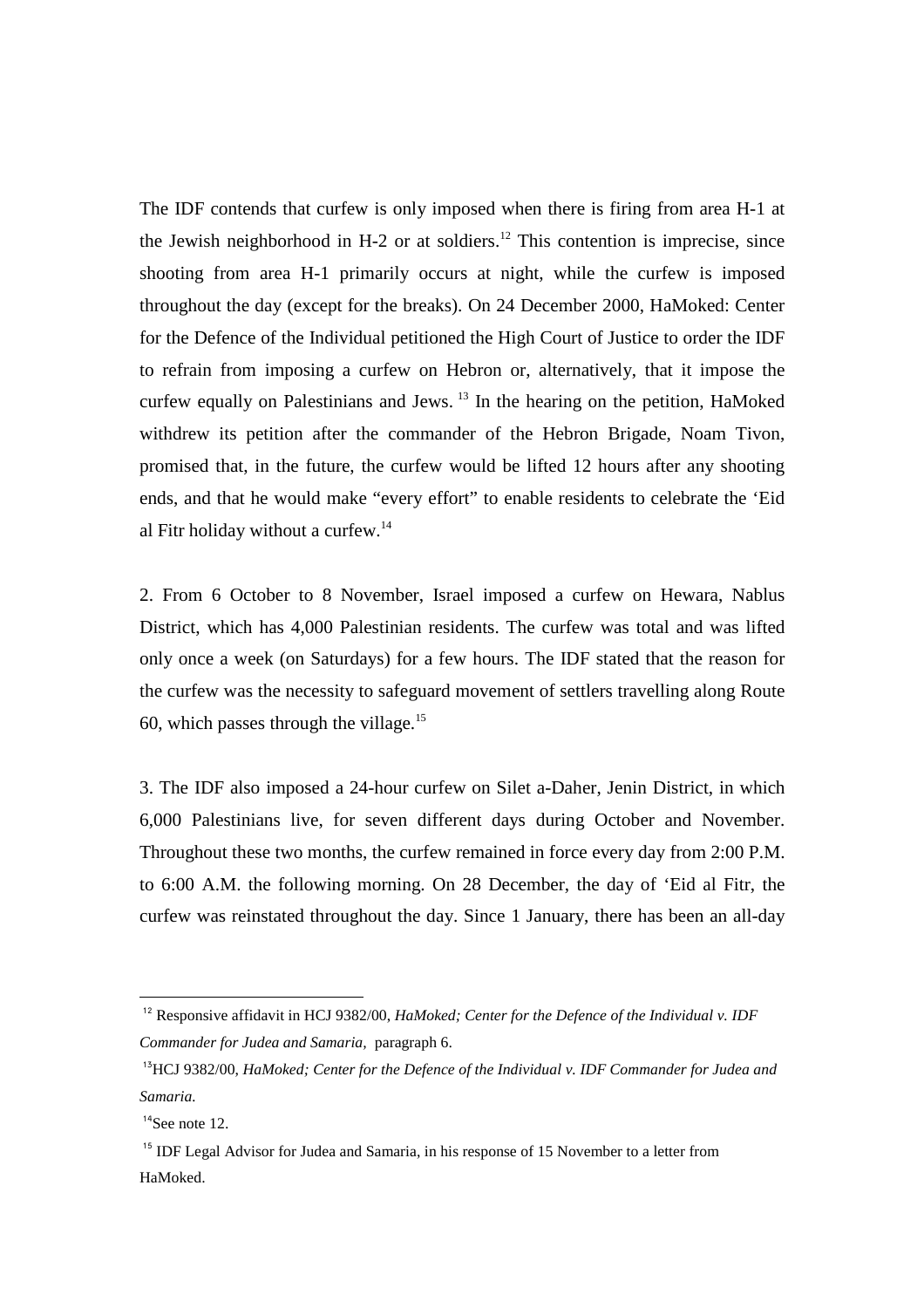The IDF contends that curfew is only imposed when there is firing from area H-1 at the Jewish neighborhood in  $H-2$  or at soldiers.<sup>12</sup> This contention is imprecise, since shooting from area H-1 primarily occurs at night, while the curfew is imposed throughout the day (except for the breaks). On 24 December 2000, HaMoked: Center for the Defence of the Individual petitioned the High Court of Justice to order the IDF to refrain from imposing a curfew on Hebron or, alternatively, that it impose the curfew equally on Palestinians and Jews.<sup>13</sup> In the hearing on the petition, HaMoked withdrew its petition after the commander of the Hebron Brigade, Noam Tivon, promised that, in the future, the curfew would be lifted 12 hours after any shooting ends, and that he would make "every effort" to enable residents to celebrate the 'Eid al Fitr holiday without a curfew.<sup>14</sup>

2. From 6 October to 8 November, Israel imposed a curfew on Hewara, Nablus District, which has 4,000 Palestinian residents. The curfew was total and was lifted only once a week (on Saturdays) for a few hours. The IDF stated that the reason for the curfew was the necessity to safeguard movement of settlers travelling along Route 60, which passes through the village.<sup>15</sup>

3. The IDF also imposed a 24-hour curfew on Silet a-Daher, Jenin District, in which 6,000 Palestinians live, for seven different days during October and November. Throughout these two months, the curfew remained in force every day from 2:00 P.M. to 6:00 A.M. the following morning. On 28 December, the day of 'Eid al Fitr, the curfew was reinstated throughout the day. Since 1 January, there has been an all-day

<sup>&</sup>lt;sup>12</sup> Responsive affidavit in HCJ 9382/00, *HaMoked: Center for the Defence of the Individual v. IDF Commander for Judea and Samaria,* paragraph 6.

<sup>13</sup>HCJ 9382/00, *HaMoked; Center for the Defence of the Individual v. IDF Commander for Judea and Samaria.*

 $14$ See note 12.

<sup>&</sup>lt;sup>15</sup> IDF Legal Advisor for Judea and Samaria, in his response of 15 November to a letter from HaMoked.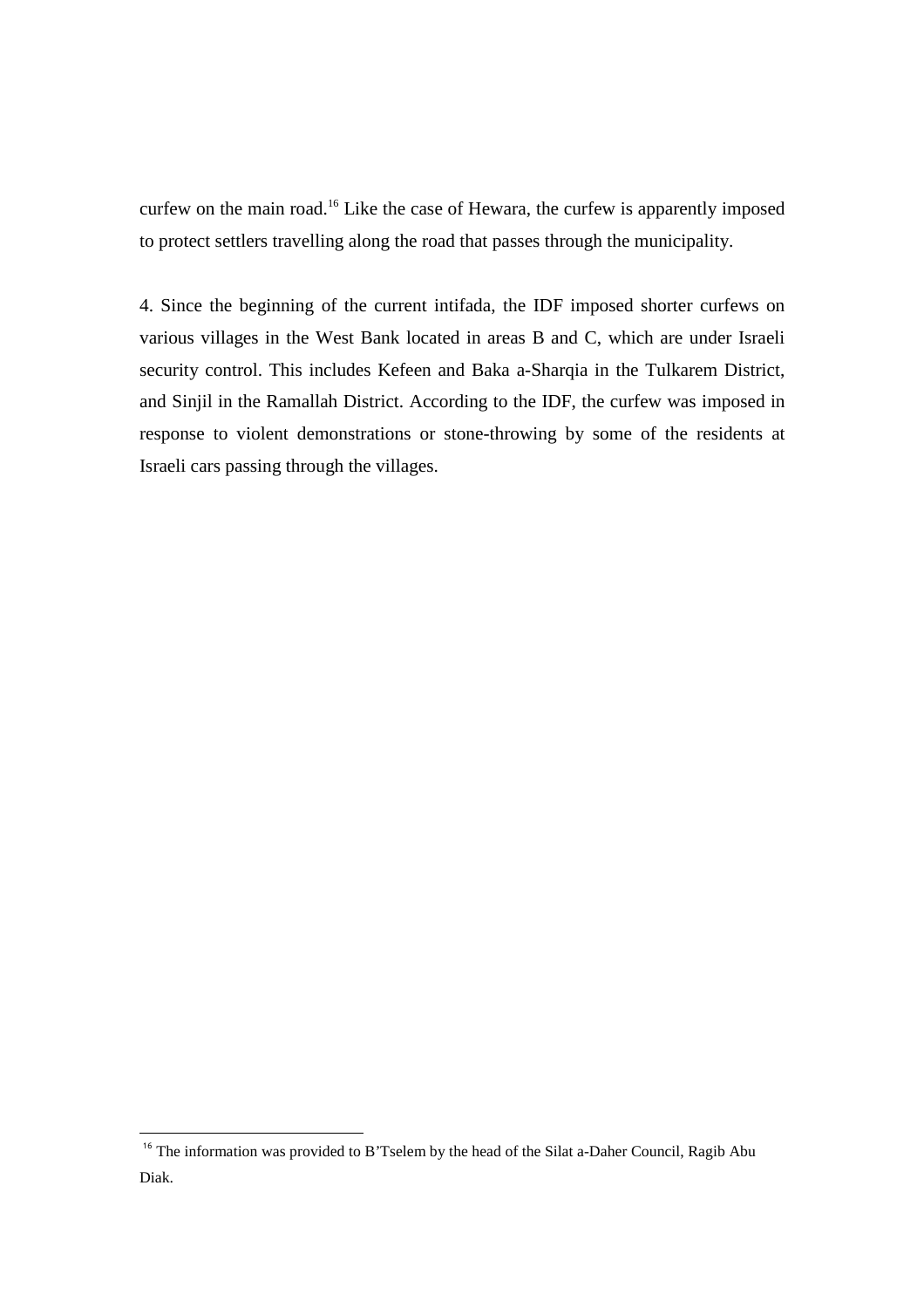curfew on the main road.<sup>16</sup> Like the case of Hewara, the curfew is apparently imposed to protect settlers travelling along the road that passes through the municipality.

4. Since the beginning of the current intifada, the IDF imposed shorter curfews on various villages in the West Bank located in areas B and C, which are under Israeli security control. This includes Kefeen and Baka a-Sharqia in the Tulkarem District, and Sinjil in the Ramallah District. According to the IDF, the curfew was imposed in response to violent demonstrations or stone-throwing by some of the residents at Israeli cars passing through the villages.

<sup>&</sup>lt;sup>16</sup> The information was provided to B'Tselem by the head of the Silat a-Daher Council, Ragib Abu Diak.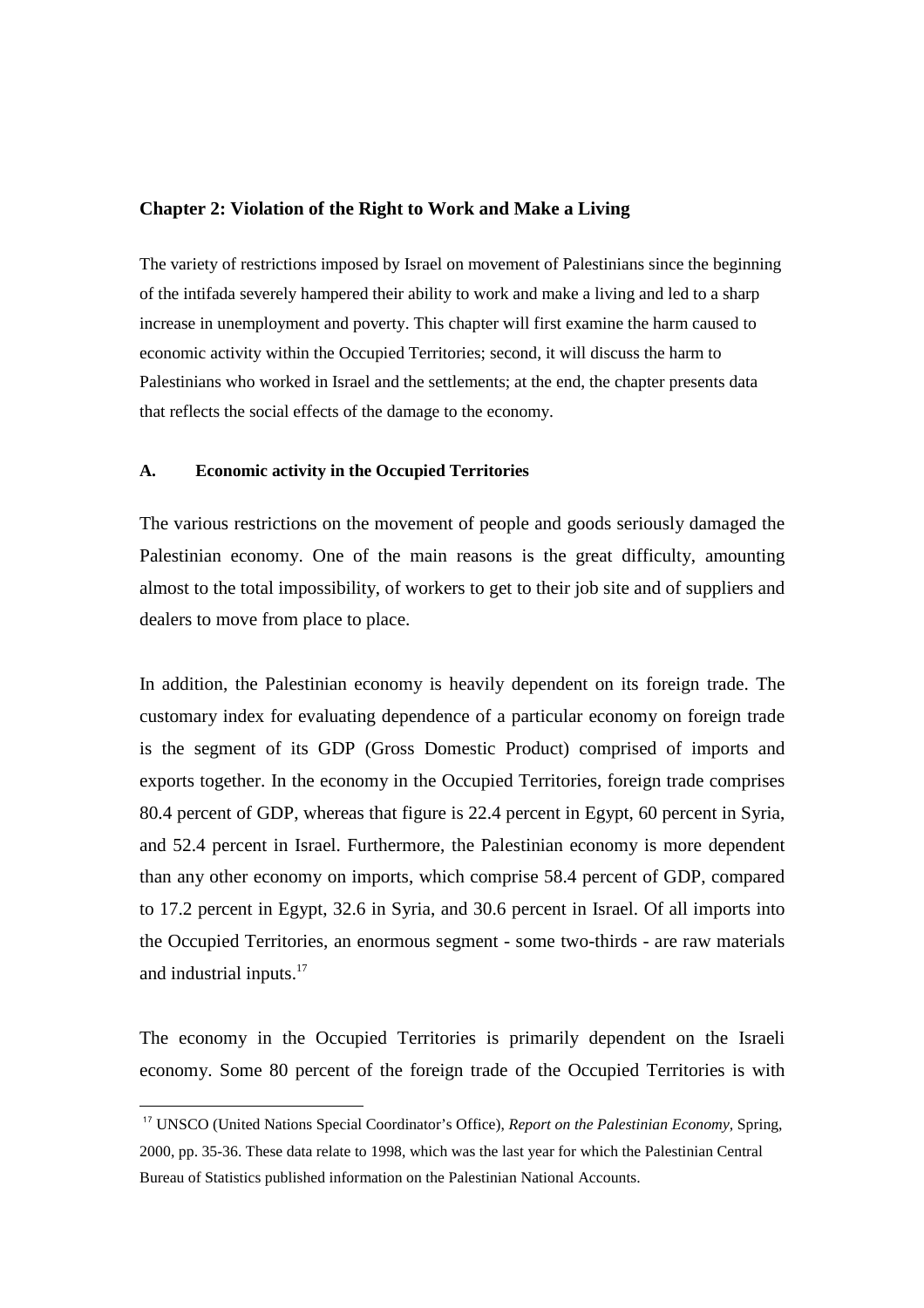### **Chapter 2: Violation of the Right to Work and Make a Living**

The variety of restrictions imposed by Israel on movement of Palestinians since the beginning of the intifada severely hampered their ability to work and make a living and led to a sharp increase in unemployment and poverty. This chapter will first examine the harm caused to economic activity within the Occupied Territories; second, it will discuss the harm to Palestinians who worked in Israel and the settlements; at the end, the chapter presents data that reflects the social effects of the damage to the economy.

## **A. Economic activity in the Occupied Territories**

 $\overline{a}$ 

The various restrictions on the movement of people and goods seriously damaged the Palestinian economy. One of the main reasons is the great difficulty, amounting almost to the total impossibility, of workers to get to their job site and of suppliers and dealers to move from place to place.

In addition, the Palestinian economy is heavily dependent on its foreign trade. The customary index for evaluating dependence of a particular economy on foreign trade is the segment of its GDP (Gross Domestic Product) comprised of imports and exports together. In the economy in the Occupied Territories, foreign trade comprises 80.4 percent of GDP, whereas that figure is 22.4 percent in Egypt, 60 percent in Syria, and 52.4 percent in Israel. Furthermore, the Palestinian economy is more dependent than any other economy on imports, which comprise 58.4 percent of GDP, compared to 17.2 percent in Egypt, 32.6 in Syria, and 30.6 percent in Israel. Of all imports into the Occupied Territories, an enormous segment - some two-thirds - are raw materials and industrial inputs.<sup>17</sup>

The economy in the Occupied Territories is primarily dependent on the Israeli economy. Some 80 percent of the foreign trade of the Occupied Territories is with

<sup>17</sup> UNSCO (United Nations Special Coordinator's Office), *Report on the Palestinian Economy,* Spring, 2000, pp. 35-36. These data relate to 1998, which was the last year for which the Palestinian Central Bureau of Statistics published information on the Palestinian National Accounts.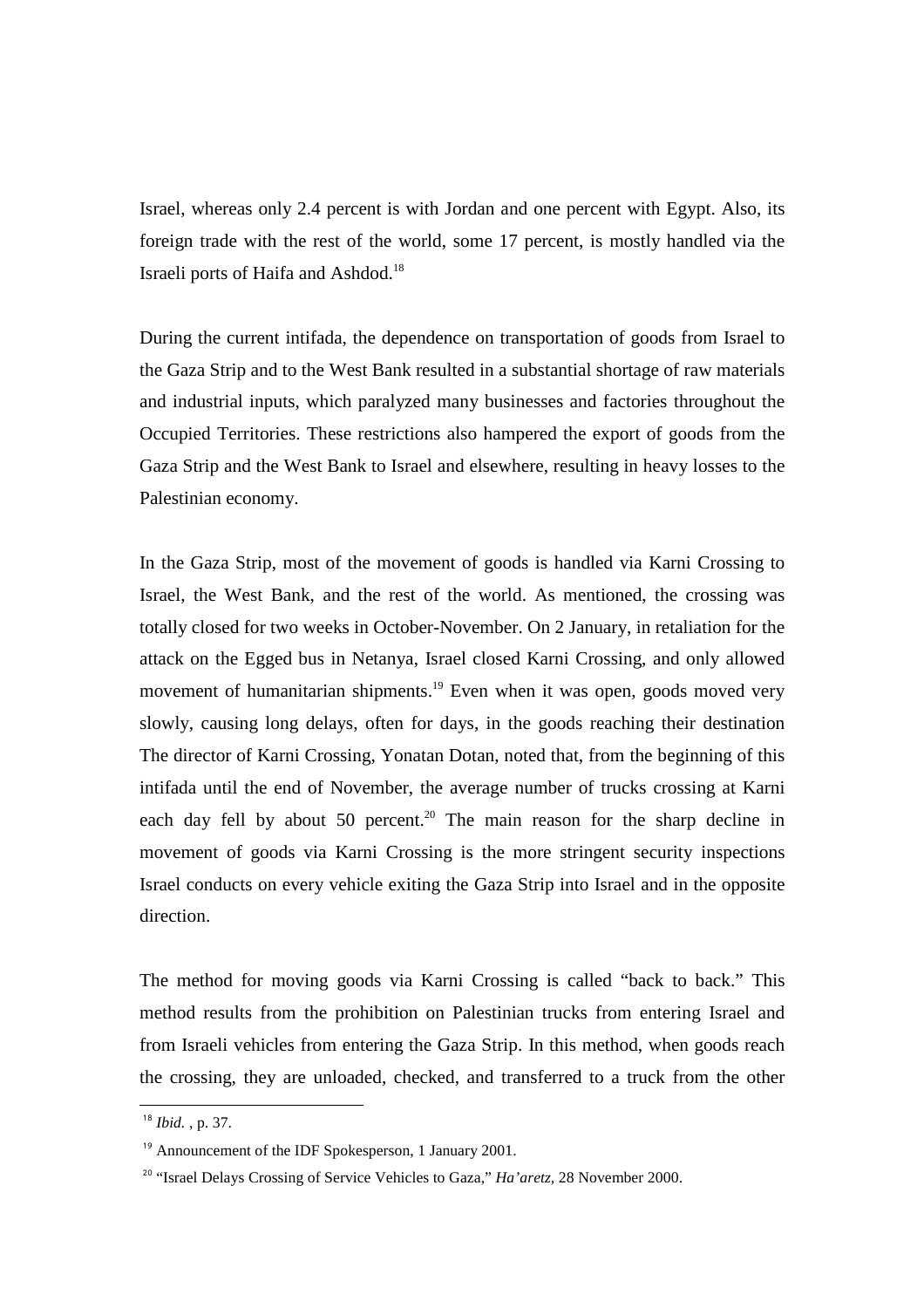Israel, whereas only 2.4 percent is with Jordan and one percent with Egypt. Also, its foreign trade with the rest of the world, some 17 percent, is mostly handled via the Israeli ports of Haifa and Ashdod.<sup>18</sup>

During the current intifada, the dependence on transportation of goods from Israel to the Gaza Strip and to the West Bank resulted in a substantial shortage of raw materials and industrial inputs, which paralyzed many businesses and factories throughout the Occupied Territories. These restrictions also hampered the export of goods from the Gaza Strip and the West Bank to Israel and elsewhere, resulting in heavy losses to the Palestinian economy.

In the Gaza Strip, most of the movement of goods is handled via Karni Crossing to Israel, the West Bank, and the rest of the world. As mentioned, the crossing was totally closed for two weeks in October-November. On 2 January, in retaliation for the attack on the Egged bus in Netanya, Israel closed Karni Crossing, and only allowed movement of humanitarian shipments.<sup>19</sup> Even when it was open, goods moved very slowly, causing long delays, often for days, in the goods reaching their destination The director of Karni Crossing, Yonatan Dotan, noted that, from the beginning of this intifada until the end of November, the average number of trucks crossing at Karni each day fell by about 50 percent.<sup>20</sup> The main reason for the sharp decline in movement of goods via Karni Crossing is the more stringent security inspections Israel conducts on every vehicle exiting the Gaza Strip into Israel and in the opposite direction.

The method for moving goods via Karni Crossing is called "back to back." This method results from the prohibition on Palestinian trucks from entering Israel and from Israeli vehicles from entering the Gaza Strip. In this method, when goods reach the crossing, they are unloaded, checked, and transferred to a truck from the other

<sup>18</sup> *Ibid.* , p. 37.

<sup>&</sup>lt;sup>19</sup> Announcement of the IDF Spokesperson, 1 January 2001.

<sup>&</sup>lt;sup>20</sup> "Israel Delays Crossing of Service Vehicles to Gaza," *Ha'aretz*, 28 November 2000.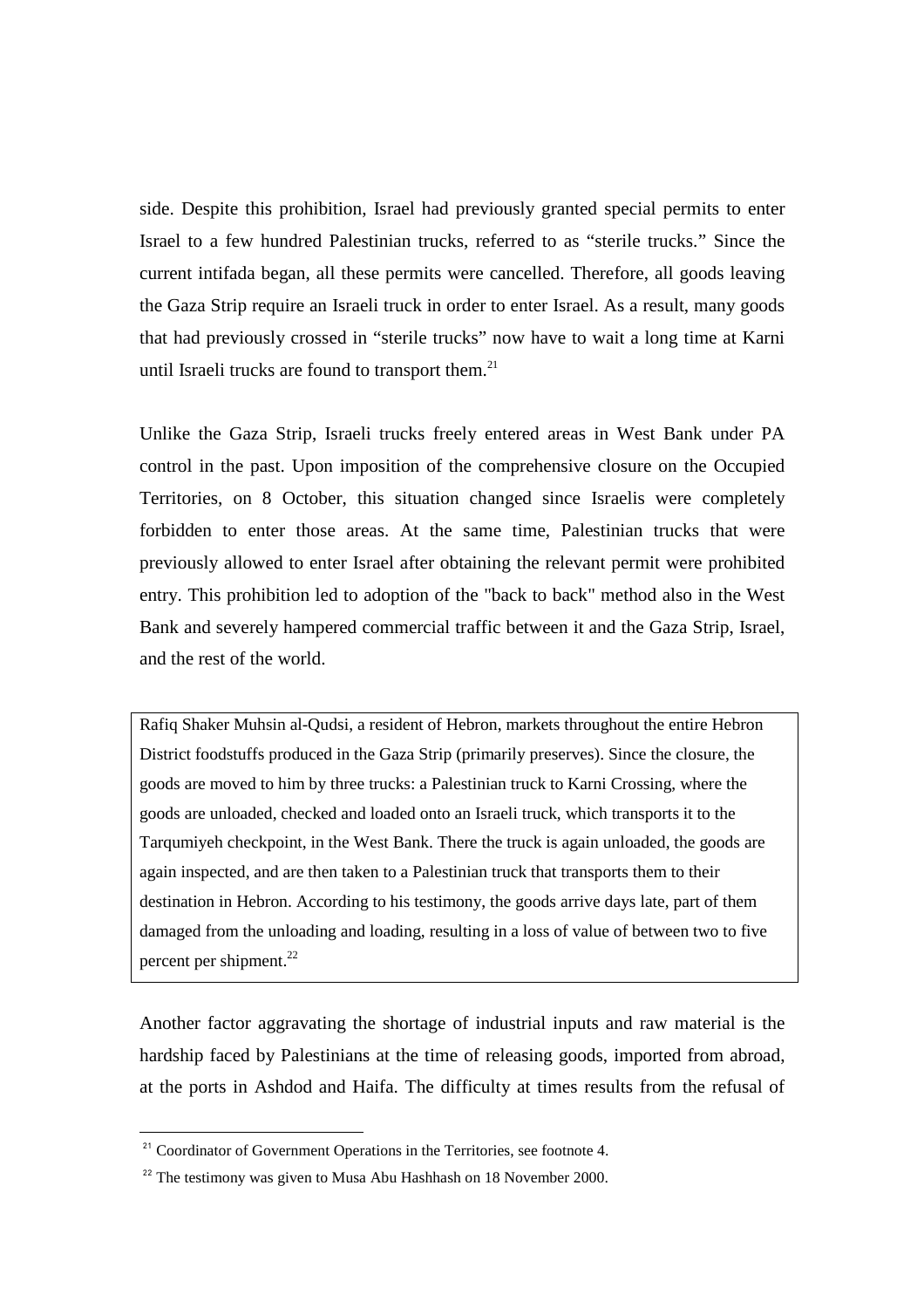side. Despite this prohibition, Israel had previously granted special permits to enter Israel to a few hundred Palestinian trucks, referred to as "sterile trucks." Since the current intifada began, all these permits were cancelled. Therefore, all goods leaving the Gaza Strip require an Israeli truck in order to enter Israel. As a result, many goods that had previously crossed in "sterile trucks" now have to wait a long time at Karni until Israeli trucks are found to transport them. $21$ 

Unlike the Gaza Strip, Israeli trucks freely entered areas in West Bank under PA control in the past. Upon imposition of the comprehensive closure on the Occupied Territories, on 8 October, this situation changed since Israelis were completely forbidden to enter those areas. At the same time, Palestinian trucks that were previously allowed to enter Israel after obtaining the relevant permit were prohibited entry. This prohibition led to adoption of the "back to back" method also in the West Bank and severely hampered commercial traffic between it and the Gaza Strip, Israel, and the rest of the world.

Rafiq Shaker Muhsin al-Qudsi, a resident of Hebron, markets throughout the entire Hebron District foodstuffs produced in the Gaza Strip (primarily preserves). Since the closure, the goods are moved to him by three trucks: a Palestinian truck to Karni Crossing, where the goods are unloaded, checked and loaded onto an Israeli truck, which transports it to the Tarqumiyeh checkpoint, in the West Bank. There the truck is again unloaded, the goods are again inspected, and are then taken to a Palestinian truck that transports them to their destination in Hebron. According to his testimony, the goods arrive days late, part of them damaged from the unloading and loading, resulting in a loss of value of between two to five percent per shipment.<sup>22</sup>

Another factor aggravating the shortage of industrial inputs and raw material is the hardship faced by Palestinians at the time of releasing goods, imported from abroad, at the ports in Ashdod and Haifa. The difficulty at times results from the refusal of

 $21$  Coordinator of Government Operations in the Territories, see footnote 4.

 $22$ <sup>22</sup> The testimony was given to Musa Abu Hashhash on 18 November 2000.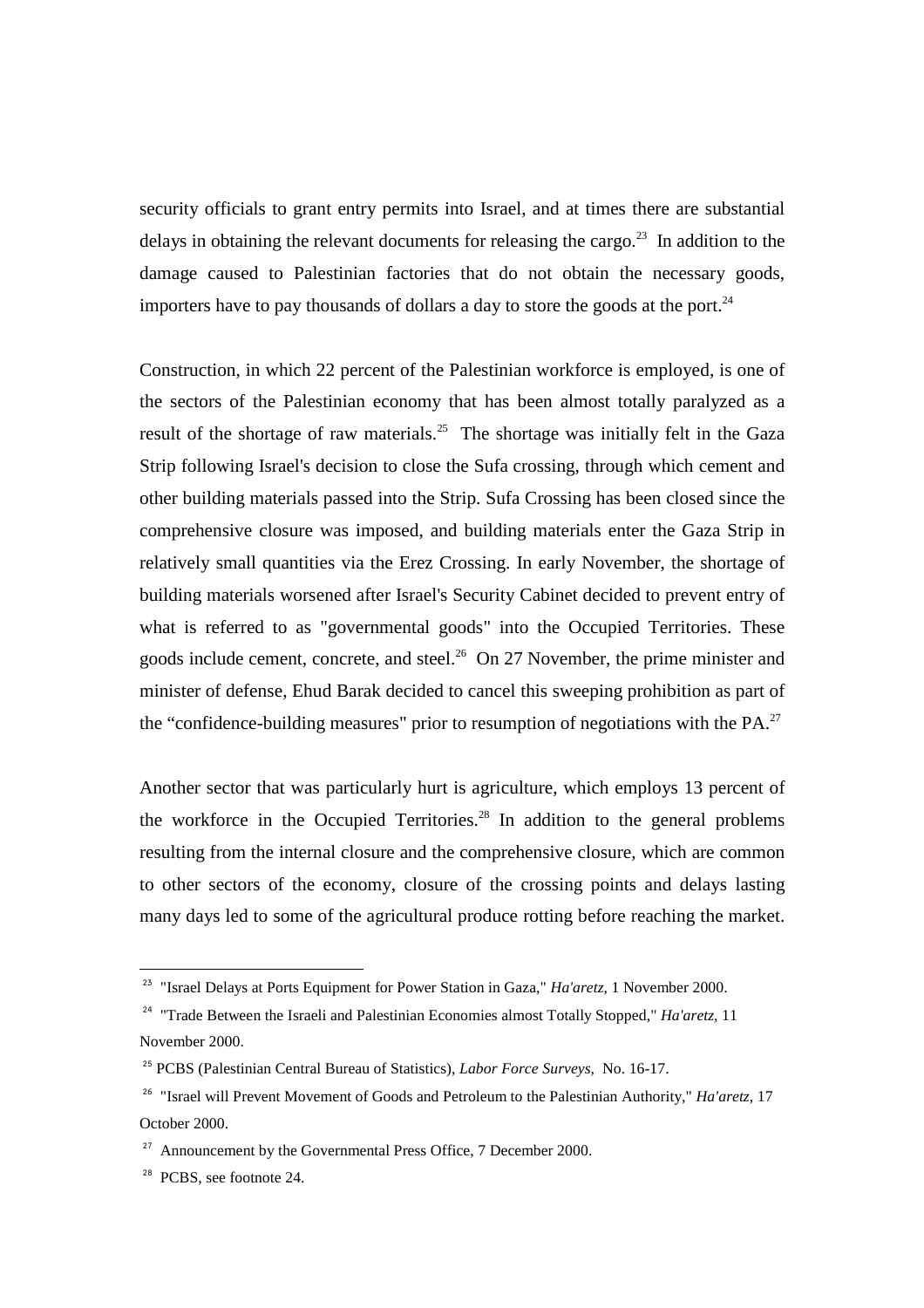security officials to grant entry permits into Israel, and at times there are substantial delays in obtaining the relevant documents for releasing the cargo.<sup>23</sup> In addition to the damage caused to Palestinian factories that do not obtain the necessary goods, importers have to pay thousands of dollars a day to store the goods at the port. $^{24}$ 

Construction, in which 22 percent of the Palestinian workforce is employed, is one of the sectors of the Palestinian economy that has been almost totally paralyzed as a result of the shortage of raw materials.<sup>25</sup> The shortage was initially felt in the Gaza Strip following Israel's decision to close the Sufa crossing, through which cement and other building materials passed into the Strip. Sufa Crossing has been closed since the comprehensive closure was imposed, and building materials enter the Gaza Strip in relatively small quantities via the Erez Crossing. In early November, the shortage of building materials worsened after Israel's Security Cabinet decided to prevent entry of what is referred to as "governmental goods" into the Occupied Territories. These goods include cement, concrete, and steel.<sup>26</sup> On 27 November, the prime minister and minister of defense, Ehud Barak decided to cancel this sweeping prohibition as part of the "confidence-building measures" prior to resumption of negotiations with the  $PA$ .<sup>27</sup>

Another sector that was particularly hurt is agriculture, which employs 13 percent of the workforce in the Occupied Territories.<sup>28</sup> In addition to the general problems resulting from the internal closure and the comprehensive closure, which are common to other sectors of the economy, closure of the crossing points and delays lasting many days led to some of the agricultural produce rotting before reaching the market.

<sup>23</sup> "Israel Delays at Ports Equipment for Power Station in Gaza," *Ha'aretz*, 1 November 2000.

<sup>&</sup>lt;sup>24</sup> "Trade Between the Israeli and Palestinian Economies almost Totally Stopped," *Ha'aretz*, 11 November 2000.

<sup>25</sup> PCBS (Palestinian Central Bureau of Statistics), *Labor Force Surveys,* No. 16-17.

<sup>26</sup> "Israel will Prevent Movement of Goods and Petroleum to the Palestinian Authority," *Ha'aretz*, 17 October 2000.

 $27$  Announcement by the Governmental Press Office, 7 December 2000.

<sup>&</sup>lt;sup>28</sup> PCBS, see footnote 24.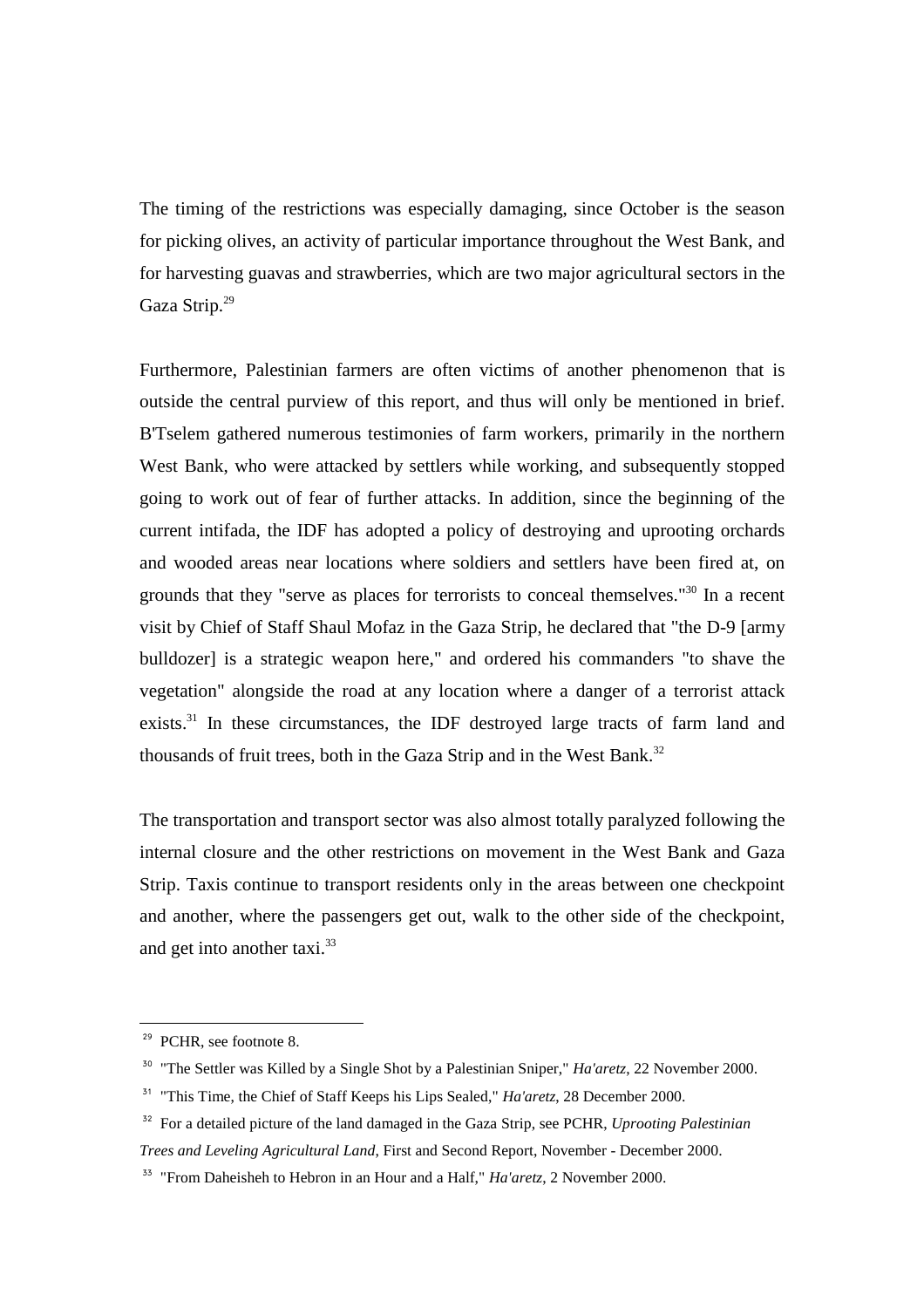The timing of the restrictions was especially damaging, since October is the season for picking olives, an activity of particular importance throughout the West Bank, and for harvesting guavas and strawberries, which are two major agricultural sectors in the Gaza Strip.<sup>29</sup>

Furthermore, Palestinian farmers are often victims of another phenomenon that is outside the central purview of this report, and thus will only be mentioned in brief. B'Tselem gathered numerous testimonies of farm workers, primarily in the northern West Bank, who were attacked by settlers while working, and subsequently stopped going to work out of fear of further attacks. In addition, since the beginning of the current intifada, the IDF has adopted a policy of destroying and uprooting orchards and wooded areas near locations where soldiers and settlers have been fired at, on grounds that they "serve as places for terrorists to conceal themselves."<sup>30</sup> In a recent visit by Chief of Staff Shaul Mofaz in the Gaza Strip, he declared that "the D-9 [army bulldozer] is a strategic weapon here," and ordered his commanders "to shave the vegetation" alongside the road at any location where a danger of a terrorist attack exists. $31$  In these circumstances, the IDF destroyed large tracts of farm land and thousands of fruit trees, both in the Gaza Strip and in the West Bank.<sup>32</sup>

The transportation and transport sector was also almost totally paralyzed following the internal closure and the other restrictions on movement in the West Bank and Gaza Strip. Taxis continue to transport residents only in the areas between one checkpoint and another, where the passengers get out, walk to the other side of the checkpoint, and get into another taxi.<sup>33</sup>

<sup>&</sup>lt;sup>29</sup> PCHR, see footnote 8.

<sup>30</sup> "The Settler was Killed by a Single Shot by a Palestinian Sniper," *Ha'aretz*, 22 November 2000.

<sup>&</sup>lt;sup>31</sup> "This Time, the Chief of Staff Keeps his Lips Sealed," *Ha'aretz*, 28 December 2000.

<sup>32</sup> For a detailed picture of the land damaged in the Gaza Strip, see PCHR, *Uprooting Palestinian Trees and Leveling Agricultural Land*, First and Second Report, November - December 2000.

<sup>33</sup> "From Daheisheh to Hebron in an Hour and a Half," *Ha'aretz*, 2 November 2000.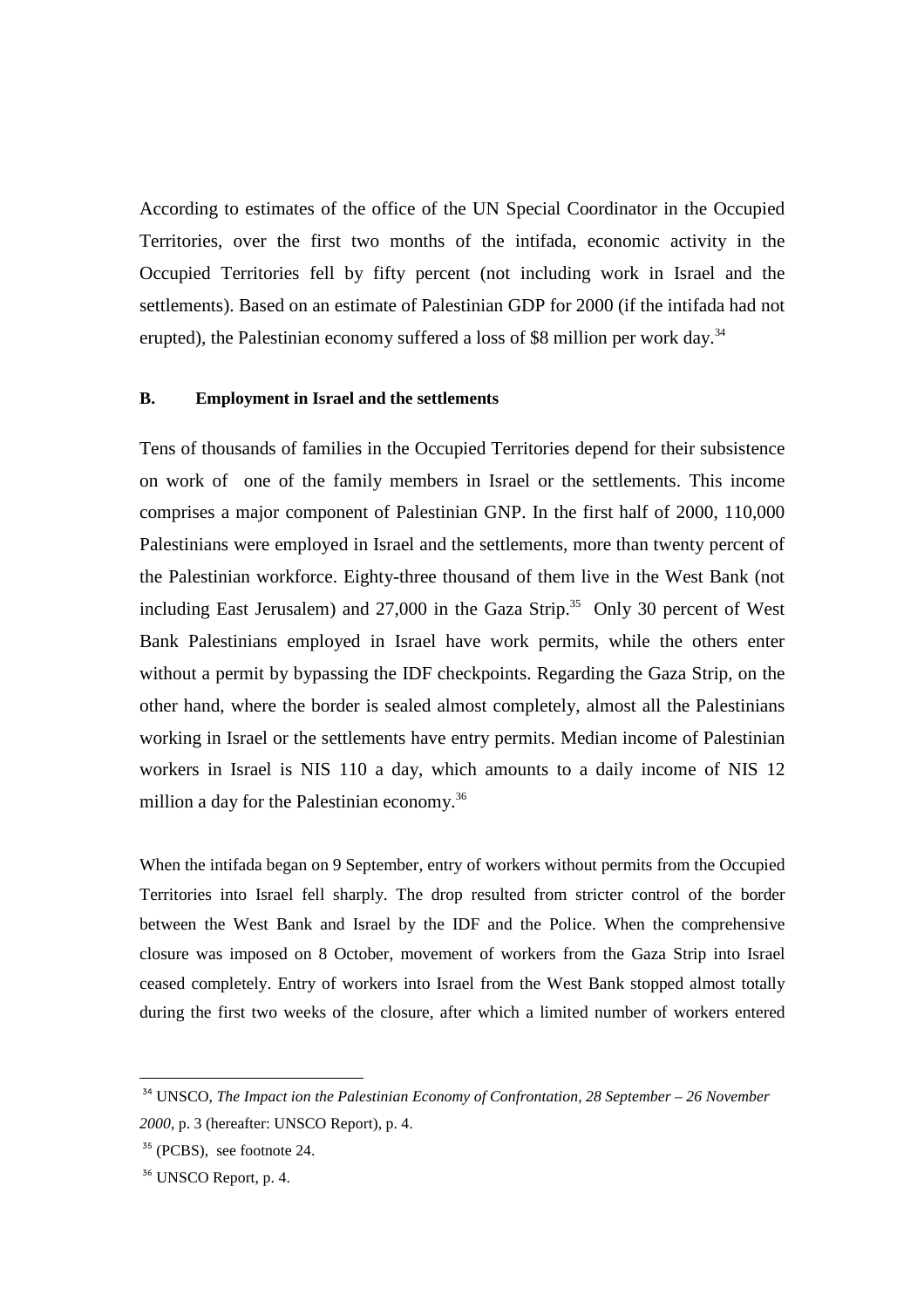According to estimates of the office of the UN Special Coordinator in the Occupied Territories, over the first two months of the intifada, economic activity in the Occupied Territories fell by fifty percent (not including work in Israel and the settlements). Based on an estimate of Palestinian GDP for 2000 (if the intifada had not erupted), the Palestinian economy suffered a loss of \$8 million per work day.<sup>34</sup>

### **B. Employment in Israel and the settlements**

Tens of thousands of families in the Occupied Territories depend for their subsistence on work of one of the family members in Israel or the settlements. This income comprises a major component of Palestinian GNP. In the first half of 2000, 110,000 Palestinians were employed in Israel and the settlements, more than twenty percent of the Palestinian workforce. Eighty-three thousand of them live in the West Bank (not including East Jerusalem) and  $27,000$  in the Gaza Strip.<sup>35</sup> Only 30 percent of West Bank Palestinians employed in Israel have work permits, while the others enter without a permit by bypassing the IDF checkpoints. Regarding the Gaza Strip, on the other hand, where the border is sealed almost completely, almost all the Palestinians working in Israel or the settlements have entry permits. Median income of Palestinian workers in Israel is NIS 110 a day, which amounts to a daily income of NIS 12 million a day for the Palestinian economy.<sup>36</sup>

When the intifada began on 9 September, entry of workers without permits from the Occupied Territories into Israel fell sharply. The drop resulted from stricter control of the border between the West Bank and Israel by the IDF and the Police. When the comprehensive closure was imposed on 8 October, movement of workers from the Gaza Strip into Israel ceased completely. Entry of workers into Israel from the West Bank stopped almost totally during the first two weeks of the closure, after which a limited number of workers entered

<sup>34</sup> UNSCO, *The Impact ion the Palestinian Economy of Confrontation, 28 September – 26 November 2000*, p. 3 (hereafter: UNSCO Report), p. 4.

<sup>35</sup> (PCBS), see footnote 24.

<sup>&</sup>lt;sup>36</sup> UNSCO Report, p. 4.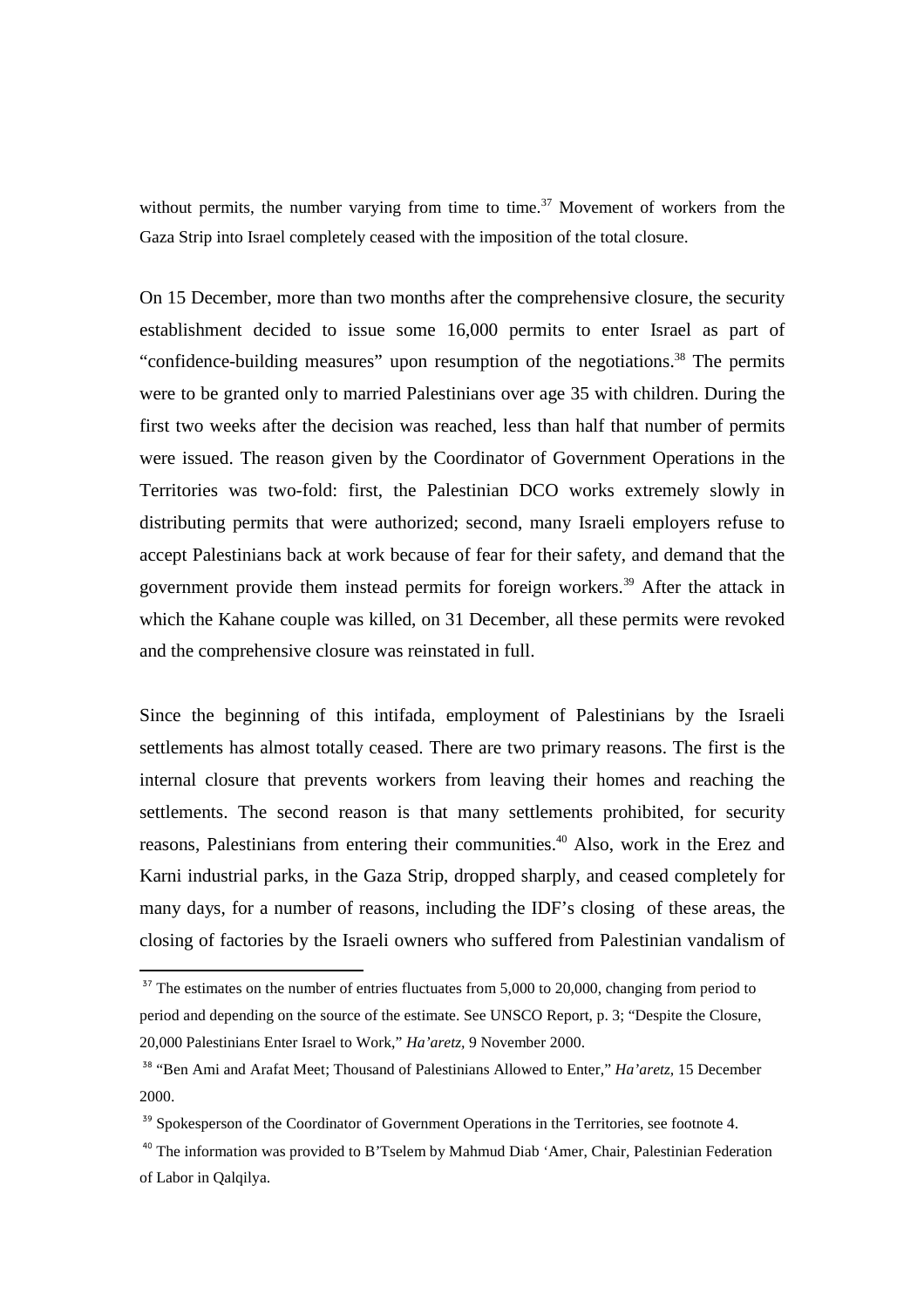without permits, the number varying from time to time.<sup>37</sup> Movement of workers from the Gaza Strip into Israel completely ceased with the imposition of the total closure.

On 15 December, more than two months after the comprehensive closure, the security establishment decided to issue some 16,000 permits to enter Israel as part of "confidence-building measures" upon resumption of the negotiations.<sup>38</sup> The permits were to be granted only to married Palestinians over age 35 with children. During the first two weeks after the decision was reached, less than half that number of permits were issued. The reason given by the Coordinator of Government Operations in the Territories was two-fold: first, the Palestinian DCO works extremely slowly in distributing permits that were authorized; second, many Israeli employers refuse to accept Palestinians back at work because of fear for their safety, and demand that the government provide them instead permits for foreign workers.<sup>39</sup> After the attack in which the Kahane couple was killed, on 31 December, all these permits were revoked and the comprehensive closure was reinstated in full.

Since the beginning of this intifada, employment of Palestinians by the Israeli settlements has almost totally ceased. There are two primary reasons. The first is the internal closure that prevents workers from leaving their homes and reaching the settlements. The second reason is that many settlements prohibited, for security reasons, Palestinians from entering their communities.<sup>40</sup> Also, work in the Erez and Karni industrial parks, in the Gaza Strip, dropped sharply, and ceased completely for many days, for a number of reasons, including the IDF's closing of these areas, the closing of factories by the Israeli owners who suffered from Palestinian vandalism of

 $37$  The estimates on the number of entries fluctuates from 5,000 to 20,000, changing from period to period and depending on the source of the estimate. See UNSCO Report, p. 3; "Despite the Closure, 20,000 Palestinians Enter Israel to Work," *Ha'aretz,* 9 November 2000.

<sup>38</sup> "Ben Ami and Arafat Meet; Thousand of Palestinians Allowed to Enter," *Ha'aretz,* 15 December 2000.

<sup>&</sup>lt;sup>39</sup> Spokesperson of the Coordinator of Government Operations in the Territories, see footnote 4.

<sup>&</sup>lt;sup>40</sup> The information was provided to B'Tselem by Mahmud Diab 'Amer, Chair, Palestinian Federation of Labor in Qalqilya.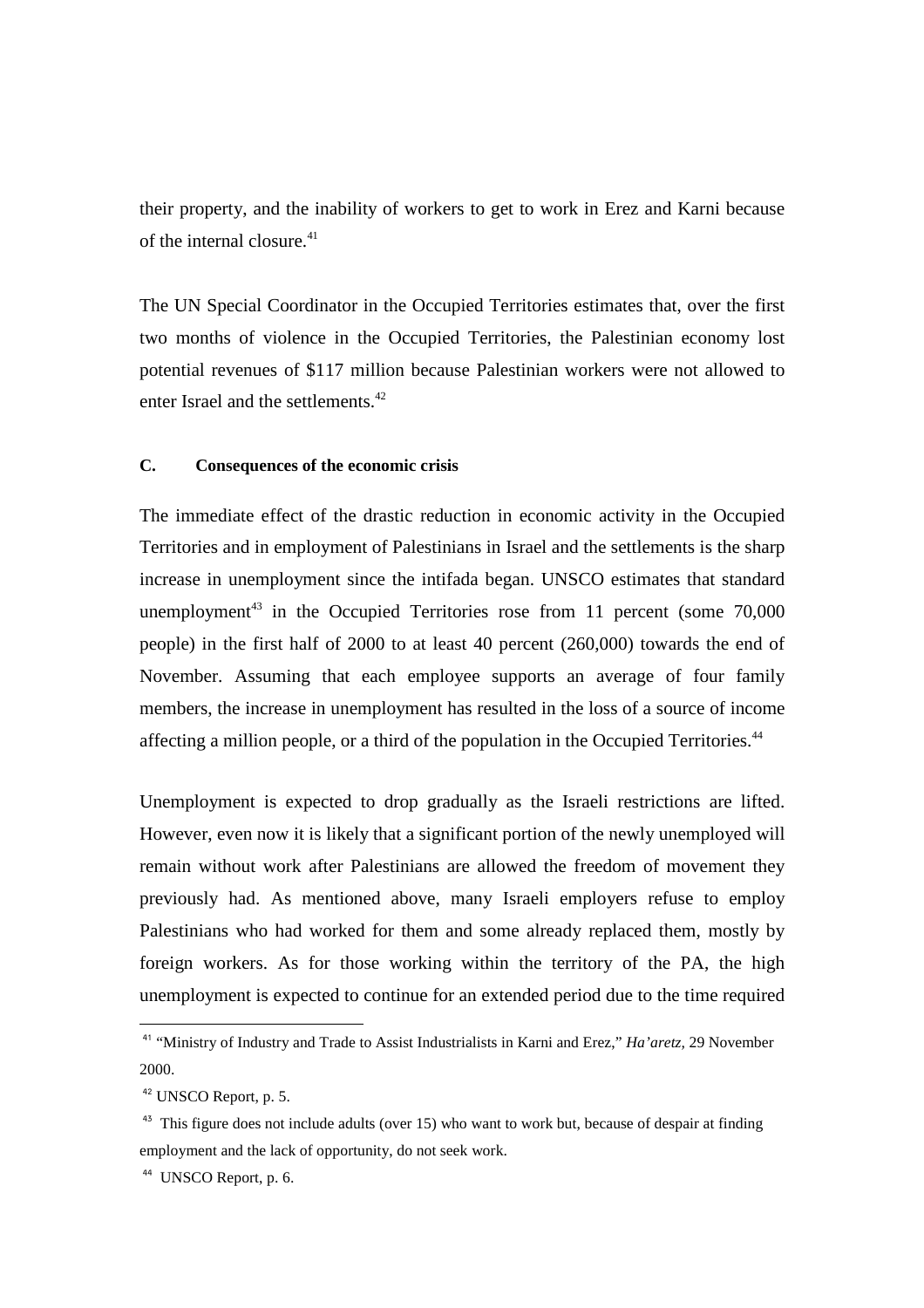their property, and the inability of workers to get to work in Erez and Karni because of the internal closure.<sup>41</sup>

The UN Special Coordinator in the Occupied Territories estimates that, over the first two months of violence in the Occupied Territories, the Palestinian economy lost potential revenues of \$117 million because Palestinian workers were not allowed to enter Israel and the settlements.<sup>42</sup>

### **C. Consequences of the economic crisis**

The immediate effect of the drastic reduction in economic activity in the Occupied Territories and in employment of Palestinians in Israel and the settlements is the sharp increase in unemployment since the intifada began. UNSCO estimates that standard unemployment<sup>43</sup> in the Occupied Territories rose from 11 percent (some  $70,000$ people) in the first half of 2000 to at least 40 percent (260,000) towards the end of November. Assuming that each employee supports an average of four family members, the increase in unemployment has resulted in the loss of a source of income affecting a million people, or a third of the population in the Occupied Territories.<sup>44</sup>

Unemployment is expected to drop gradually as the Israeli restrictions are lifted. However, even now it is likely that a significant portion of the newly unemployed will remain without work after Palestinians are allowed the freedom of movement they previously had. As mentioned above, many Israeli employers refuse to employ Palestinians who had worked for them and some already replaced them, mostly by foreign workers. As for those working within the territory of the PA, the high unemployment is expected to continue for an extended period due to the time required

<sup>41</sup> "Ministry of Industry and Trade to Assist Industrialists in Karni and Erez," *Ha'aretz,* 29 November 2000.

<sup>42</sup> UNSCO Report, p. 5.

 $43$  This figure does not include adults (over 15) who want to work but, because of despair at finding employment and the lack of opportunity, do not seek work.

<sup>&</sup>lt;sup>44</sup> UNSCO Report, p. 6.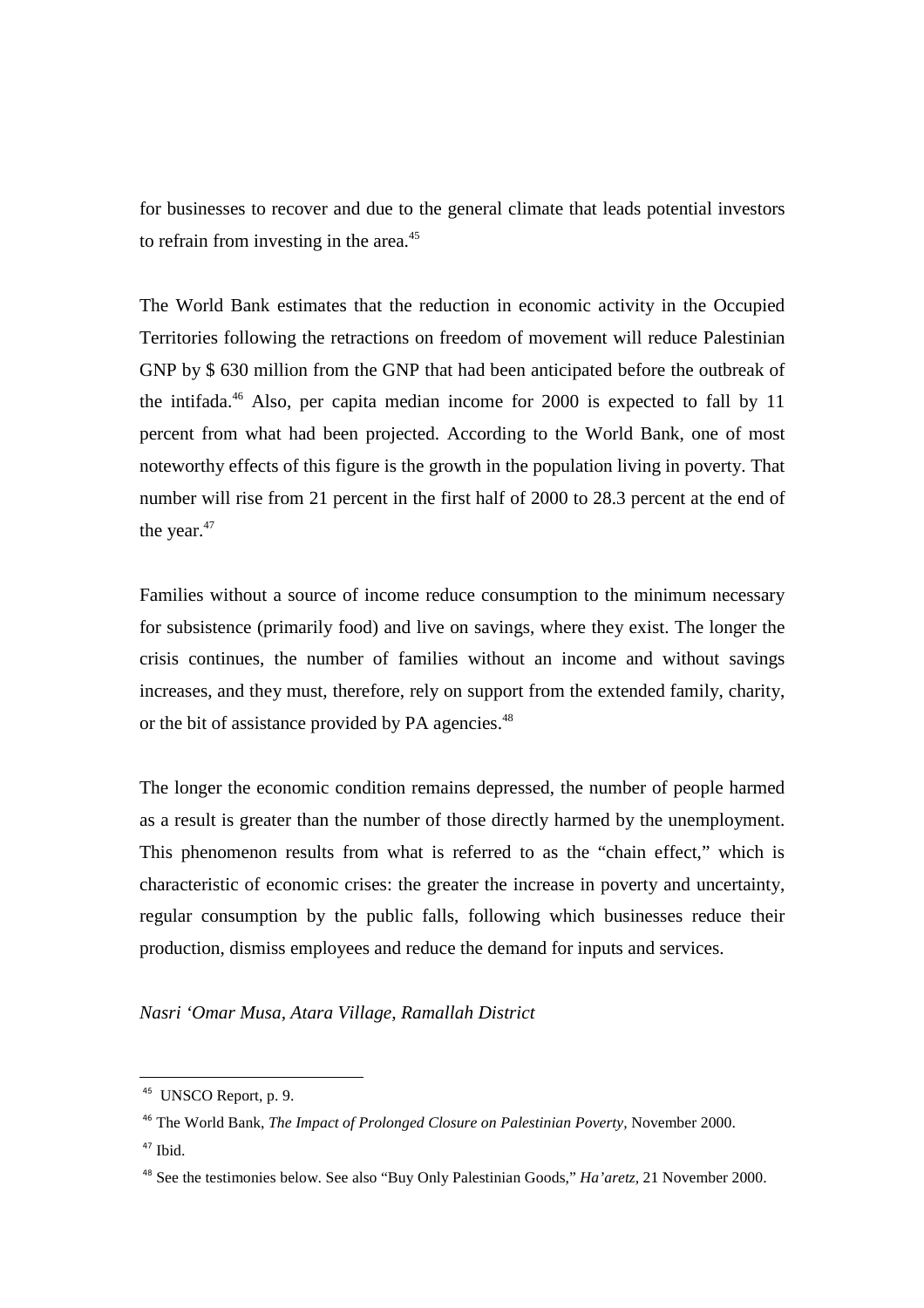for businesses to recover and due to the general climate that leads potential investors to refrain from investing in the area.<sup>45</sup>

The World Bank estimates that the reduction in economic activity in the Occupied Territories following the retractions on freedom of movement will reduce Palestinian GNP by \$ 630 million from the GNP that had been anticipated before the outbreak of the intifada.<sup>46</sup> Also, per capita median income for  $2000$  is expected to fall by 11 percent from what had been projected. According to the World Bank, one of most noteworthy effects of this figure is the growth in the population living in poverty. That number will rise from 21 percent in the first half of 2000 to 28.3 percent at the end of the year.<sup>47</sup>

Families without a source of income reduce consumption to the minimum necessary for subsistence (primarily food) and live on savings, where they exist. The longer the crisis continues, the number of families without an income and without savings increases, and they must, therefore, rely on support from the extended family, charity, or the bit of assistance provided by PA agencies.<sup>48</sup>

The longer the economic condition remains depressed, the number of people harmed as a result is greater than the number of those directly harmed by the unemployment. This phenomenon results from what is referred to as the "chain effect," which is characteristic of economic crises: the greater the increase in poverty and uncertainty, regular consumption by the public falls, following which businesses reduce their production, dismiss employees and reduce the demand for inputs and services.

*Nasri 'Omar Musa, Atara Village, Ramallah District* 

<sup>&</sup>lt;sup>45</sup> UNSCO Report, p. 9.

<sup>46</sup> The World Bank, *The Impact of Prolonged Closure on Palestinian Poverty,* November 2000.  $47$  Ibid.

<sup>48</sup> See the testimonies below. See also "Buy Only Palestinian Goods," *Ha'aretz,* 21 November 2000.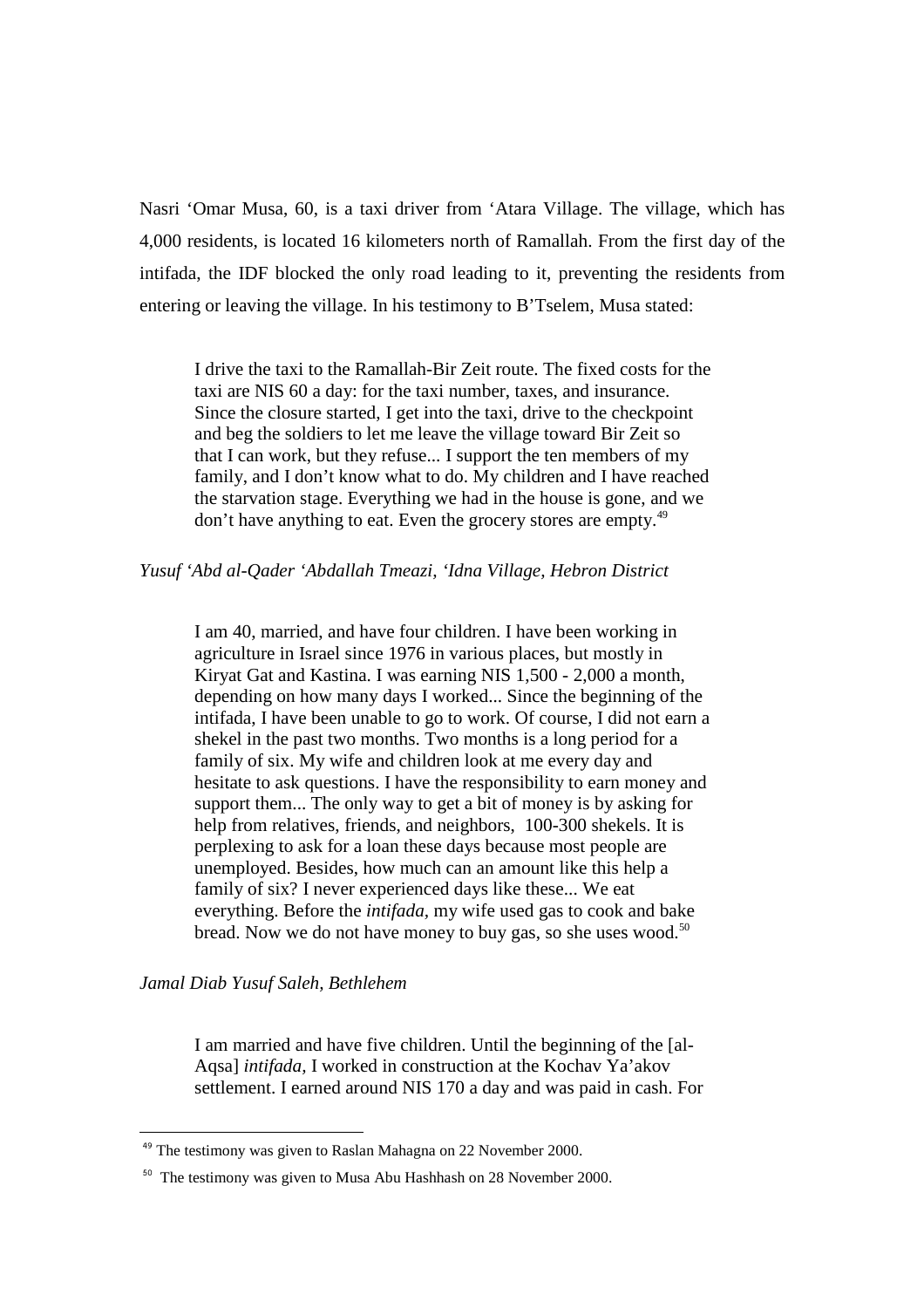Nasri 'Omar Musa, 60, is a taxi driver from 'Atara Village. The village, which has 4,000 residents, is located 16 kilometers north of Ramallah. From the first day of the intifada, the IDF blocked the only road leading to it, preventing the residents from entering or leaving the village. In his testimony to B'Tselem, Musa stated:

I drive the taxi to the Ramallah-Bir Zeit route. The fixed costs for the taxi are NIS 60 a day: for the taxi number, taxes, and insurance. Since the closure started, I get into the taxi, drive to the checkpoint and beg the soldiers to let me leave the village toward Bir Zeit so that I can work, but they refuse... I support the ten members of my family, and I don't know what to do. My children and I have reached the starvation stage. Everything we had in the house is gone, and we don't have anything to eat. Even the grocery stores are empty.<sup>49</sup>

## *Yusuf 'Abd al-Qader 'Abdallah Tmeazi, 'Idna Village, Hebron District*

I am 40, married, and have four children. I have been working in agriculture in Israel since 1976 in various places, but mostly in Kiryat Gat and Kastina. I was earning NIS 1,500 - 2,000 a month, depending on how many days I worked... Since the beginning of the intifada, I have been unable to go to work. Of course, I did not earn a shekel in the past two months. Two months is a long period for a family of six. My wife and children look at me every day and hesitate to ask questions. I have the responsibility to earn money and support them... The only way to get a bit of money is by asking for help from relatives, friends, and neighbors, 100-300 shekels. It is perplexing to ask for a loan these days because most people are unemployed. Besides, how much can an amount like this help a family of six? I never experienced days like these... We eat everything. Before the *intifada,* my wife used gas to cook and bake bread. Now we do not have money to buy gas, so she uses wood.<sup>50</sup>

*Jamal Diab Yusuf Saleh, Bethlehem* 

 $\overline{a}$ 

I am married and have five children. Until the beginning of the [al-Aqsa] *intifada,* I worked in construction at the Kochav Ya'akov settlement. I earned around NIS 170 a day and was paid in cash. For

 $49$  The testimony was given to Raslan Mahagna on 22 November 2000.

<sup>&</sup>lt;sup>50</sup> The testimony was given to Musa Abu Hashhash on 28 November 2000.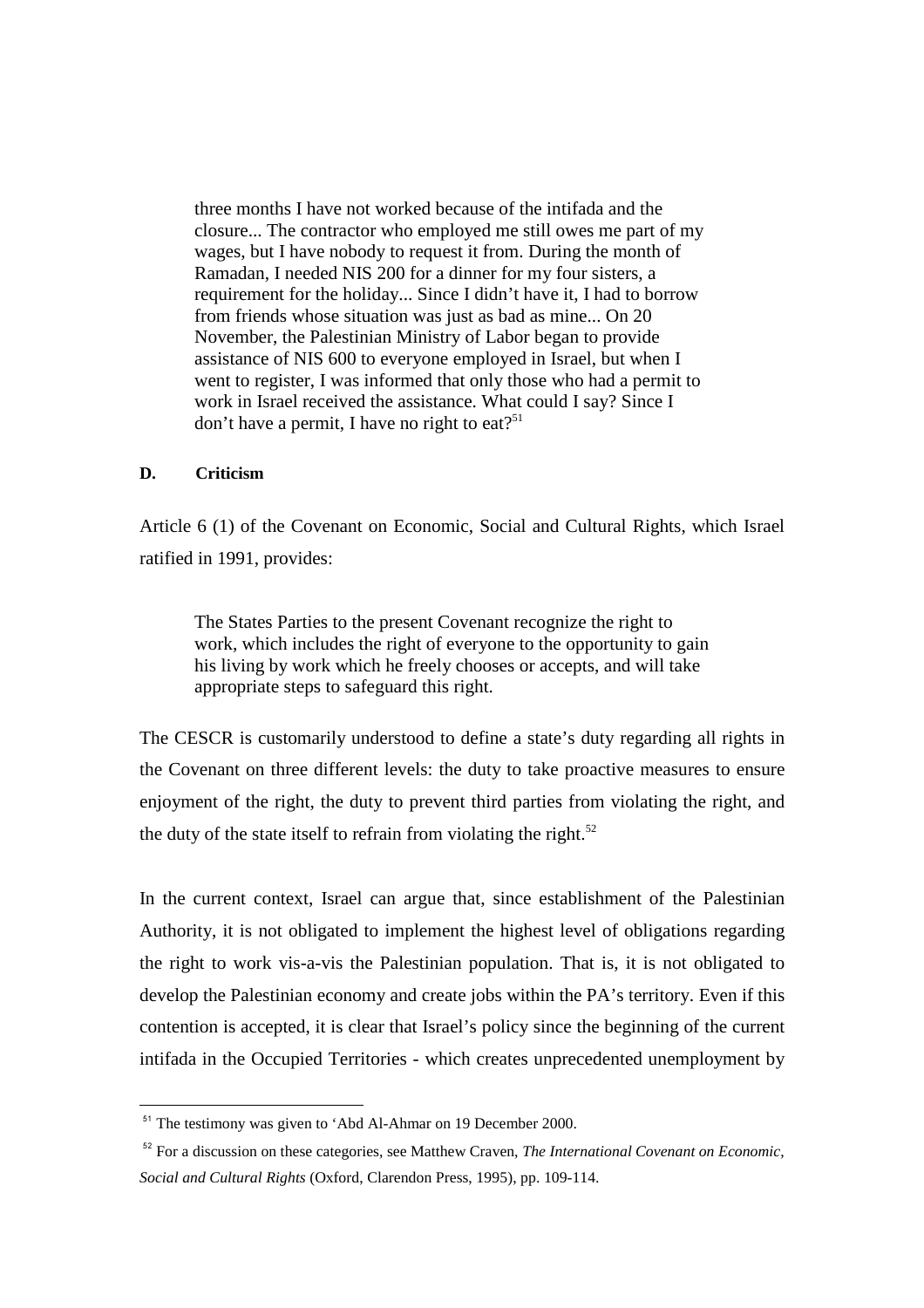three months I have not worked because of the intifada and the closure... The contractor who employed me still owes me part of my wages, but I have nobody to request it from. During the month of Ramadan, I needed NIS 200 for a dinner for my four sisters, a requirement for the holiday... Since I didn't have it, I had to borrow from friends whose situation was just as bad as mine... On 20 November, the Palestinian Ministry of Labor began to provide assistance of NIS 600 to everyone employed in Israel, but when I went to register, I was informed that only those who had a permit to work in Israel received the assistance. What could I say? Since I don't have a permit, I have no right to eat?<sup>51</sup>

## **D. Criticism**

 $\overline{a}$ 

Article 6 (1) of the Covenant on Economic, Social and Cultural Rights, which Israel ratified in 1991, provides:

The States Parties to the present Covenant recognize the right to work, which includes the right of everyone to the opportunity to gain his living by work which he freely chooses or accepts, and will take appropriate steps to safeguard this right.

The CESCR is customarily understood to define a state's duty regarding all rights in the Covenant on three different levels: the duty to take proactive measures to ensure enjoyment of the right, the duty to prevent third parties from violating the right, and the duty of the state itself to refrain from violating the right.<sup>52</sup>

In the current context, Israel can argue that, since establishment of the Palestinian Authority, it is not obligated to implement the highest level of obligations regarding the right to work vis-a-vis the Palestinian population. That is, it is not obligated to develop the Palestinian economy and create jobs within the PA's territory. Even if this contention is accepted, it is clear that Israel's policy since the beginning of the current intifada in the Occupied Territories - which creates unprecedented unemployment by

<sup>&</sup>lt;sup>51</sup> The testimony was given to 'Abd Al-Ahmar on 19 December 2000.

<sup>52</sup> For a discussion on these categories, see Matthew Craven, *The International Covenant on Economic, Social and Cultural Rights* (Oxford, Clarendon Press, 1995), pp. 109-114.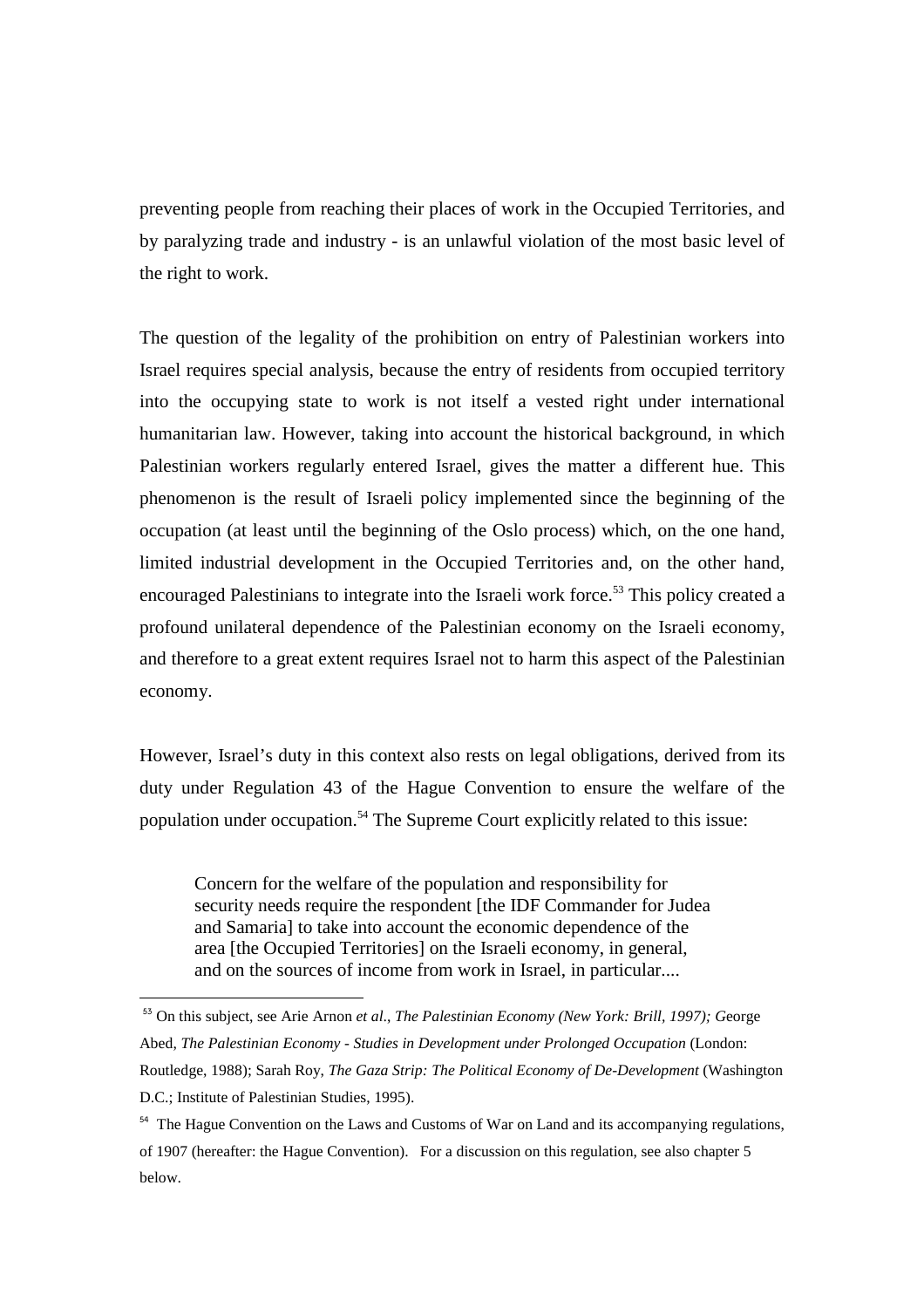preventing people from reaching their places of work in the Occupied Territories, and by paralyzing trade and industry - is an unlawful violation of the most basic level of the right to work.

The question of the legality of the prohibition on entry of Palestinian workers into Israel requires special analysis, because the entry of residents from occupied territory into the occupying state to work is not itself a vested right under international humanitarian law. However, taking into account the historical background, in which Palestinian workers regularly entered Israel, gives the matter a different hue. This phenomenon is the result of Israeli policy implemented since the beginning of the occupation (at least until the beginning of the Oslo process) which, on the one hand, limited industrial development in the Occupied Territories and, on the other hand, encouraged Palestinians to integrate into the Israeli work force.<sup>53</sup> This policy created a profound unilateral dependence of the Palestinian economy on the Israeli economy, and therefore to a great extent requires Israel not to harm this aspect of the Palestinian economy.

However, Israel's duty in this context also rests on legal obligations, derived from its duty under Regulation 43 of the Hague Convention to ensure the welfare of the population under occupation.<sup>54</sup> The Supreme Court explicitly related to this issue:

Concern for the welfare of the population and responsibility for security needs require the respondent [the IDF Commander for Judea and Samaria] to take into account the economic dependence of the area [the Occupied Territories] on the Israeli economy, in general, and on the sources of income from work in Israel, in particular....

<sup>53</sup> On this subject, see Arie Arnon *et al*., *The Palestinian Economy (New York: Brill, 1997); G*eorge Abed, *The Palestinian Economy - Studies in Development under Prolonged Occupation* (London: Routledge, 1988); Sarah Roy, *The Gaza Strip: The Political Economy of De-Development* (Washington D.C.; Institute of Palestinian Studies, 1995).

<sup>&</sup>lt;sup>54</sup> The Hague Convention on the Laws and Customs of War on Land and its accompanying regulations, of 1907 (hereafter: the Hague Convention). For a discussion on this regulation, see also chapter 5 below.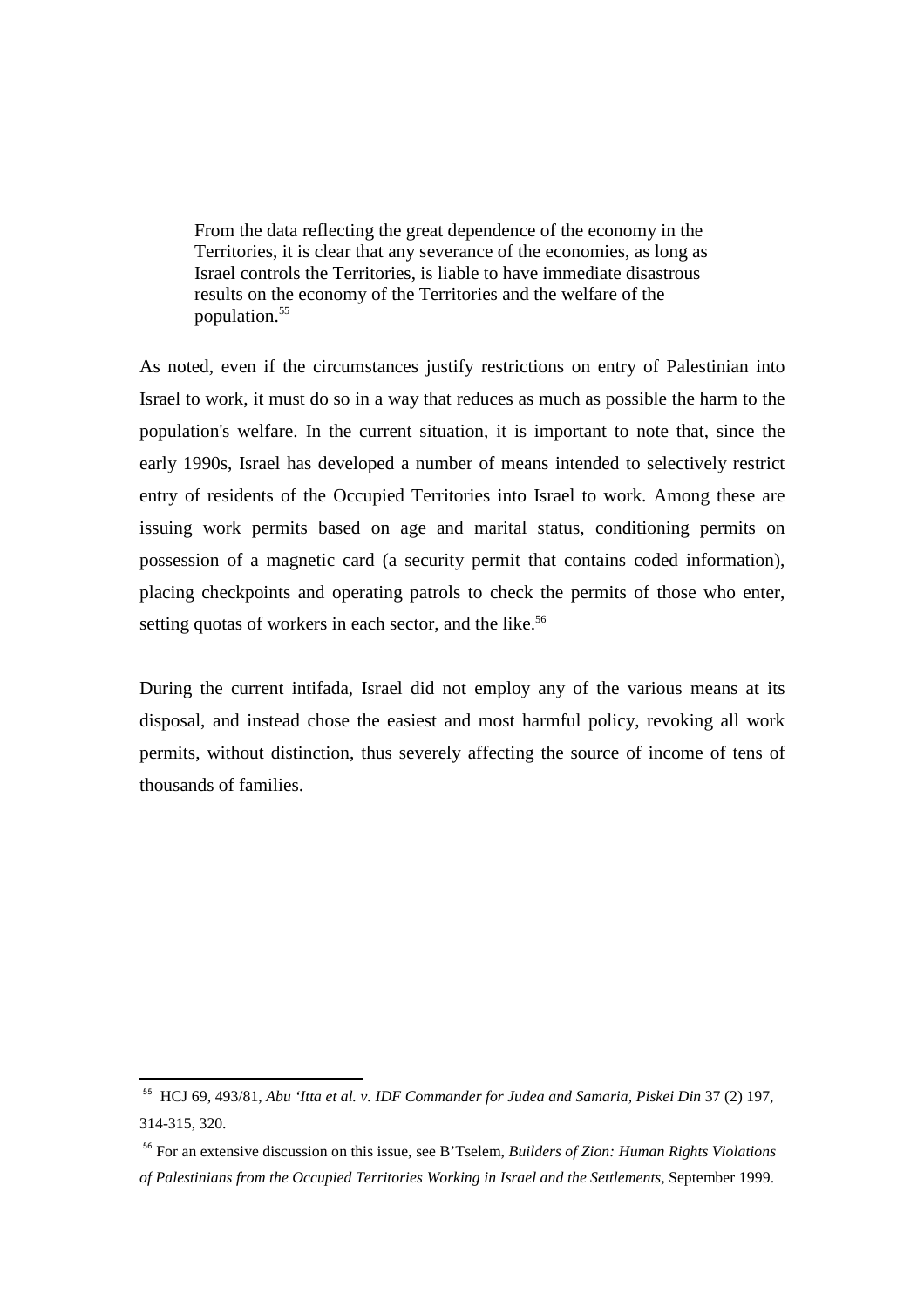From the data reflecting the great dependence of the economy in the Territories, it is clear that any severance of the economies, as long as Israel controls the Territories, is liable to have immediate disastrous results on the economy of the Territories and the welfare of the population.<sup>55</sup>

As noted, even if the circumstances justify restrictions on entry of Palestinian into Israel to work, it must do so in a way that reduces as much as possible the harm to the population's welfare. In the current situation, it is important to note that, since the early 1990s, Israel has developed a number of means intended to selectively restrict entry of residents of the Occupied Territories into Israel to work. Among these are issuing work permits based on age and marital status, conditioning permits on possession of a magnetic card (a security permit that contains coded information), placing checkpoints and operating patrols to check the permits of those who enter, setting quotas of workers in each sector, and the like.<sup>56</sup>

During the current intifada, Israel did not employ any of the various means at its disposal, and instead chose the easiest and most harmful policy, revoking all work permits, without distinction, thus severely affecting the source of income of tens of thousands of families.

<sup>55</sup> HCJ 69, 493/81, *Abu 'Itta et al. v. IDF Commander for Judea and Samaria, Piskei Din* 37 (2) 197, 314-315, 320.

<sup>56</sup> For an extensive discussion on this issue, see B'Tselem, *Builders of Zion: Human Rights Violations of Palestinians from the Occupied Territories Working in Israel and the Settlements,* September 1999.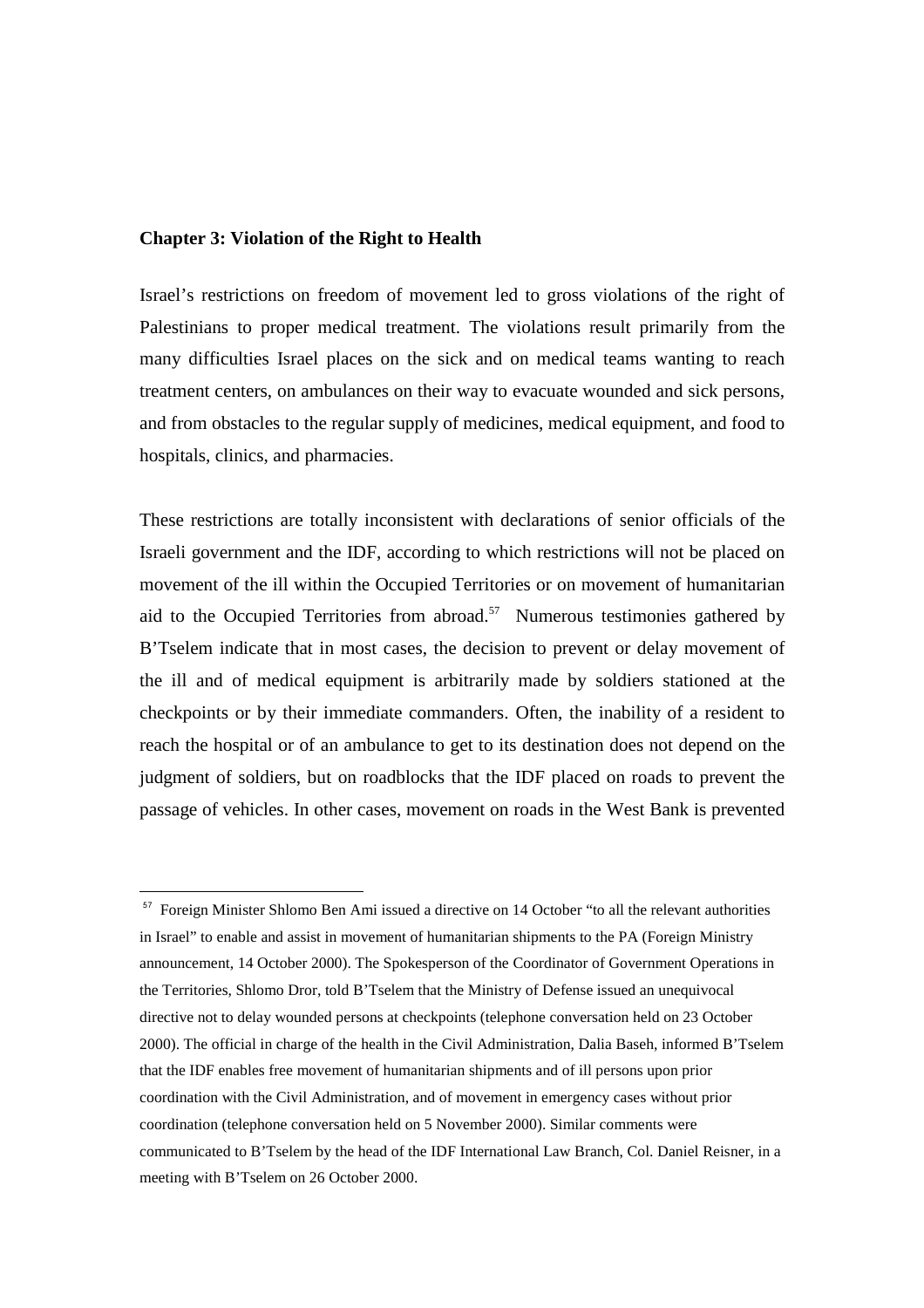### **Chapter 3: Violation of the Right to Health**

 $\overline{a}$ 

Israel's restrictions on freedom of movement led to gross violations of the right of Palestinians to proper medical treatment. The violations result primarily from the many difficulties Israel places on the sick and on medical teams wanting to reach treatment centers, on ambulances on their way to evacuate wounded and sick persons, and from obstacles to the regular supply of medicines, medical equipment, and food to hospitals, clinics, and pharmacies.

These restrictions are totally inconsistent with declarations of senior officials of the Israeli government and the IDF, according to which restrictions will not be placed on movement of the ill within the Occupied Territories or on movement of humanitarian aid to the Occupied Territories from abroad.<sup>57</sup> Numerous testimonies gathered by B'Tselem indicate that in most cases, the decision to prevent or delay movement of the ill and of medical equipment is arbitrarily made by soldiers stationed at the checkpoints or by their immediate commanders. Often, the inability of a resident to reach the hospital or of an ambulance to get to its destination does not depend on the judgment of soldiers, but on roadblocks that the IDF placed on roads to prevent the passage of vehicles. In other cases, movement on roads in the West Bank is prevented

<sup>&</sup>lt;sup>57</sup> Foreign Minister Shlomo Ben Ami issued a directive on 14 October "to all the relevant authorities in Israel" to enable and assist in movement of humanitarian shipments to the PA (Foreign Ministry announcement, 14 October 2000). The Spokesperson of the Coordinator of Government Operations in the Territories, Shlomo Dror, told B'Tselem that the Ministry of Defense issued an unequivocal directive not to delay wounded persons at checkpoints (telephone conversation held on 23 October 2000). The official in charge of the health in the Civil Administration, Dalia Baseh, informed B'Tselem that the IDF enables free movement of humanitarian shipments and of ill persons upon prior coordination with the Civil Administration, and of movement in emergency cases without prior coordination (telephone conversation held on 5 November 2000). Similar comments were communicated to B'Tselem by the head of the IDF International Law Branch, Col. Daniel Reisner, in a meeting with B'Tselem on 26 October 2000.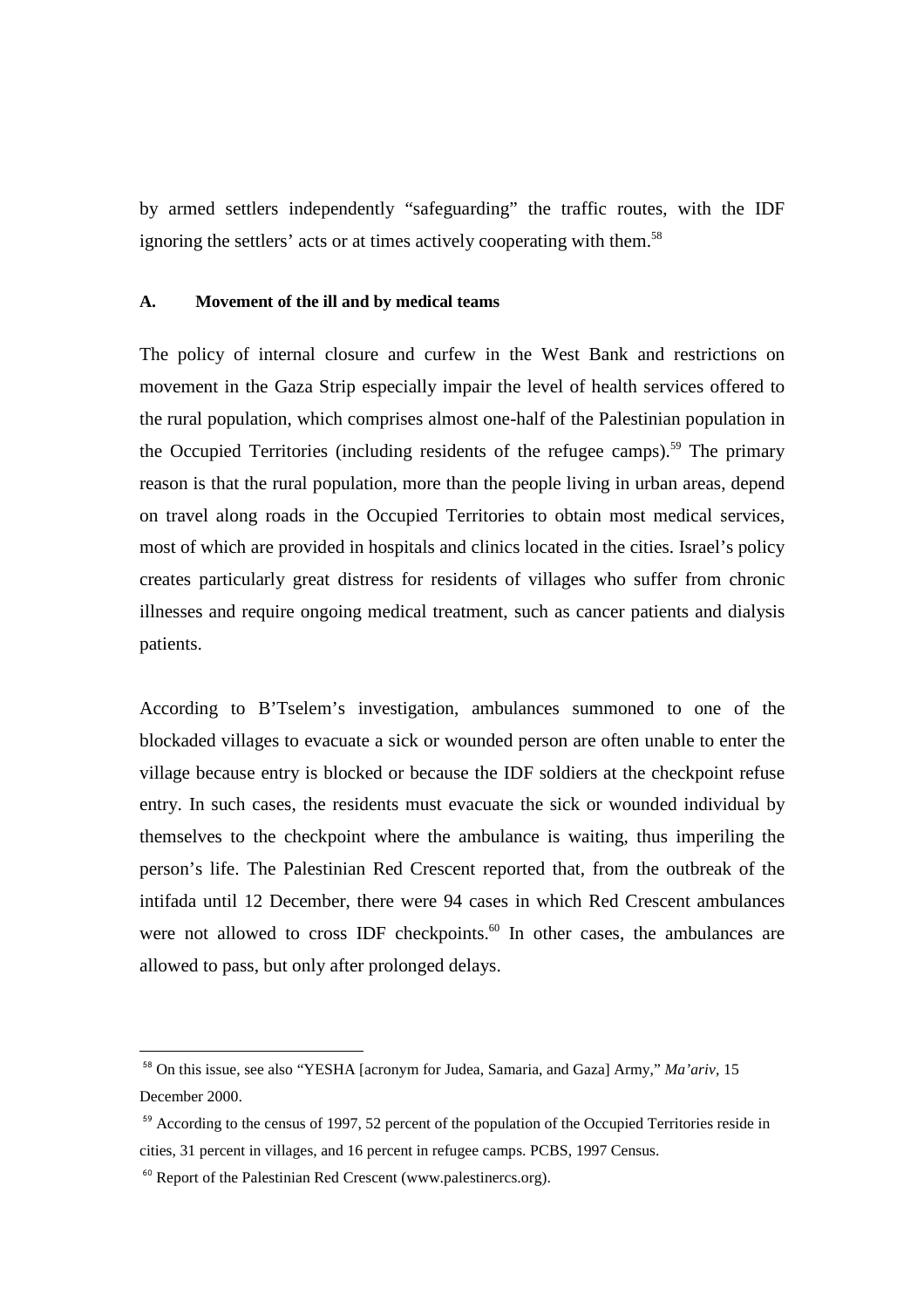by armed settlers independently "safeguarding" the traffic routes, with the IDF ignoring the settlers' acts or at times actively cooperating with them.<sup>58</sup>

## **A. Movement of the ill and by medical teams**

The policy of internal closure and curfew in the West Bank and restrictions on movement in the Gaza Strip especially impair the level of health services offered to the rural population, which comprises almost one-half of the Palestinian population in the Occupied Territories (including residents of the refugee camps).<sup>59</sup> The primary reason is that the rural population, more than the people living in urban areas, depend on travel along roads in the Occupied Territories to obtain most medical services, most of which are provided in hospitals and clinics located in the cities. Israel's policy creates particularly great distress for residents of villages who suffer from chronic illnesses and require ongoing medical treatment, such as cancer patients and dialysis patients.

According to B'Tselem's investigation, ambulances summoned to one of the blockaded villages to evacuate a sick or wounded person are often unable to enter the village because entry is blocked or because the IDF soldiers at the checkpoint refuse entry. In such cases, the residents must evacuate the sick or wounded individual by themselves to the checkpoint where the ambulance is waiting, thus imperiling the person's life. The Palestinian Red Crescent reported that, from the outbreak of the intifada until 12 December, there were 94 cases in which Red Crescent ambulances were not allowed to cross IDF checkpoints.<sup>60</sup> In other cases, the ambulances are allowed to pass, but only after prolonged delays.

<sup>58</sup> On this issue, see also "YESHA [acronym for Judea, Samaria, and Gaza] Army," *Ma'ariv,* 15 December 2000.

<sup>&</sup>lt;sup>59</sup> According to the census of 1997, 52 percent of the population of the Occupied Territories reside in cities, 31 percent in villages, and 16 percent in refugee camps. PCBS, 1997 Census.

<sup>&</sup>lt;sup>60</sup> Report of the Palestinian Red Crescent (www.palestinercs.org).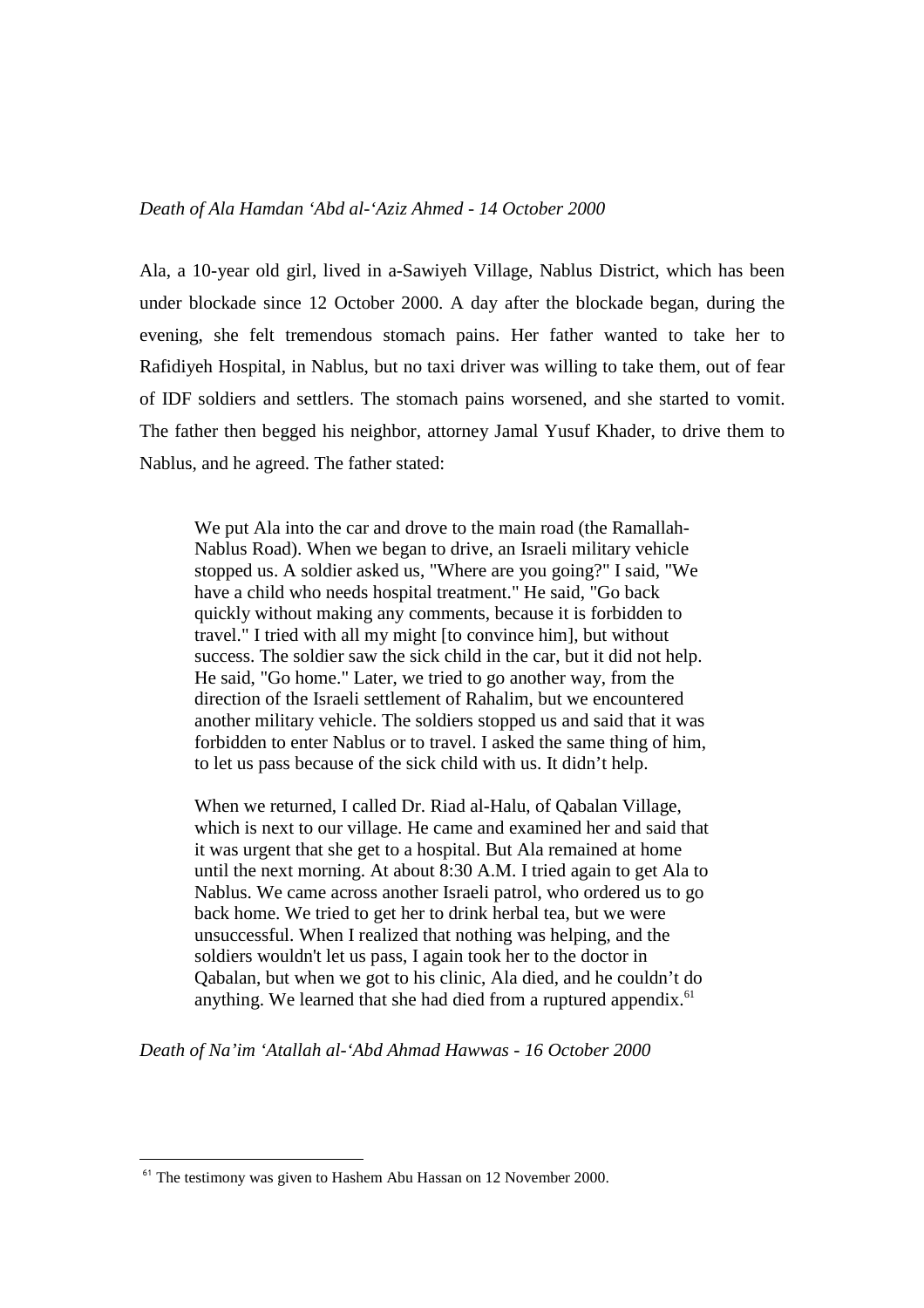Ala, a 10-year old girl, lived in a-Sawiyeh Village, Nablus District, which has been under blockade since 12 October 2000. A day after the blockade began, during the evening, she felt tremendous stomach pains. Her father wanted to take her to Rafidiyeh Hospital, in Nablus, but no taxi driver was willing to take them, out of fear of IDF soldiers and settlers. The stomach pains worsened, and she started to vomit. The father then begged his neighbor, attorney Jamal Yusuf Khader, to drive them to Nablus, and he agreed. The father stated:

We put Ala into the car and drove to the main road (the Ramallah-Nablus Road). When we began to drive, an Israeli military vehicle stopped us. A soldier asked us, "Where are you going?" I said, "We have a child who needs hospital treatment." He said, "Go back quickly without making any comments, because it is forbidden to travel." I tried with all my might [to convince him], but without success. The soldier saw the sick child in the car, but it did not help. He said, "Go home." Later, we tried to go another way, from the direction of the Israeli settlement of Rahalim, but we encountered another military vehicle. The soldiers stopped us and said that it was forbidden to enter Nablus or to travel. I asked the same thing of him, to let us pass because of the sick child with us. It didn't help.

When we returned, I called Dr. Riad al-Halu, of Qabalan Village, which is next to our village. He came and examined her and said that it was urgent that she get to a hospital. But Ala remained at home until the next morning. At about 8:30 A.M. I tried again to get Ala to Nablus. We came across another Israeli patrol, who ordered us to go back home. We tried to get her to drink herbal tea, but we were unsuccessful. When I realized that nothing was helping, and the soldiers wouldn't let us pass, I again took her to the doctor in Qabalan, but when we got to his clinic, Ala died, and he couldn't do anything. We learned that she had died from a ruptured appendix. $61$ 

*Death of Na'im 'Atallah al-'Abd Ahmad Hawwas - 16 October 2000* 

<sup>&</sup>lt;sup>61</sup> The testimony was given to Hashem Abu Hassan on 12 November 2000.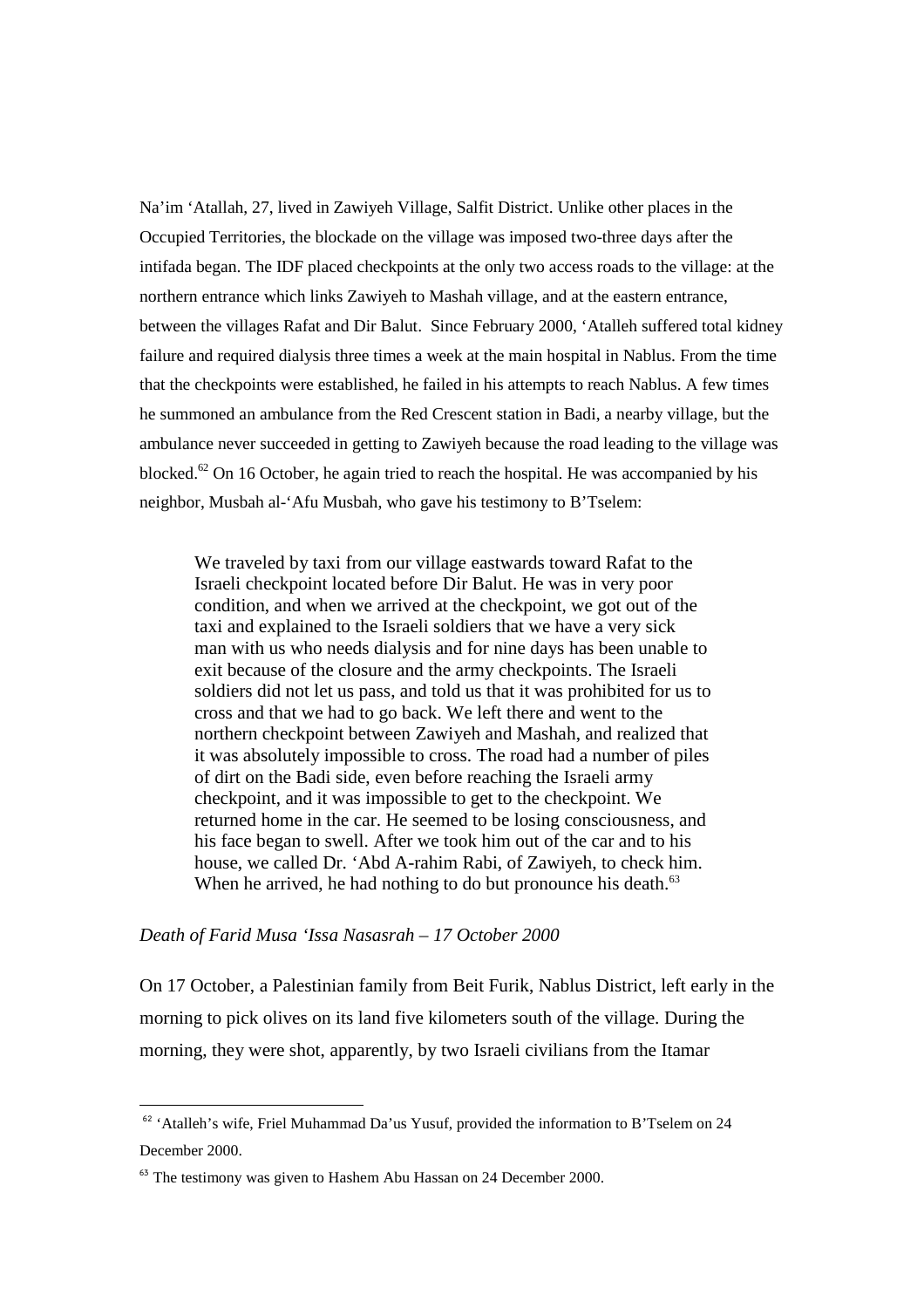Na'im 'Atallah, 27, lived in Zawiyeh Village, Salfit District. Unlike other places in the Occupied Territories, the blockade on the village was imposed two-three days after the intifada began. The IDF placed checkpoints at the only two access roads to the village: at the northern entrance which links Zawiyeh to Mashah village, and at the eastern entrance, between the villages Rafat and Dir Balut. Since February 2000, 'Atalleh suffered total kidney failure and required dialysis three times a week at the main hospital in Nablus. From the time that the checkpoints were established, he failed in his attempts to reach Nablus. A few times he summoned an ambulance from the Red Crescent station in Badi, a nearby village, but the ambulance never succeeded in getting to Zawiyeh because the road leading to the village was blocked.<sup>62</sup> On 16 October, he again tried to reach the hospital. He was accompanied by his neighbor, Musbah al-'Afu Musbah, who gave his testimony to B'Tselem:

We traveled by taxi from our village eastwards toward Rafat to the Israeli checkpoint located before Dir Balut. He was in very poor condition, and when we arrived at the checkpoint, we got out of the taxi and explained to the Israeli soldiers that we have a very sick man with us who needs dialysis and for nine days has been unable to exit because of the closure and the army checkpoints. The Israeli soldiers did not let us pass, and told us that it was prohibited for us to cross and that we had to go back. We left there and went to the northern checkpoint between Zawiyeh and Mashah, and realized that it was absolutely impossible to cross. The road had a number of piles of dirt on the Badi side, even before reaching the Israeli army checkpoint, and it was impossible to get to the checkpoint. We returned home in the car. He seemed to be losing consciousness, and his face began to swell. After we took him out of the car and to his house, we called Dr. 'Abd A-rahim Rabi, of Zawiyeh, to check him. When he arrived, he had nothing to do but pronounce his death. $63$ 

#### *Death of Farid Musa 'Issa Nasasrah – 17 October 2000*

 $\overline{a}$ 

On 17 October, a Palestinian family from Beit Furik, Nablus District, left early in the morning to pick olives on its land five kilometers south of the village. During the morning, they were shot, apparently, by two Israeli civilians from the Itamar

<sup>&</sup>lt;sup>62</sup> 'Atalleh's wife, Friel Muhammad Da'us Yusuf, provided the information to B'Tselem on 24 December 2000.

<sup>&</sup>lt;sup>63</sup> The testimony was given to Hashem Abu Hassan on 24 December 2000.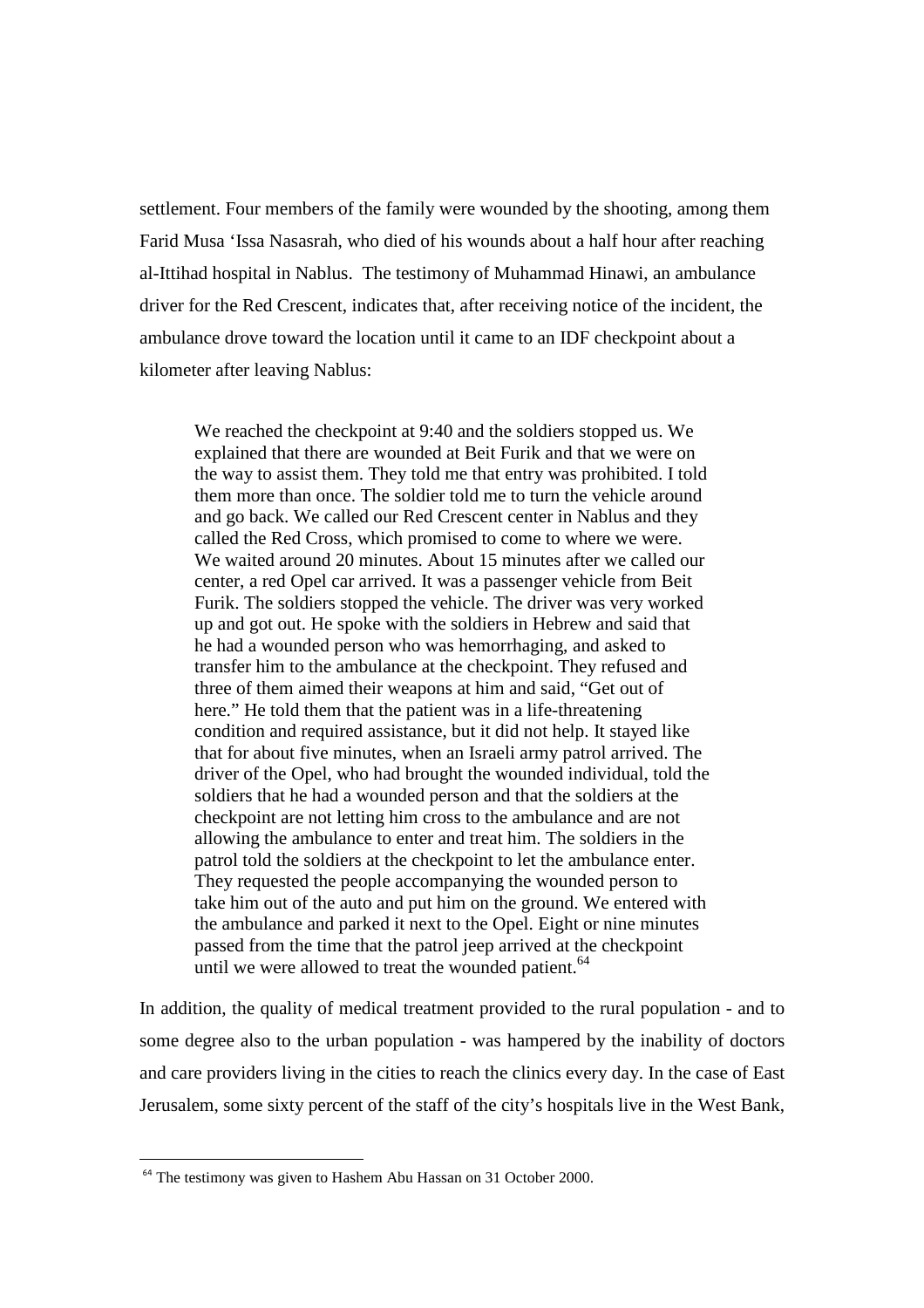settlement. Four members of the family were wounded by the shooting, among them Farid Musa 'Issa Nasasrah, who died of his wounds about a half hour after reaching al-Ittihad hospital in Nablus. The testimony of Muhammad Hinawi, an ambulance driver for the Red Crescent, indicates that, after receiving notice of the incident, the ambulance drove toward the location until it came to an IDF checkpoint about a kilometer after leaving Nablus:

We reached the checkpoint at 9:40 and the soldiers stopped us. We explained that there are wounded at Beit Furik and that we were on the way to assist them. They told me that entry was prohibited. I told them more than once. The soldier told me to turn the vehicle around and go back. We called our Red Crescent center in Nablus and they called the Red Cross, which promised to come to where we were. We waited around 20 minutes. About 15 minutes after we called our center, a red Opel car arrived. It was a passenger vehicle from Beit Furik. The soldiers stopped the vehicle. The driver was very worked up and got out. He spoke with the soldiers in Hebrew and said that he had a wounded person who was hemorrhaging, and asked to transfer him to the ambulance at the checkpoint. They refused and three of them aimed their weapons at him and said, "Get out of here." He told them that the patient was in a life-threatening condition and required assistance, but it did not help. It stayed like that for about five minutes, when an Israeli army patrol arrived. The driver of the Opel, who had brought the wounded individual, told the soldiers that he had a wounded person and that the soldiers at the checkpoint are not letting him cross to the ambulance and are not allowing the ambulance to enter and treat him. The soldiers in the patrol told the soldiers at the checkpoint to let the ambulance enter. They requested the people accompanying the wounded person to take him out of the auto and put him on the ground. We entered with the ambulance and parked it next to the Opel. Eight or nine minutes passed from the time that the patrol jeep arrived at the checkpoint until we were allowed to treat the wounded patient.<sup>64</sup>

In addition, the quality of medical treatment provided to the rural population - and to some degree also to the urban population - was hampered by the inability of doctors and care providers living in the cities to reach the clinics every day. In the case of East Jerusalem, some sixty percent of the staff of the city's hospitals live in the West Bank,

<sup>&</sup>lt;sup>64</sup> The testimony was given to Hashem Abu Hassan on 31 October 2000.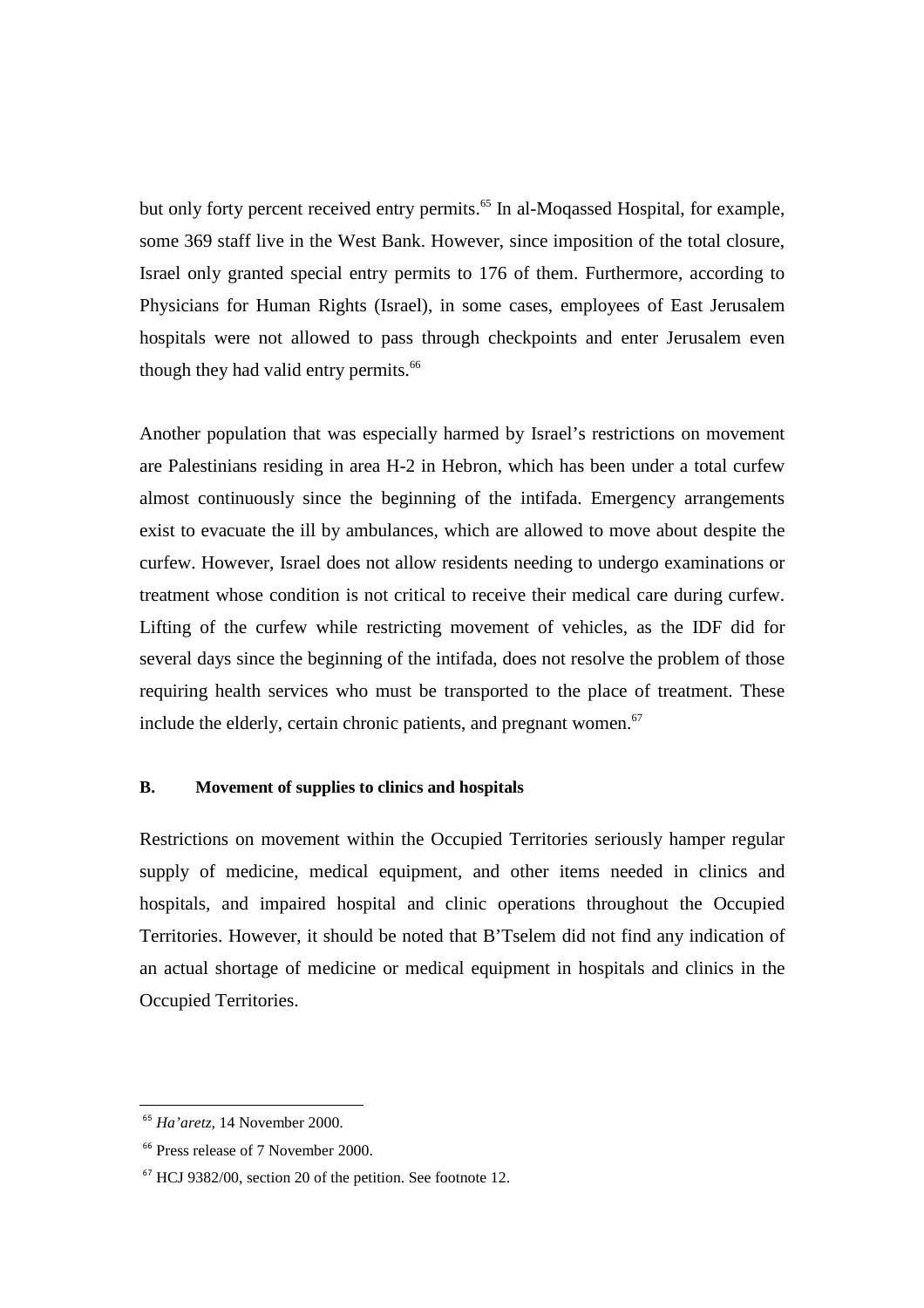but only forty percent received entry permits.<sup>65</sup> In al-Moqassed Hospital, for example, some 369 staff live in the West Bank. However, since imposition of the total closure, Israel only granted special entry permits to 176 of them. Furthermore, according to Physicians for Human Rights (Israel), in some cases, employees of East Jerusalem hospitals were not allowed to pass through checkpoints and enter Jerusalem even though they had valid entry permits.<sup>66</sup>

Another population that was especially harmed by Israel's restrictions on movement are Palestinians residing in area H-2 in Hebron, which has been under a total curfew almost continuously since the beginning of the intifada. Emergency arrangements exist to evacuate the ill by ambulances, which are allowed to move about despite the curfew. However, Israel does not allow residents needing to undergo examinations or treatment whose condition is not critical to receive their medical care during curfew. Lifting of the curfew while restricting movement of vehicles, as the IDF did for several days since the beginning of the intifada, does not resolve the problem of those requiring health services who must be transported to the place of treatment. These include the elderly, certain chronic patients, and pregnant women. $67$ 

## **B. Movement of supplies to clinics and hospitals**

Restrictions on movement within the Occupied Territories seriously hamper regular supply of medicine, medical equipment, and other items needed in clinics and hospitals, and impaired hospital and clinic operations throughout the Occupied Territories. However, it should be noted that B'Tselem did not find any indication of an actual shortage of medicine or medical equipment in hospitals and clinics in the Occupied Territories.

<sup>65</sup> *Ha'aretz,* 14 November 2000.

<sup>66</sup> Press release of 7 November 2000.

<sup>67</sup> HCJ 9382/00, section 20 of the petition. See footnote 12.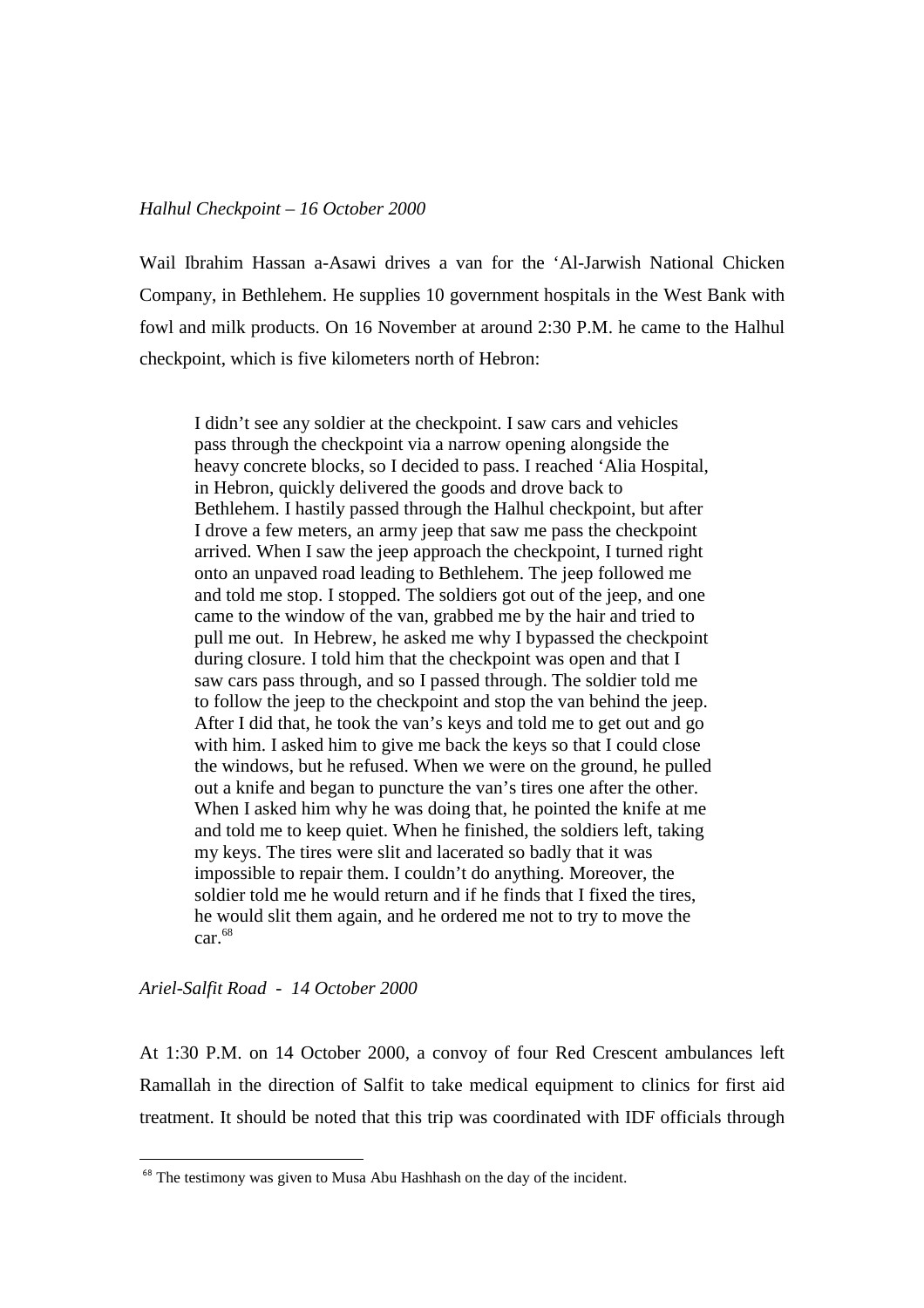#### *Halhul Checkpoint – 16 October 2000*

Wail Ibrahim Hassan a-Asawi drives a van for the 'Al-Jarwish National Chicken Company, in Bethlehem. He supplies 10 government hospitals in the West Bank with fowl and milk products. On 16 November at around 2:30 P.M. he came to the Halhul checkpoint, which is five kilometers north of Hebron:

I didn't see any soldier at the checkpoint. I saw cars and vehicles pass through the checkpoint via a narrow opening alongside the heavy concrete blocks, so I decided to pass. I reached 'Alia Hospital, in Hebron, quickly delivered the goods and drove back to Bethlehem. I hastily passed through the Halhul checkpoint, but after I drove a few meters, an army jeep that saw me pass the checkpoint arrived. When I saw the jeep approach the checkpoint, I turned right onto an unpaved road leading to Bethlehem. The jeep followed me and told me stop. I stopped. The soldiers got out of the jeep, and one came to the window of the van, grabbed me by the hair and tried to pull me out. In Hebrew, he asked me why I bypassed the checkpoint during closure. I told him that the checkpoint was open and that I saw cars pass through, and so I passed through. The soldier told me to follow the jeep to the checkpoint and stop the van behind the jeep. After I did that, he took the van's keys and told me to get out and go with him. I asked him to give me back the keys so that I could close the windows, but he refused. When we were on the ground, he pulled out a knife and began to puncture the van's tires one after the other. When I asked him why he was doing that, he pointed the knife at me and told me to keep quiet. When he finished, the soldiers left, taking my keys. The tires were slit and lacerated so badly that it was impossible to repair them. I couldn't do anything. Moreover, the soldier told me he would return and if he finds that I fixed the tires, he would slit them again, and he ordered me not to try to move the  $car.<sup>68</sup>$ 

#### *Ariel-Salfit Road - 14 October 2000*

 $\overline{a}$ 

At 1:30 P.M. on 14 October 2000, a convoy of four Red Crescent ambulances left Ramallah in the direction of Salfit to take medical equipment to clinics for first aid treatment. It should be noted that this trip was coordinated with IDF officials through

<sup>&</sup>lt;sup>68</sup> The testimony was given to Musa Abu Hashhash on the day of the incident.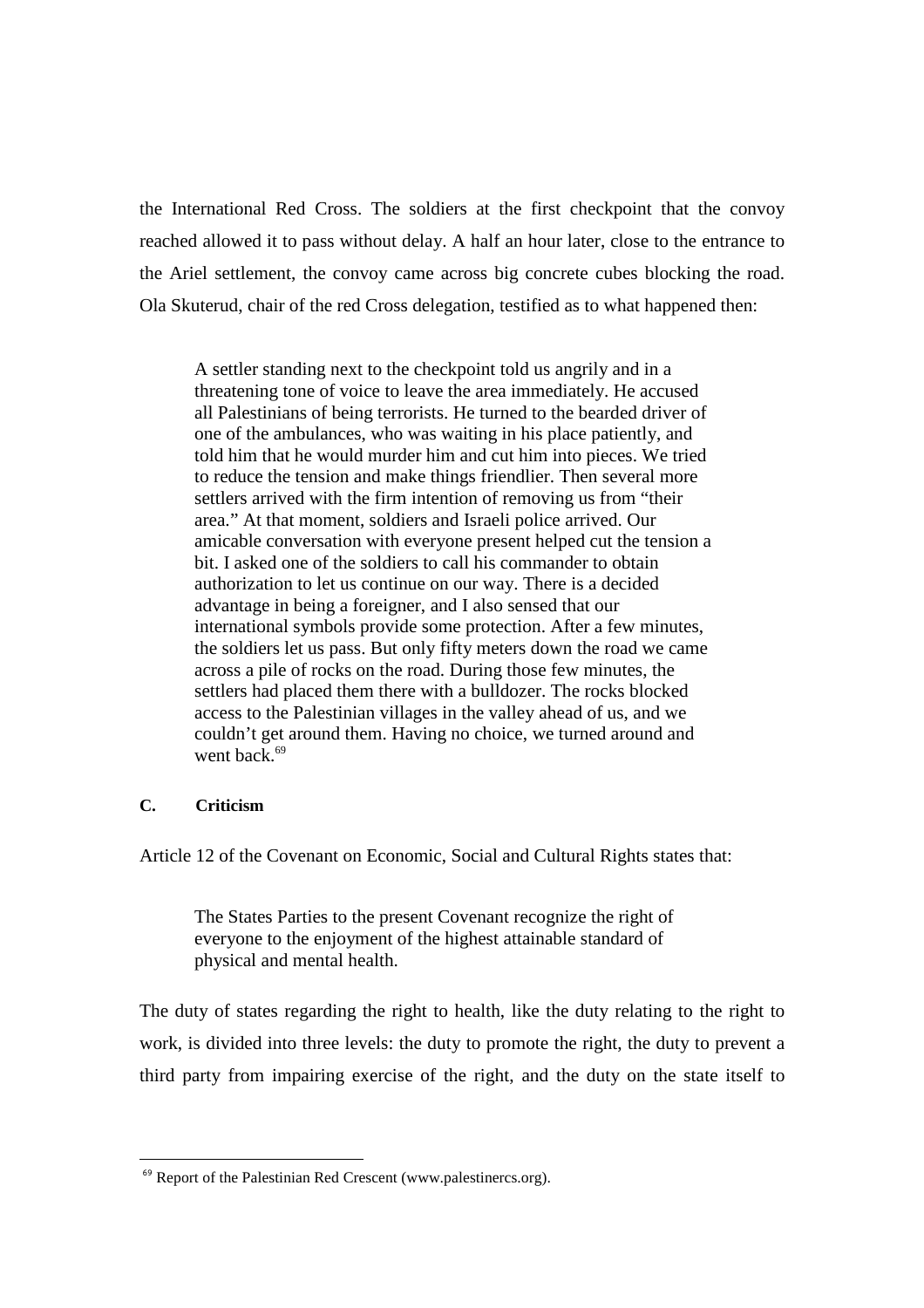the International Red Cross. The soldiers at the first checkpoint that the convoy reached allowed it to pass without delay. A half an hour later, close to the entrance to the Ariel settlement, the convoy came across big concrete cubes blocking the road. Ola Skuterud, chair of the red Cross delegation, testified as to what happened then:

A settler standing next to the checkpoint told us angrily and in a threatening tone of voice to leave the area immediately. He accused all Palestinians of being terrorists. He turned to the bearded driver of one of the ambulances, who was waiting in his place patiently, and told him that he would murder him and cut him into pieces. We tried to reduce the tension and make things friendlier. Then several more settlers arrived with the firm intention of removing us from "their area." At that moment, soldiers and Israeli police arrived. Our amicable conversation with everyone present helped cut the tension a bit. I asked one of the soldiers to call his commander to obtain authorization to let us continue on our way. There is a decided advantage in being a foreigner, and I also sensed that our international symbols provide some protection. After a few minutes, the soldiers let us pass. But only fifty meters down the road we came across a pile of rocks on the road. During those few minutes, the settlers had placed them there with a bulldozer. The rocks blocked access to the Palestinian villages in the valley ahead of us, and we couldn't get around them. Having no choice, we turned around and went back.<sup>69</sup>

## **C. Criticism**

 $\overline{a}$ 

Article 12 of the Covenant on Economic, Social and Cultural Rights states that:

The States Parties to the present Covenant recognize the right of everyone to the enjoyment of the highest attainable standard of physical and mental health.

The duty of states regarding the right to health, like the duty relating to the right to work, is divided into three levels: the duty to promote the right, the duty to prevent a third party from impairing exercise of the right, and the duty on the state itself to

<sup>&</sup>lt;sup>69</sup> Report of the Palestinian Red Crescent (www.palestinercs.org).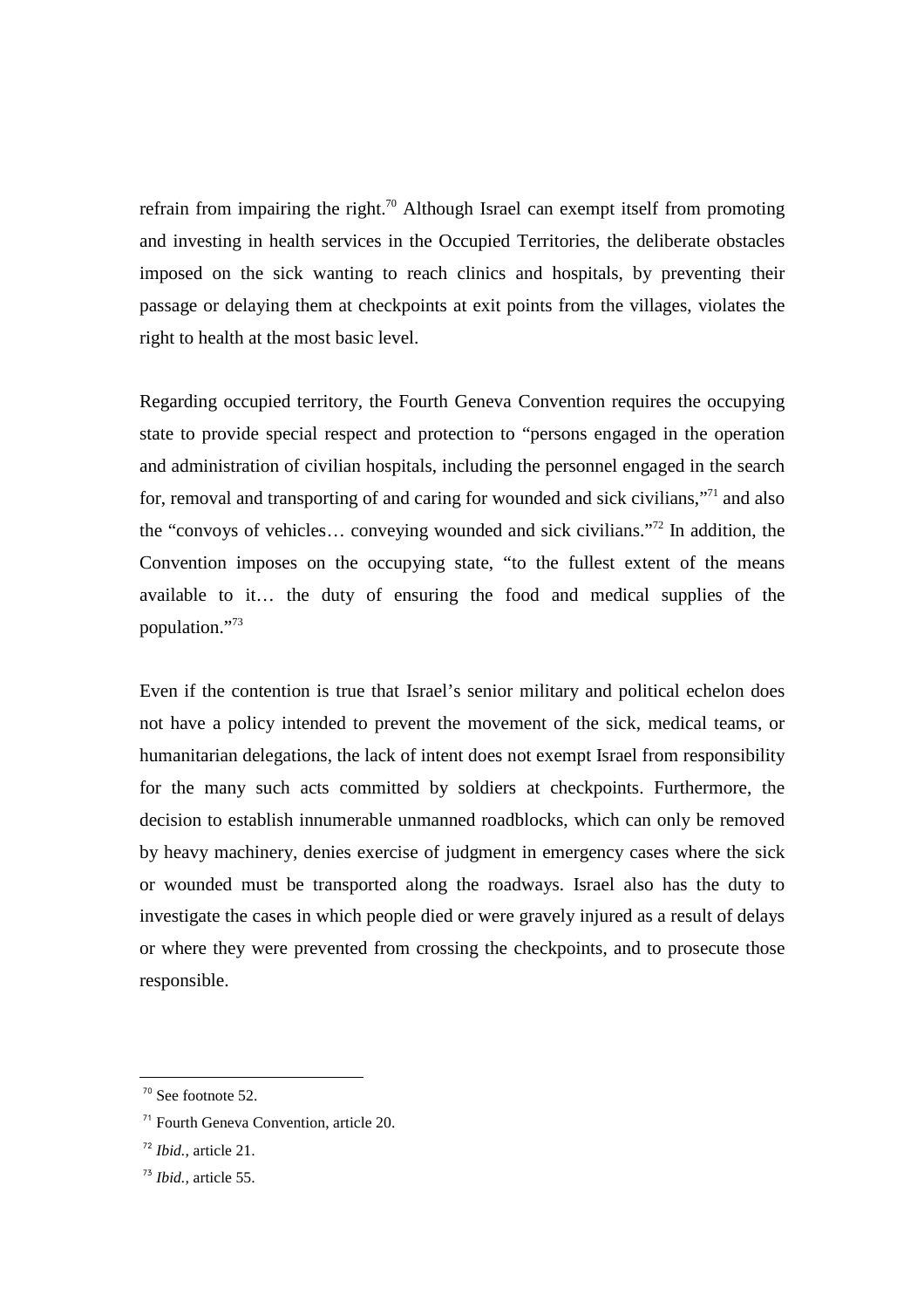refrain from impairing the right.<sup>70</sup> Although Israel can exempt itself from promoting and investing in health services in the Occupied Territories, the deliberate obstacles imposed on the sick wanting to reach clinics and hospitals, by preventing their passage or delaying them at checkpoints at exit points from the villages, violates the right to health at the most basic level.

Regarding occupied territory, the Fourth Geneva Convention requires the occupying state to provide special respect and protection to "persons engaged in the operation and administration of civilian hospitals, including the personnel engaged in the search for, removal and transporting of and caring for wounded and sick civilians,"<sup>71</sup> and also the "convoys of vehicles… conveying wounded and sick civilians."<sup>72</sup> In addition, the Convention imposes on the occupying state, "to the fullest extent of the means available to it… the duty of ensuring the food and medical supplies of the population."<sup>73</sup>

Even if the contention is true that Israel's senior military and political echelon does not have a policy intended to prevent the movement of the sick, medical teams, or humanitarian delegations, the lack of intent does not exempt Israel from responsibility for the many such acts committed by soldiers at checkpoints. Furthermore, the decision to establish innumerable unmanned roadblocks, which can only be removed by heavy machinery, denies exercise of judgment in emergency cases where the sick or wounded must be transported along the roadways. Israel also has the duty to investigate the cases in which people died or were gravely injured as a result of delays or where they were prevented from crossing the checkpoints, and to prosecute those responsible.

<sup>70</sup> See footnote 52.

<sup>71</sup> Fourth Geneva Convention, article 20.

<sup>72</sup> *Ibid.,* article 21.

<sup>73</sup> *Ibid.,* article 55.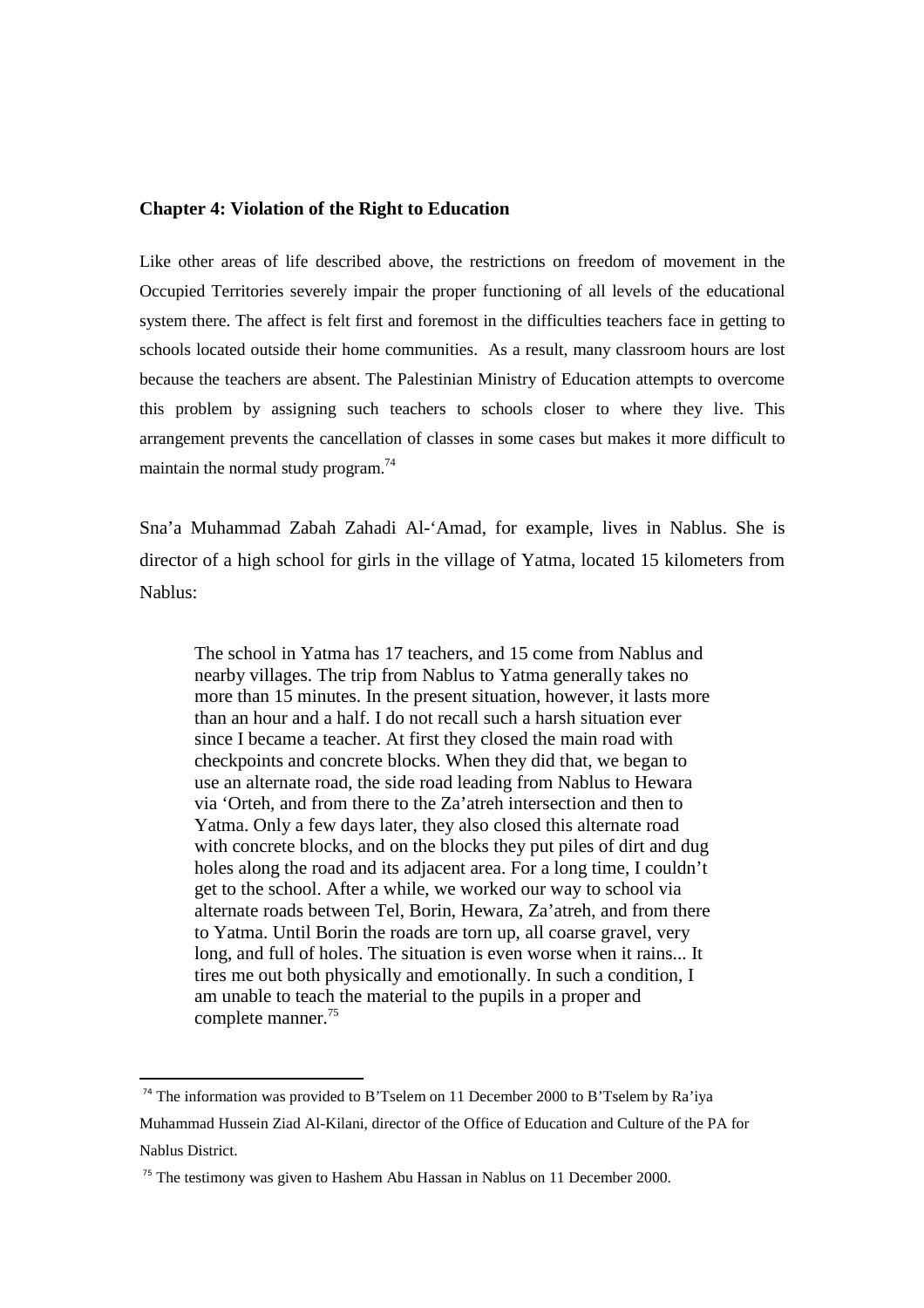#### **Chapter 4: Violation of the Right to Education**

Like other areas of life described above, the restrictions on freedom of movement in the Occupied Territories severely impair the proper functioning of all levels of the educational system there. The affect is felt first and foremost in the difficulties teachers face in getting to schools located outside their home communities. As a result, many classroom hours are lost because the teachers are absent. The Palestinian Ministry of Education attempts to overcome this problem by assigning such teachers to schools closer to where they live. This arrangement prevents the cancellation of classes in some cases but makes it more difficult to maintain the normal study program. $74$ 

Sna'a Muhammad Zabah Zahadi Al-'Amad, for example, lives in Nablus. She is director of a high school for girls in the village of Yatma, located 15 kilometers from Nablus:

The school in Yatma has 17 teachers, and 15 come from Nablus and nearby villages. The trip from Nablus to Yatma generally takes no more than 15 minutes. In the present situation, however, it lasts more than an hour and a half. I do not recall such a harsh situation ever since I became a teacher. At first they closed the main road with checkpoints and concrete blocks. When they did that, we began to use an alternate road, the side road leading from Nablus to Hewara via 'Orteh, and from there to the Za'atreh intersection and then to Yatma. Only a few days later, they also closed this alternate road with concrete blocks, and on the blocks they put piles of dirt and dug holes along the road and its adjacent area. For a long time, I couldn't get to the school. After a while, we worked our way to school via alternate roads between Tel, Borin, Hewara, Za'atreh, and from there to Yatma. Until Borin the roads are torn up, all coarse gravel, very long, and full of holes. The situation is even worse when it rains... It tires me out both physically and emotionally. In such a condition, I am unable to teach the material to the pupils in a proper and complete manner.<sup>75</sup>

 $74$  The information was provided to B'Tselem on 11 December 2000 to B'Tselem by Ra'iya Muhammad Hussein Ziad Al-Kilani, director of the Office of Education and Culture of the PA for Nablus District.

 $75$  The testimony was given to Hashem Abu Hassan in Nablus on 11 December 2000.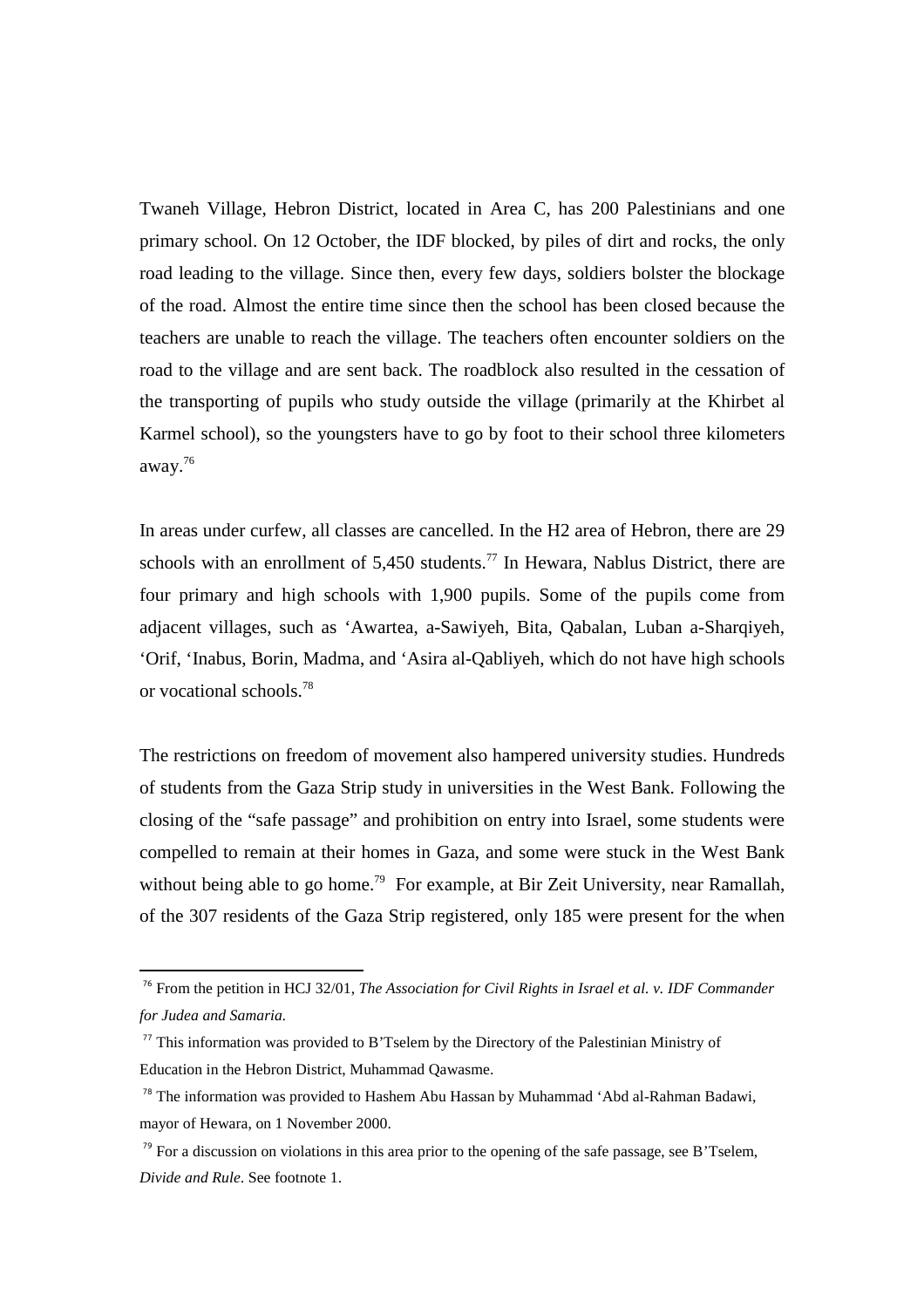Twaneh Village, Hebron District, located in Area C, has 200 Palestinians and one primary school. On 12 October, the IDF blocked, by piles of dirt and rocks, the only road leading to the village. Since then, every few days, soldiers bolster the blockage of the road. Almost the entire time since then the school has been closed because the teachers are unable to reach the village. The teachers often encounter soldiers on the road to the village and are sent back. The roadblock also resulted in the cessation of the transporting of pupils who study outside the village (primarily at the Khirbet al Karmel school), so the youngsters have to go by foot to their school three kilometers away.<sup>76</sup>

In areas under curfew, all classes are cancelled. In the H2 area of Hebron, there are 29 schools with an enrollment of  $5,450$  students.<sup>77</sup> In Hewara, Nablus District, there are four primary and high schools with 1,900 pupils. Some of the pupils come from adjacent villages, such as 'Awartea, a-Sawiyeh, Bita, Qabalan, Luban a-Sharqiyeh, 'Orif, 'Inabus, Borin, Madma, and 'Asira al-Qabliyeh, which do not have high schools or vocational schools.<sup>78</sup>

The restrictions on freedom of movement also hampered university studies. Hundreds of students from the Gaza Strip study in universities in the West Bank. Following the closing of the "safe passage" and prohibition on entry into Israel, some students were compelled to remain at their homes in Gaza, and some were stuck in the West Bank without being able to go home.<sup>79</sup> For example, at Bir Zeit University, near Ramallah, of the 307 residents of the Gaza Strip registered, only 185 were present for the when

<sup>76</sup> From the petition in HCJ 32/01, *The Association for Civil Rights in Israel et al. v. IDF Commander for Judea and Samaria.* 

<sup>&</sup>lt;sup>77</sup> This information was provided to B'Tselem by the Directory of the Palestinian Ministry of Education in the Hebron District, Muhammad Qawasme.

<sup>&</sup>lt;sup>78</sup> The information was provided to Hashem Abu Hassan by Muhammad 'Abd al-Rahman Badawi, mayor of Hewara, on 1 November 2000.

 $79$  For a discussion on violations in this area prior to the opening of the safe passage, see B'Tselem, *Divide and Rule*. See footnote 1.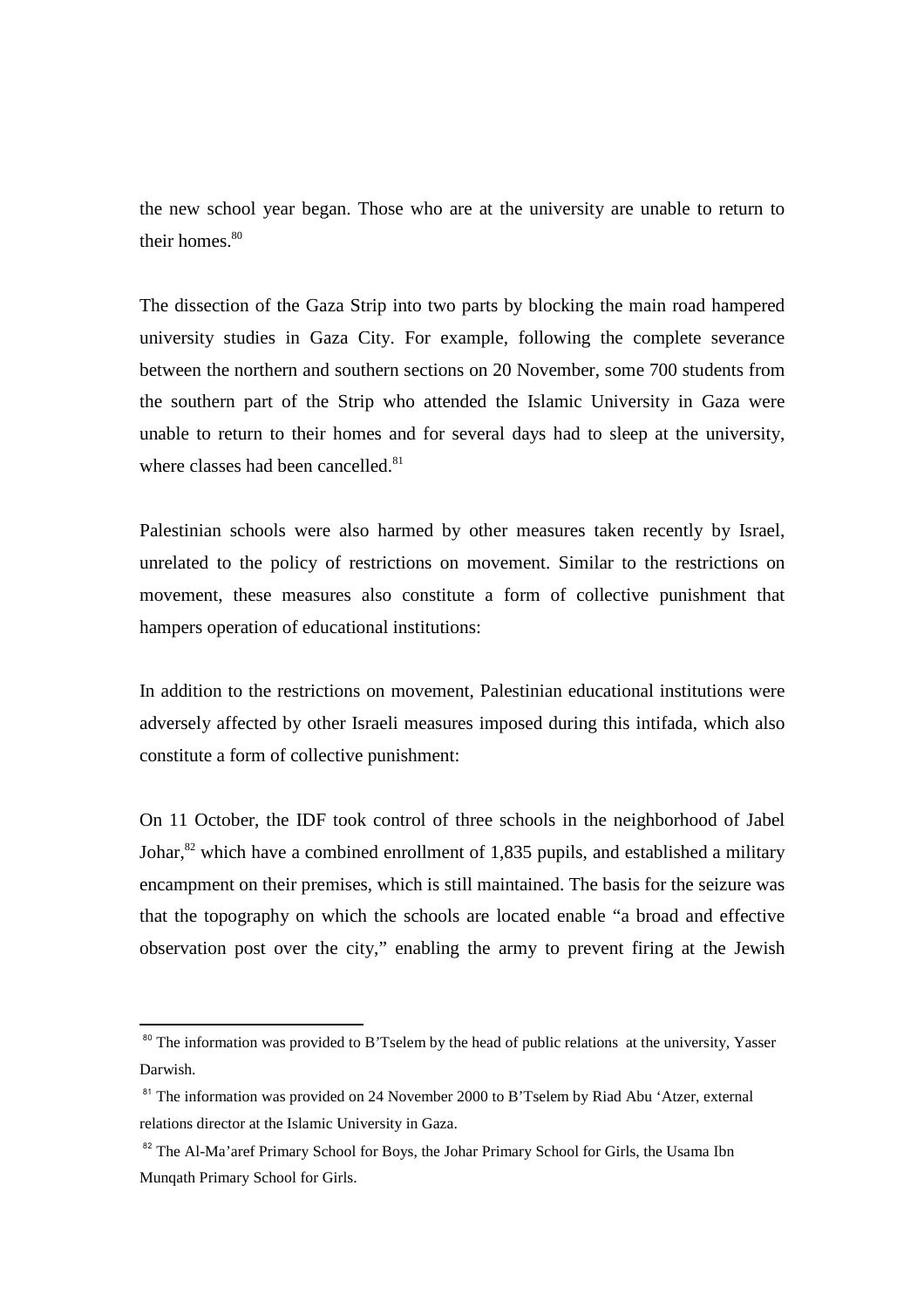the new school year began. Those who are at the university are unable to return to their homes.<sup>80</sup>

The dissection of the Gaza Strip into two parts by blocking the main road hampered university studies in Gaza City. For example, following the complete severance between the northern and southern sections on 20 November, some 700 students from the southern part of the Strip who attended the Islamic University in Gaza were unable to return to their homes and for several days had to sleep at the university, where classes had been cancelled.<sup>81</sup>

Palestinian schools were also harmed by other measures taken recently by Israel, unrelated to the policy of restrictions on movement. Similar to the restrictions on movement, these measures also constitute a form of collective punishment that hampers operation of educational institutions:

In addition to the restrictions on movement, Palestinian educational institutions were adversely affected by other Israeli measures imposed during this intifada, which also constitute a form of collective punishment:

On 11 October, the IDF took control of three schools in the neighborhood of Jabel Johar, $82$  which have a combined enrollment of 1,835 pupils, and established a military encampment on their premises, which is still maintained. The basis for the seizure was that the topography on which the schools are located enable "a broad and effective observation post over the city," enabling the army to prevent firing at the Jewish

l

<sup>&</sup>lt;sup>80</sup> The information was provided to B'Tselem by the head of public relations at the university, Yasser Darwish.

<sup>&</sup>lt;sup>81</sup> The information was provided on 24 November 2000 to B'Tselem by Riad Abu 'Atzer, external relations director at the Islamic University in Gaza.

<sup>&</sup>lt;sup>82</sup> The Al-Ma'aref Primary School for Boys, the Johar Primary School for Girls, the Usama Ibn Munqath Primary School for Girls.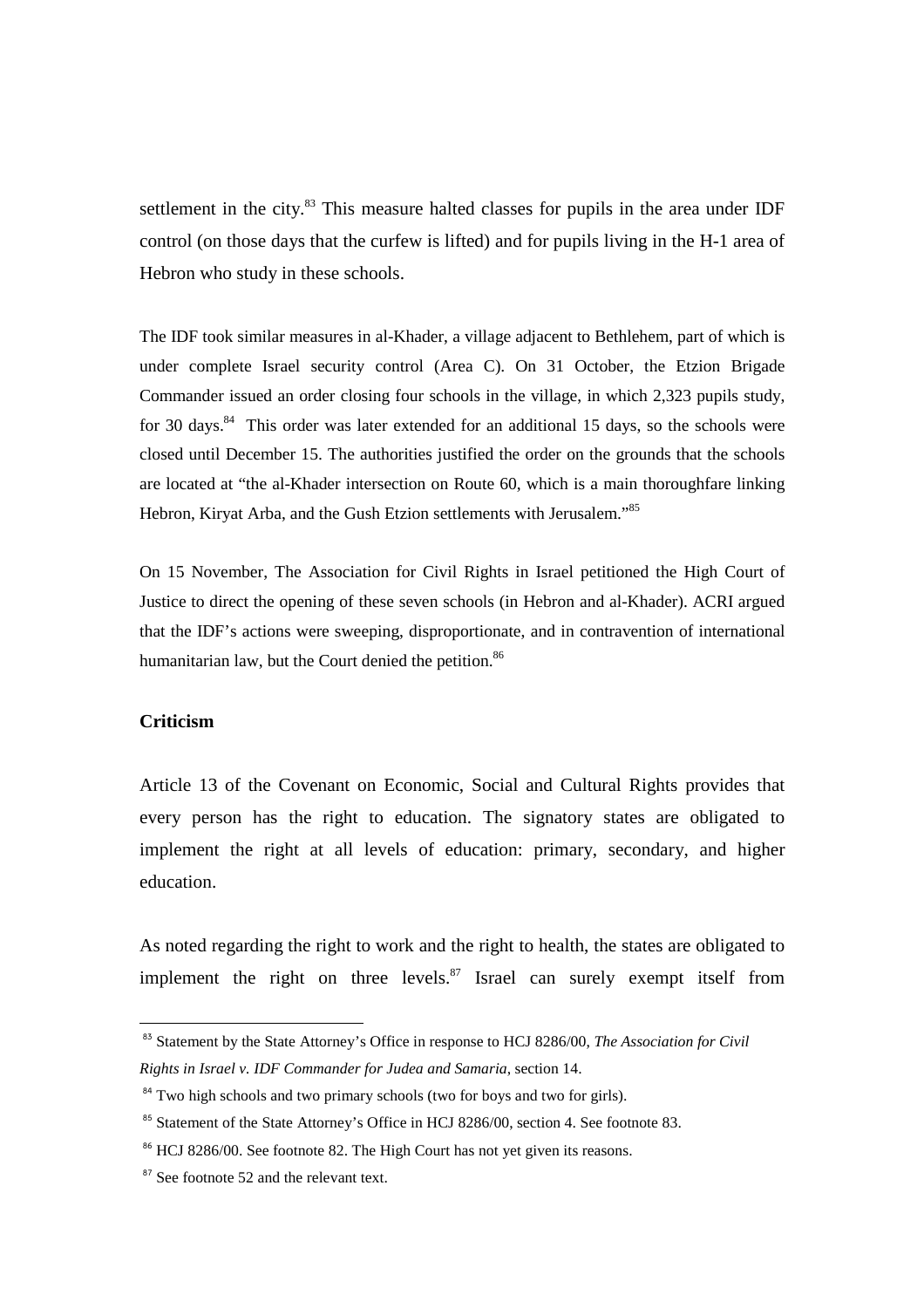settlement in the city.<sup>83</sup> This measure halted classes for pupils in the area under IDF control (on those days that the curfew is lifted) and for pupils living in the H-1 area of Hebron who study in these schools.

The IDF took similar measures in al-Khader, a village adjacent to Bethlehem, part of which is under complete Israel security control (Area C). On 31 October, the Etzion Brigade Commander issued an order closing four schools in the village, in which 2,323 pupils study, for 30 days. $84$  This order was later extended for an additional 15 days, so the schools were closed until December 15. The authorities justified the order on the grounds that the schools are located at "the al-Khader intersection on Route 60, which is a main thoroughfare linking Hebron, Kiryat Arba, and the Gush Etzion settlements with Jerusalem."<sup>85</sup>

On 15 November, The Association for Civil Rights in Israel petitioned the High Court of Justice to direct the opening of these seven schools (in Hebron and al-Khader). ACRI argued that the IDF's actions were sweeping, disproportionate, and in contravention of international humanitarian law, but the Court denied the petition.<sup>86</sup>

# **Criticism**

 $\overline{a}$ 

Article 13 of the Covenant on Economic, Social and Cultural Rights provides that every person has the right to education. The signatory states are obligated to implement the right at all levels of education: primary, secondary, and higher education.

As noted regarding the right to work and the right to health, the states are obligated to implement the right on three levels. $87$  Israel can surely exempt itself from

<sup>&</sup>lt;sup>83</sup> Statement by the State Attorney's Office in response to HCJ 8286/00, *The Association for Civil Rights in Israel v. IDF Commander for Judea and Samaria*, section 14.

 $84$  Two high schools and two primary schools (two for boys and two for girls).

<sup>&</sup>lt;sup>85</sup> Statement of the State Attorney's Office in HCJ 8286/00, section 4. See footnote 83.

<sup>&</sup>lt;sup>86</sup> HCJ 8286/00. See footnote 82. The High Court has not yet given its reasons.

<sup>&</sup>lt;sup>87</sup> See footnote 52 and the relevant text.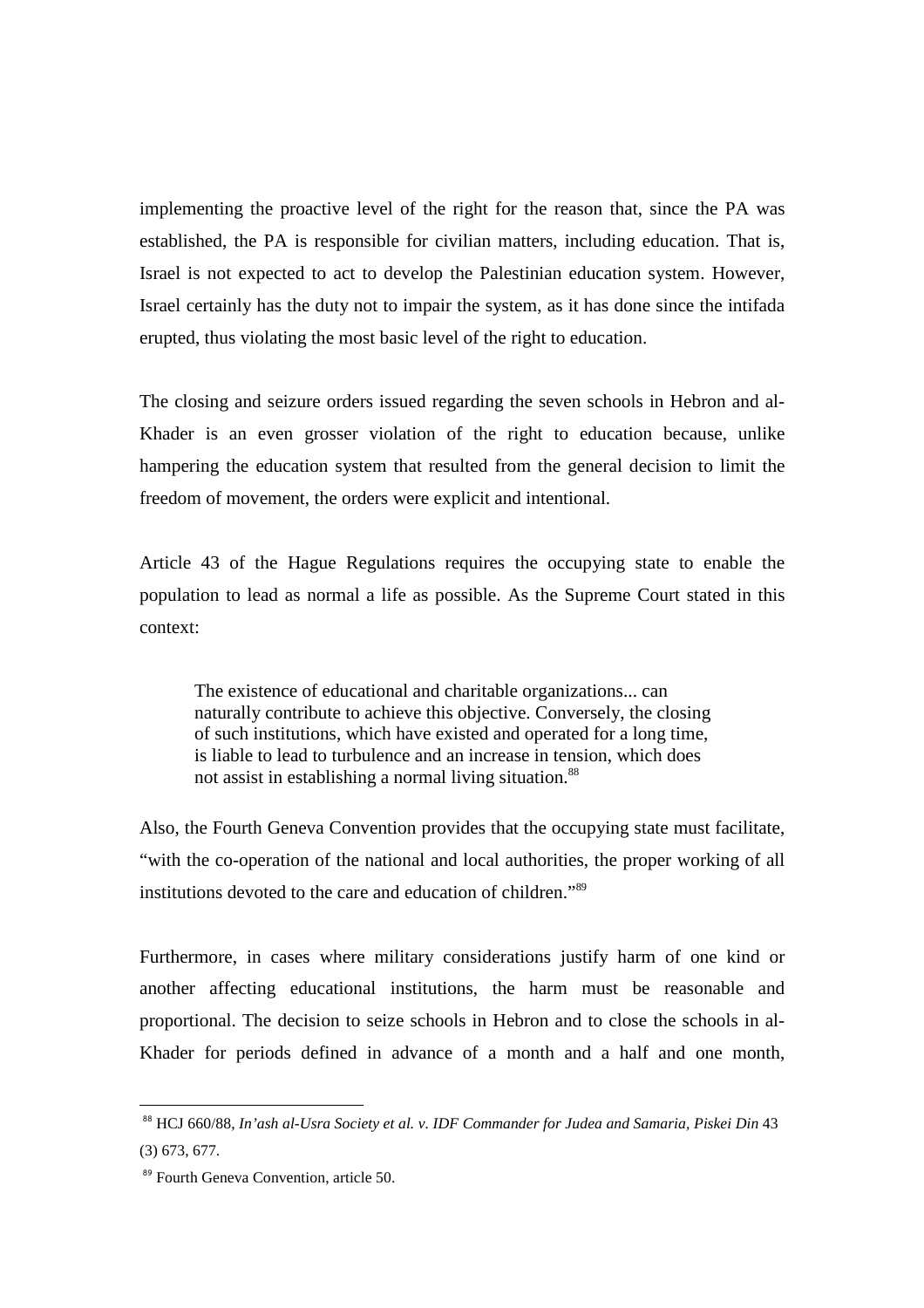implementing the proactive level of the right for the reason that, since the PA was established, the PA is responsible for civilian matters, including education. That is, Israel is not expected to act to develop the Palestinian education system. However, Israel certainly has the duty not to impair the system, as it has done since the intifada erupted, thus violating the most basic level of the right to education.

The closing and seizure orders issued regarding the seven schools in Hebron and al-Khader is an even grosser violation of the right to education because, unlike hampering the education system that resulted from the general decision to limit the freedom of movement, the orders were explicit and intentional.

Article 43 of the Hague Regulations requires the occupying state to enable the population to lead as normal a life as possible. As the Supreme Court stated in this context:

The existence of educational and charitable organizations... can naturally contribute to achieve this objective. Conversely, the closing of such institutions, which have existed and operated for a long time, is liable to lead to turbulence and an increase in tension, which does not assist in establishing a normal living situation.<sup>88</sup>

Also, the Fourth Geneva Convention provides that the occupying state must facilitate, "with the co-operation of the national and local authorities, the proper working of all institutions devoted to the care and education of children."<sup>89</sup>

Furthermore, in cases where military considerations justify harm of one kind or another affecting educational institutions, the harm must be reasonable and proportional. The decision to seize schools in Hebron and to close the schools in al-Khader for periods defined in advance of a month and a half and one month,

<sup>88</sup> HCJ 660/88, In'ash al-Usra Society et al. v. IDF Commander for Judea and Samaria, Piskei Din 43 (3) 673, 677.

<sup>&</sup>lt;sup>89</sup> Fourth Geneva Convention, article 50.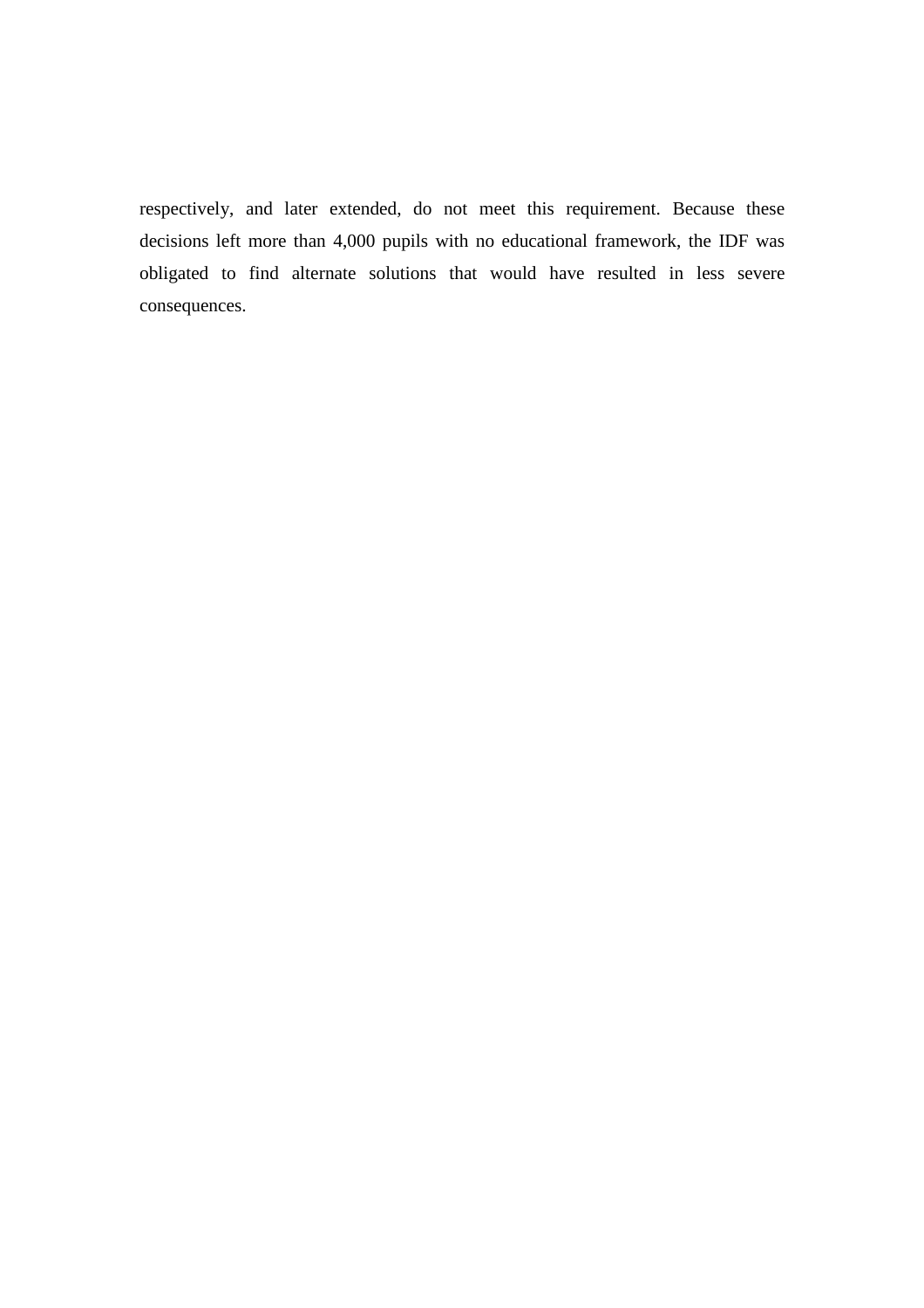respectively, and later extended, do not meet this requirement. Because these decisions left more than 4,000 pupils with no educational framework, the IDF was obligated to find alternate solutions that would have resulted in less severe consequences.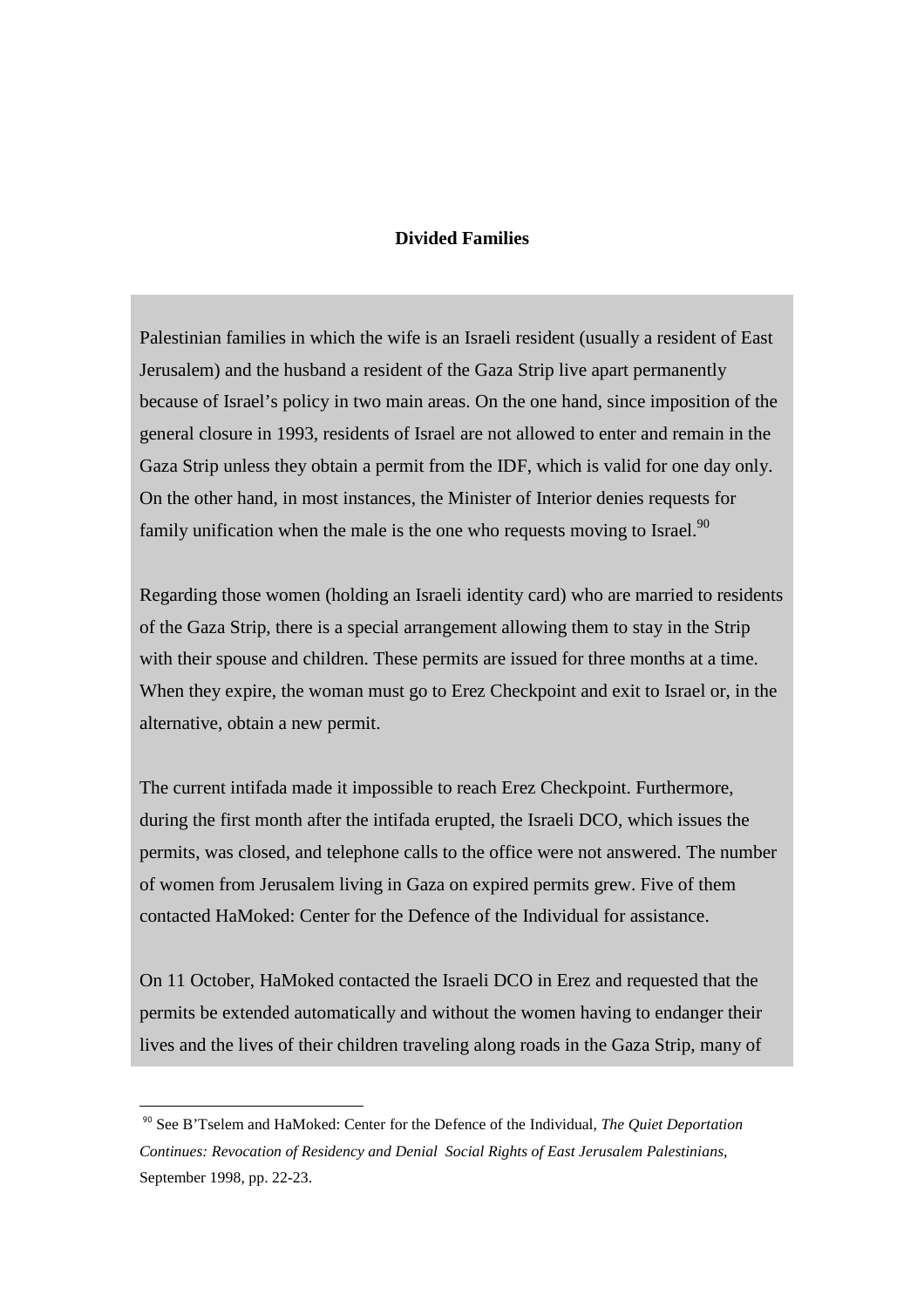# **Divided Families**

Palestinian families in which the wife is an Israeli resident (usually a resident of East Jerusalem) and the husband a resident of the Gaza Strip live apart permanently because of Israel's policy in two main areas. On the one hand, since imposition of the general closure in 1993, residents of Israel are not allowed to enter and remain in the Gaza Strip unless they obtain a permit from the IDF, which is valid for one day only. On the other hand, in most instances, the Minister of Interior denies requests for family unification when the male is the one who requests moving to Israel.<sup>90</sup>

Regarding those women (holding an Israeli identity card) who are married to residents of the Gaza Strip, there is a special arrangement allowing them to stay in the Strip with their spouse and children. These permits are issued for three months at a time. When they expire, the woman must go to Erez Checkpoint and exit to Israel or, in the alternative, obtain a new permit.

The current intifada made it impossible to reach Erez Checkpoint. Furthermore, during the first month after the intifada erupted, the Israeli DCO, which issues the permits, was closed, and telephone calls to the office were not answered. The number of women from Jerusalem living in Gaza on expired permits grew. Five of them contacted HaMoked: Center for the Defence of the Individual for assistance.

On 11 October, HaMoked contacted the Israeli DCO in Erez and requested that the permits be extended automatically and without the women having to endanger their lives and the lives of their children traveling along roads in the Gaza Strip, many of

<sup>90</sup> See B'Tselem and HaMoked: Center for the Defence of the Individual, *The Quiet Deportation Continues: Revocation of Residency and Denial Social Rights of East Jerusalem Palestinians*, September 1998, pp. 22-23.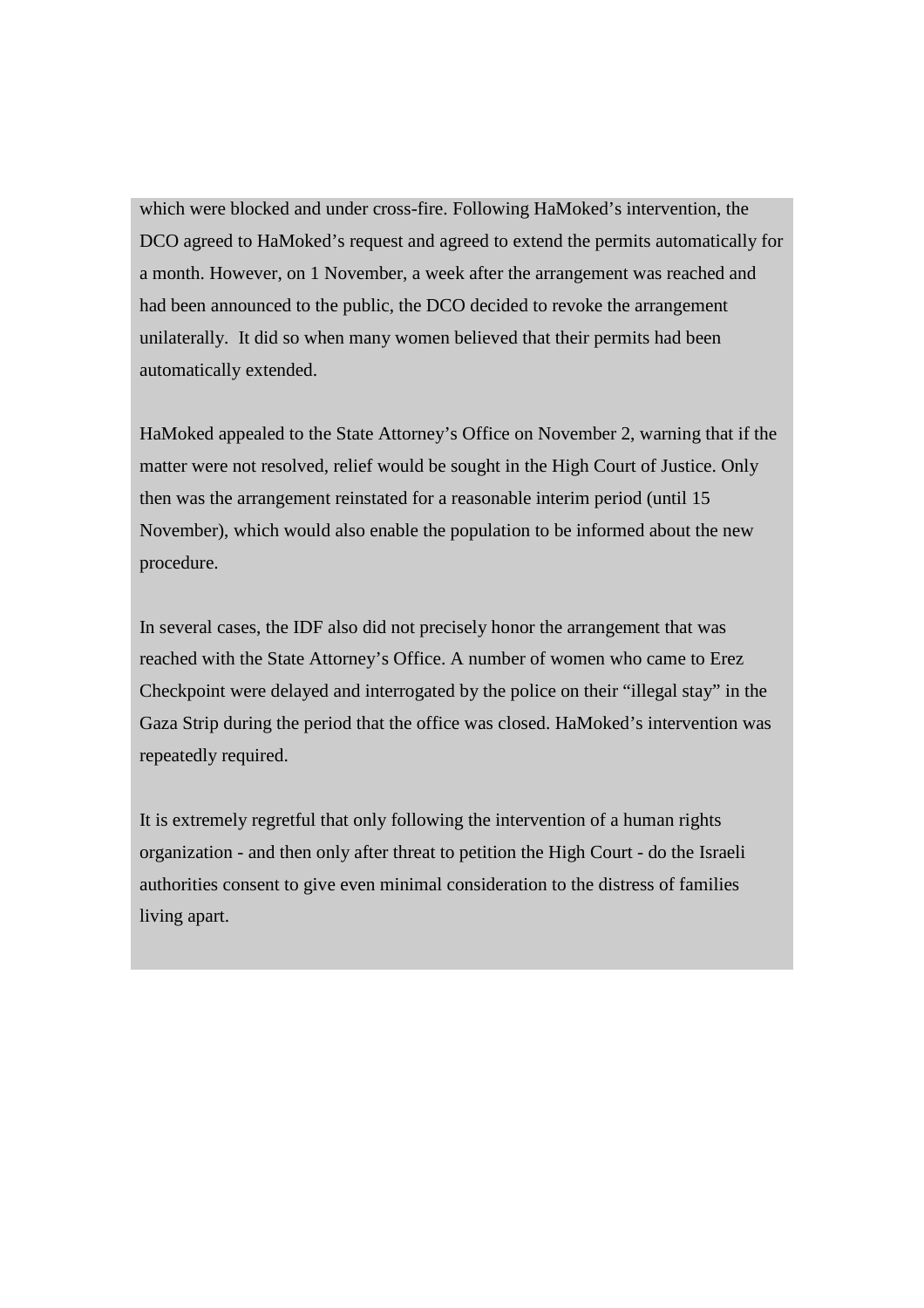which were blocked and under cross-fire. Following HaMoked's intervention, the DCO agreed to HaMoked's request and agreed to extend the permits automatically for a month. However, on 1 November, a week after the arrangement was reached and had been announced to the public, the DCO decided to revoke the arrangement unilaterally. It did so when many women believed that their permits had been automatically extended.

HaMoked appealed to the State Attorney's Office on November 2, warning that if the matter were not resolved, relief would be sought in the High Court of Justice. Only then was the arrangement reinstated for a reasonable interim period (until 15 November), which would also enable the population to be informed about the new procedure.

In several cases, the IDF also did not precisely honor the arrangement that was reached with the State Attorney's Office. A number of women who came to Erez Checkpoint were delayed and interrogated by the police on their "illegal stay" in the Gaza Strip during the period that the office was closed. HaMoked's intervention was repeatedly required.

It is extremely regretful that only following the intervention of a human rights organization - and then only after threat to petition the High Court - do the Israeli authorities consent to give even minimal consideration to the distress of families living apart.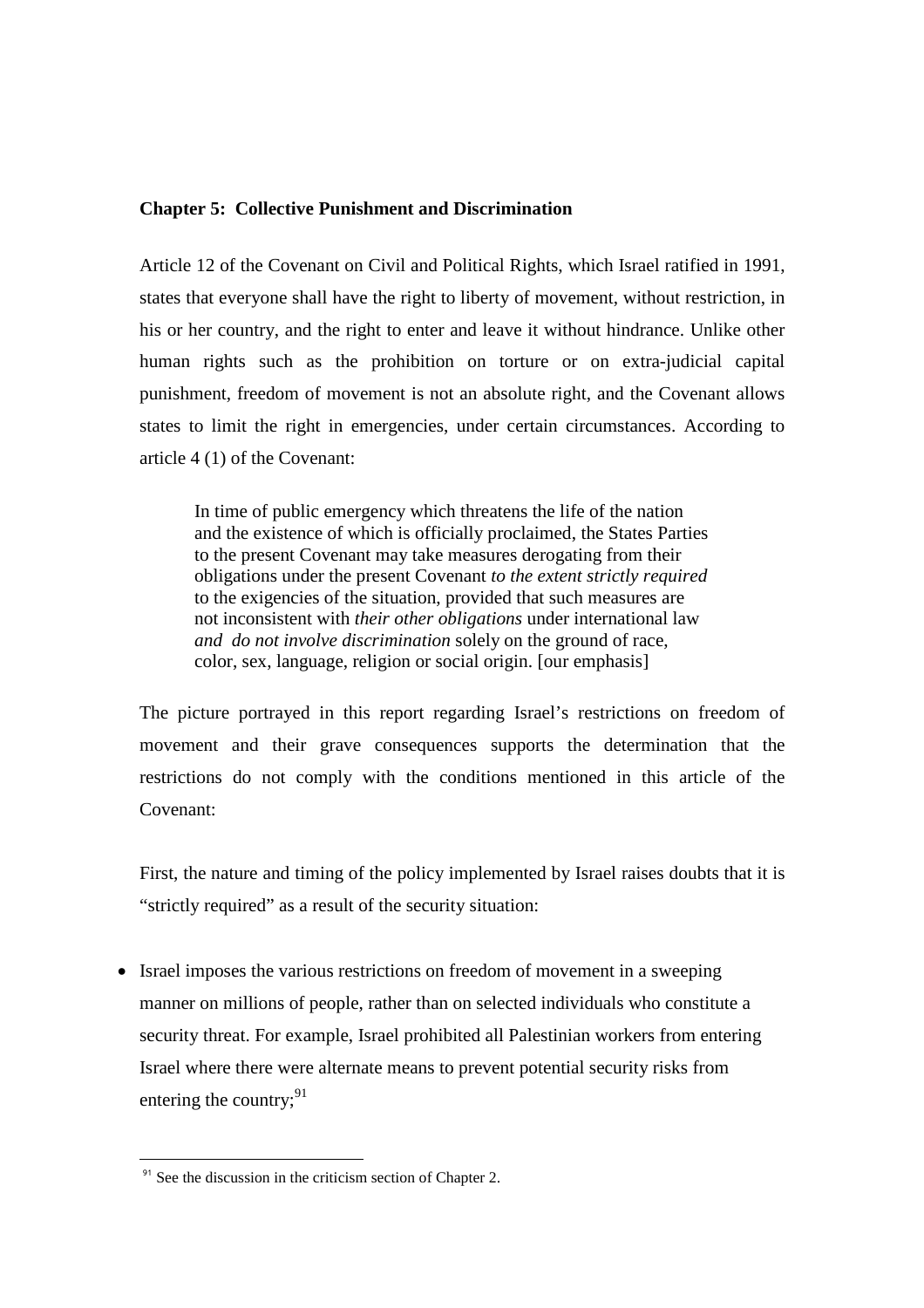## **Chapter 5: Collective Punishment and Discrimination**

Article 12 of the Covenant on Civil and Political Rights, which Israel ratified in 1991, states that everyone shall have the right to liberty of movement, without restriction, in his or her country, and the right to enter and leave it without hindrance. Unlike other human rights such as the prohibition on torture or on extra-judicial capital punishment, freedom of movement is not an absolute right, and the Covenant allows states to limit the right in emergencies, under certain circumstances. According to article 4 (1) of the Covenant:

In time of public emergency which threatens the life of the nation and the existence of which is officially proclaimed, the States Parties to the present Covenant may take measures derogating from their obligations under the present Covenant *to the extent strictly required* to the exigencies of the situation, provided that such measures are not inconsistent with *their other obligations* under international law *and do not involve discrimination* solely on the ground of race, color, sex, language, religion or social origin. [our emphasis]

The picture portrayed in this report regarding Israel's restrictions on freedom of movement and their grave consequences supports the determination that the restrictions do not comply with the conditions mentioned in this article of the Covenant:

First, the nature and timing of the policy implemented by Israel raises doubts that it is "strictly required" as a result of the security situation:

• Israel imposes the various restrictions on freedom of movement in a sweeping manner on millions of people, rather than on selected individuals who constitute a security threat. For example, Israel prohibited all Palestinian workers from entering Israel where there were alternate means to prevent potential security risks from entering the country; $91$ 

 $91$  See the discussion in the criticism section of Chapter 2.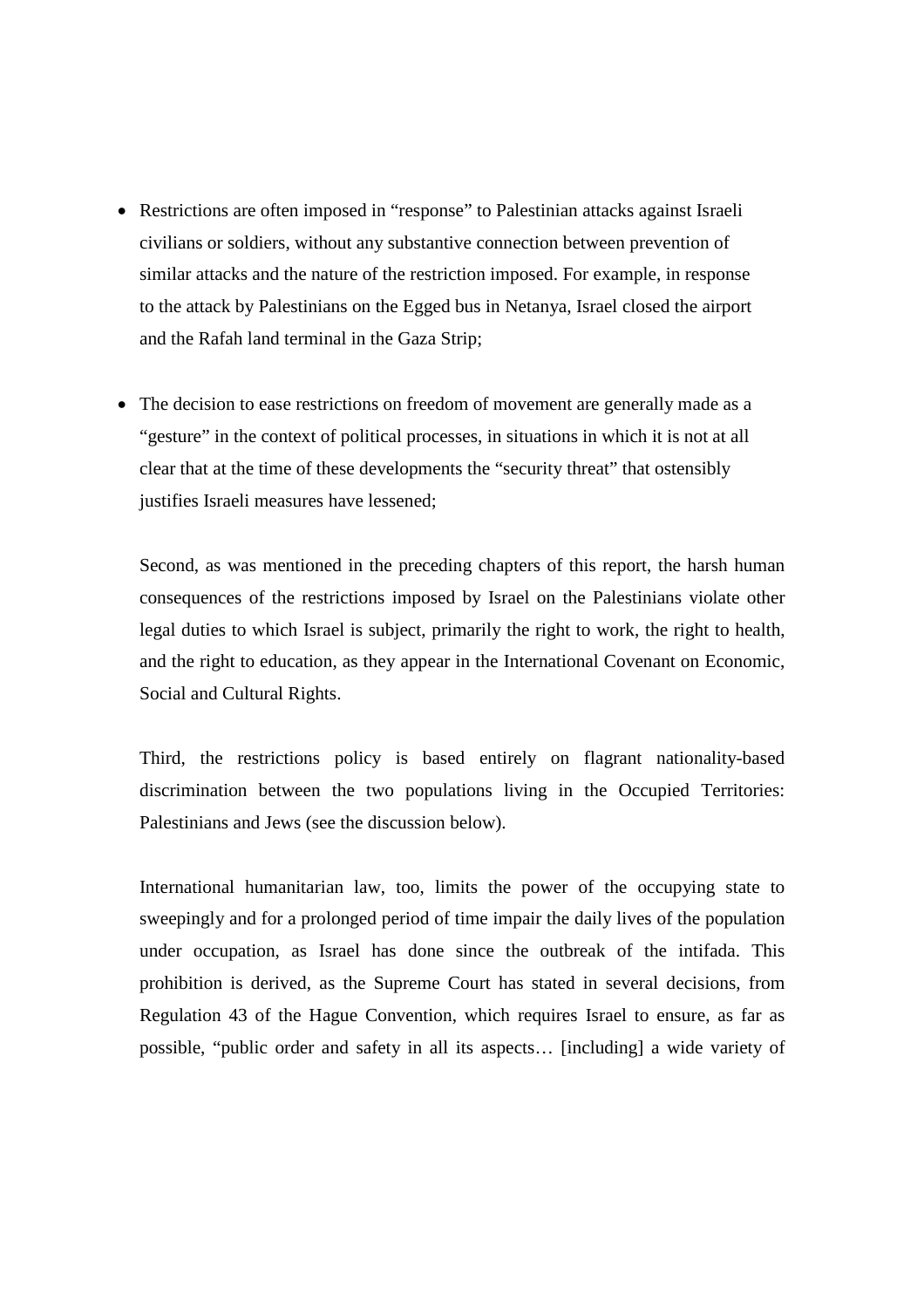- Restrictions are often imposed in "response" to Palestinian attacks against Israeli civilians or soldiers, without any substantive connection between prevention of similar attacks and the nature of the restriction imposed. For example, in response to the attack by Palestinians on the Egged bus in Netanya, Israel closed the airport and the Rafah land terminal in the Gaza Strip;
- The decision to ease restrictions on freedom of movement are generally made as a "gesture" in the context of political processes, in situations in which it is not at all clear that at the time of these developments the "security threat" that ostensibly justifies Israeli measures have lessened;

Second, as was mentioned in the preceding chapters of this report, the harsh human consequences of the restrictions imposed by Israel on the Palestinians violate other legal duties to which Israel is subject, primarily the right to work, the right to health, and the right to education, as they appear in the International Covenant on Economic, Social and Cultural Rights.

Third, the restrictions policy is based entirely on flagrant nationality-based discrimination between the two populations living in the Occupied Territories: Palestinians and Jews (see the discussion below).

International humanitarian law, too, limits the power of the occupying state to sweepingly and for a prolonged period of time impair the daily lives of the population under occupation, as Israel has done since the outbreak of the intifada. This prohibition is derived, as the Supreme Court has stated in several decisions, from Regulation 43 of the Hague Convention, which requires Israel to ensure, as far as possible, "public order and safety in all its aspects… [including] a wide variety of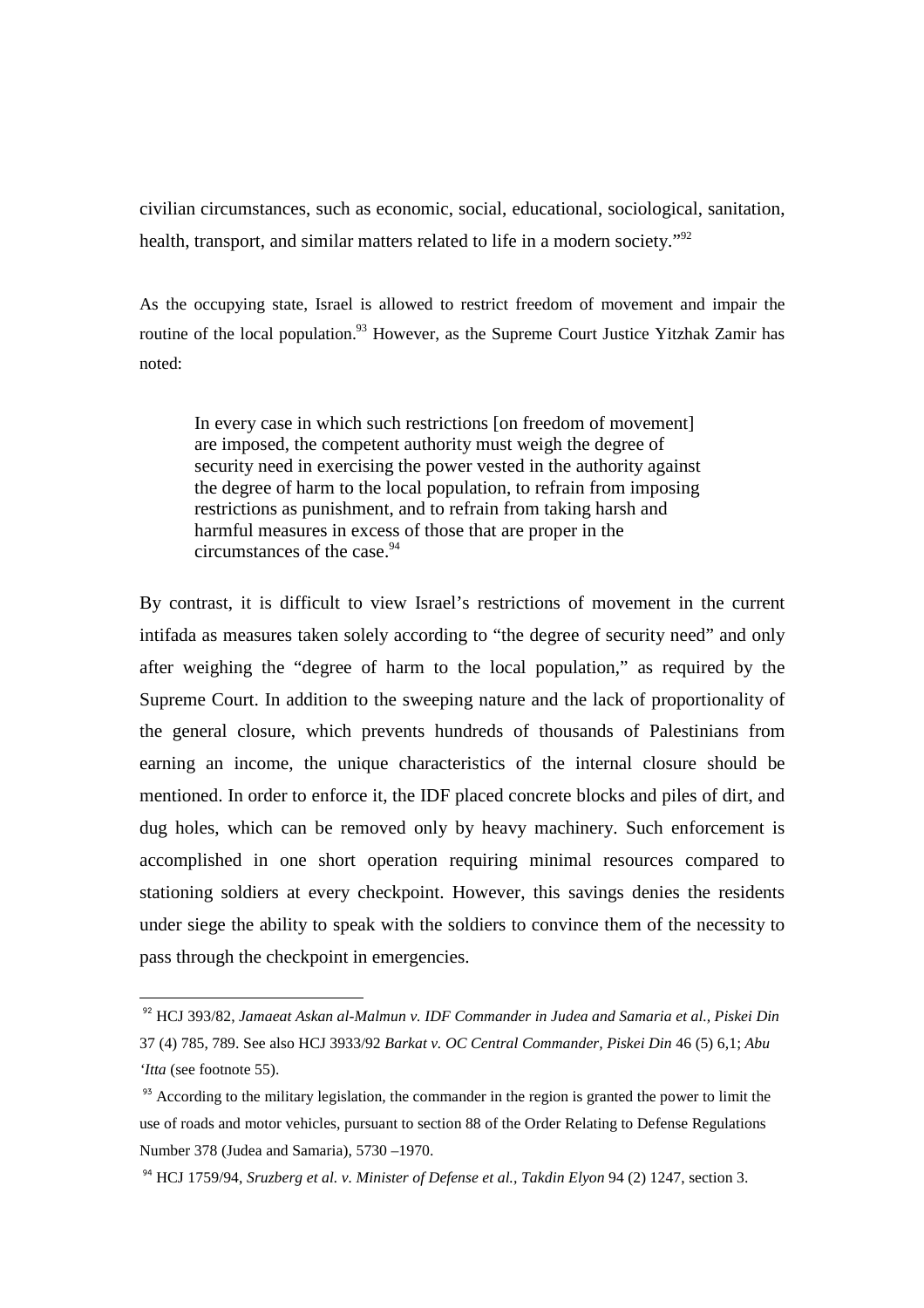civilian circumstances, such as economic, social, educational, sociological, sanitation, health, transport, and similar matters related to life in a modern society."<sup>92</sup>

As the occupying state, Israel is allowed to restrict freedom of movement and impair the routine of the local population.<sup>93</sup> However, as the Supreme Court Justice Yitzhak Zamir has noted:

In every case in which such restrictions [on freedom of movement] are imposed, the competent authority must weigh the degree of security need in exercising the power vested in the authority against the degree of harm to the local population, to refrain from imposing restrictions as punishment, and to refrain from taking harsh and harmful measures in excess of those that are proper in the circumstances of the case.<sup>94</sup>

By contrast, it is difficult to view Israel's restrictions of movement in the current intifada as measures taken solely according to "the degree of security need" and only after weighing the "degree of harm to the local population," as required by the Supreme Court. In addition to the sweeping nature and the lack of proportionality of the general closure, which prevents hundreds of thousands of Palestinians from earning an income, the unique characteristics of the internal closure should be mentioned. In order to enforce it, the IDF placed concrete blocks and piles of dirt, and dug holes, which can be removed only by heavy machinery. Such enforcement is accomplished in one short operation requiring minimal resources compared to stationing soldiers at every checkpoint. However, this savings denies the residents under siege the ability to speak with the soldiers to convince them of the necessity to pass through the checkpoint in emergencies.

<sup>92</sup> HCJ 393/82, *Jamaeat Askan al-Malmun v. IDF Commander in Judea and Samaria et al., Piskei Din*  37 (4) 785, 789. See also HCJ 3933/92 *Barkat v. OC Central Commander, Piskei Din* 46 (5) 6,1; *Abu 'Itta* (see footnote 55).

<sup>&</sup>lt;sup>93</sup> According to the military legislation, the commander in the region is granted the power to limit the use of roads and motor vehicles, pursuant to section 88 of the Order Relating to Defense Regulations Number 378 (Judea and Samaria), 5730 –1970.

<sup>&</sup>lt;sup>94</sup> HCJ 1759/94, *Sruzberg et al. v. Minister of Defense et al., Takdin Elyon* 94 (2) 1247, section 3.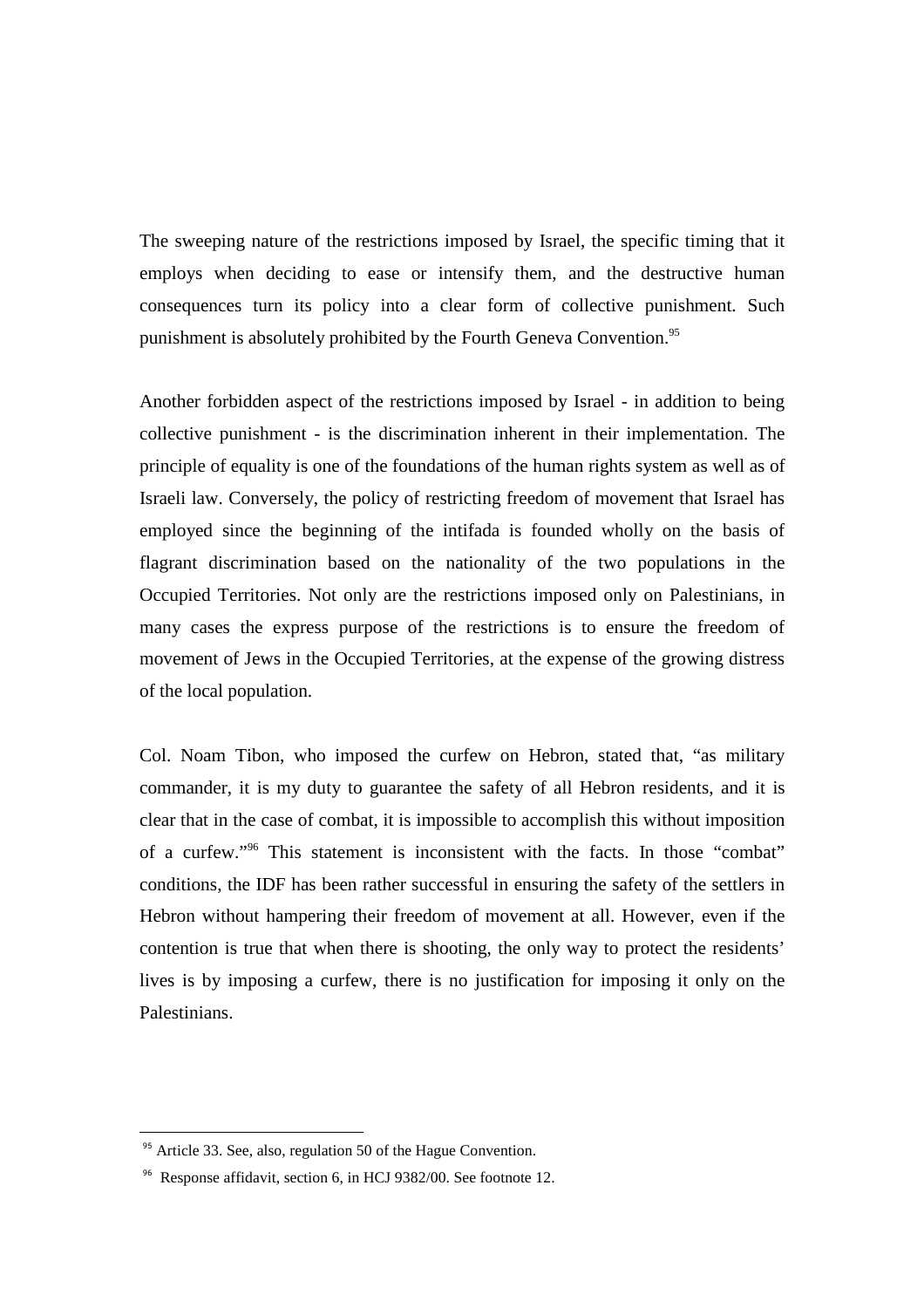The sweeping nature of the restrictions imposed by Israel, the specific timing that it employs when deciding to ease or intensify them, and the destructive human consequences turn its policy into a clear form of collective punishment. Such punishment is absolutely prohibited by the Fourth Geneva Convention.<sup>95</sup>

Another forbidden aspect of the restrictions imposed by Israel - in addition to being collective punishment - is the discrimination inherent in their implementation. The principle of equality is one of the foundations of the human rights system as well as of Israeli law. Conversely, the policy of restricting freedom of movement that Israel has employed since the beginning of the intifada is founded wholly on the basis of flagrant discrimination based on the nationality of the two populations in the Occupied Territories. Not only are the restrictions imposed only on Palestinians, in many cases the express purpose of the restrictions is to ensure the freedom of movement of Jews in the Occupied Territories, at the expense of the growing distress of the local population.

Col. Noam Tibon, who imposed the curfew on Hebron, stated that, "as military commander, it is my duty to guarantee the safety of all Hebron residents, and it is clear that in the case of combat, it is impossible to accomplish this without imposition of a curfew."<sup>96</sup> This statement is inconsistent with the facts. In those "combat" conditions, the IDF has been rather successful in ensuring the safety of the settlers in Hebron without hampering their freedom of movement at all. However, even if the contention is true that when there is shooting, the only way to protect the residents' lives is by imposing a curfew, there is no justification for imposing it only on the Palestinians.

<sup>&</sup>lt;sup>95</sup> Article 33, See, also, regulation 50 of the Hague Convention.

<sup>96</sup> Response affidavit, section 6, in HCJ 9382/00. See footnote 12.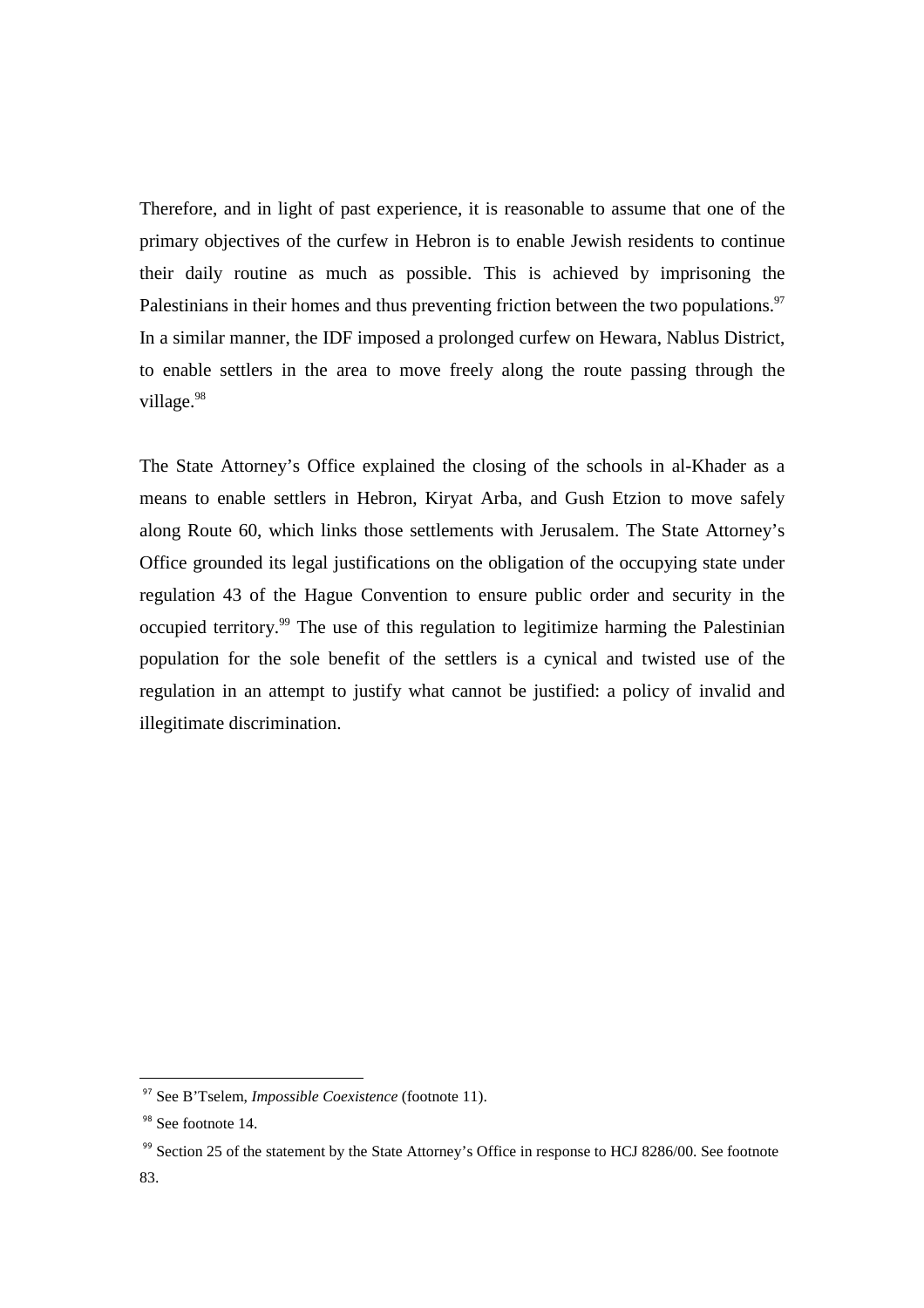Therefore, and in light of past experience, it is reasonable to assume that one of the primary objectives of the curfew in Hebron is to enable Jewish residents to continue their daily routine as much as possible. This is achieved by imprisoning the Palestinians in their homes and thus preventing friction between the two populations.<sup>97</sup> In a similar manner, the IDF imposed a prolonged curfew on Hewara, Nablus District, to enable settlers in the area to move freely along the route passing through the village.<sup>98</sup>

The State Attorney's Office explained the closing of the schools in al-Khader as a means to enable settlers in Hebron, Kiryat Arba, and Gush Etzion to move safely along Route 60, which links those settlements with Jerusalem. The State Attorney's Office grounded its legal justifications on the obligation of the occupying state under regulation 43 of the Hague Convention to ensure public order and security in the occupied territory.<sup>99</sup> The use of this regulation to legitimize harming the Palestinian population for the sole benefit of the settlers is a cynical and twisted use of the regulation in an attempt to justify what cannot be justified: a policy of invalid and illegitimate discrimination.

<sup>97</sup> See B'Tselem, *Impossible Coexistence* (footnote 11).

<sup>&</sup>lt;sup>98</sup> See footnote 14.

<sup>&</sup>lt;sup>99</sup> Section 25 of the statement by the State Attorney's Office in response to HCJ 8286/00. See footnote 83.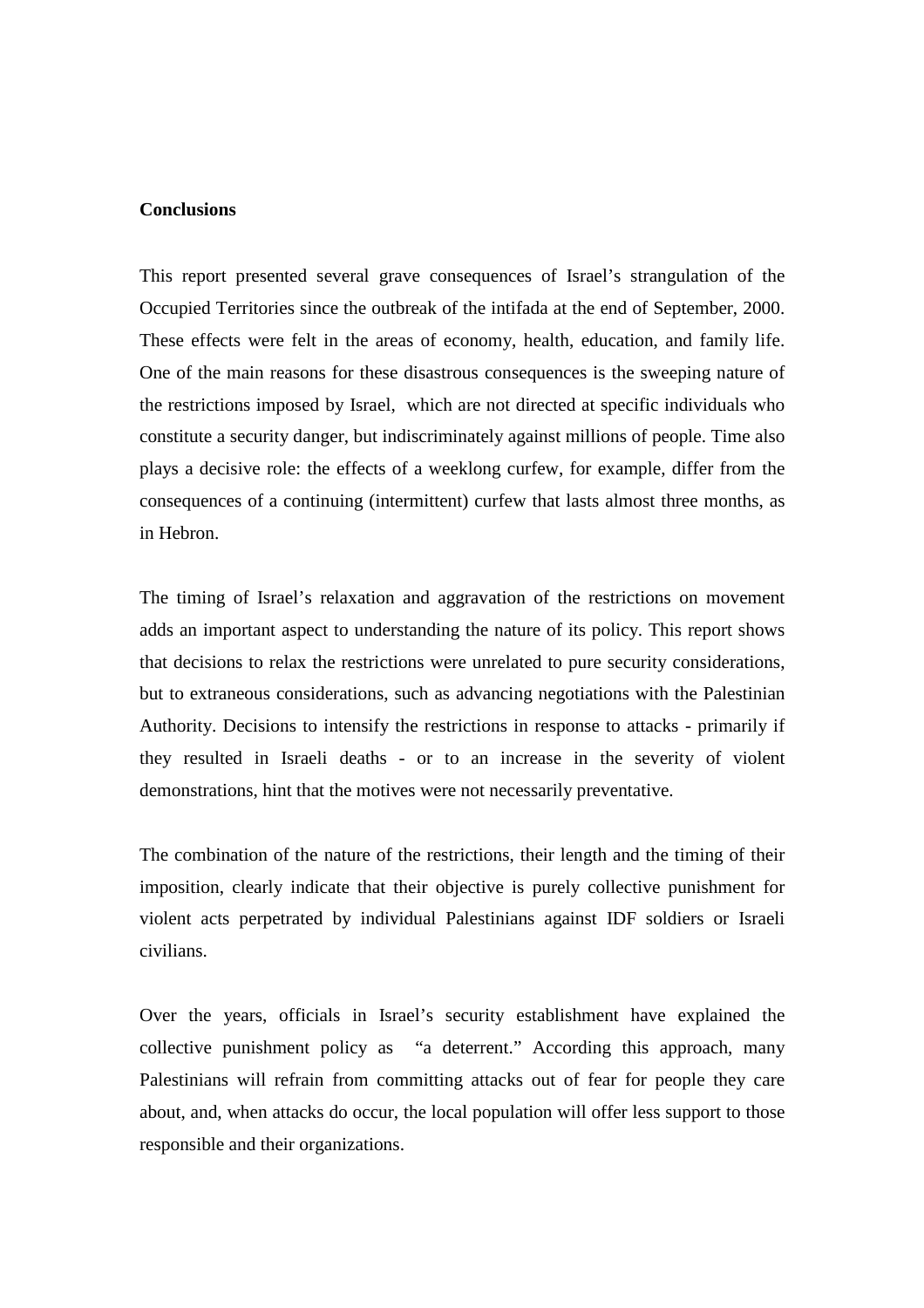### **Conclusions**

This report presented several grave consequences of Israel's strangulation of the Occupied Territories since the outbreak of the intifada at the end of September, 2000. These effects were felt in the areas of economy, health, education, and family life. One of the main reasons for these disastrous consequences is the sweeping nature of the restrictions imposed by Israel, which are not directed at specific individuals who constitute a security danger, but indiscriminately against millions of people. Time also plays a decisive role: the effects of a weeklong curfew, for example, differ from the consequences of a continuing (intermittent) curfew that lasts almost three months, as in Hebron.

The timing of Israel's relaxation and aggravation of the restrictions on movement adds an important aspect to understanding the nature of its policy. This report shows that decisions to relax the restrictions were unrelated to pure security considerations, but to extraneous considerations, such as advancing negotiations with the Palestinian Authority. Decisions to intensify the restrictions in response to attacks - primarily if they resulted in Israeli deaths - or to an increase in the severity of violent demonstrations, hint that the motives were not necessarily preventative.

The combination of the nature of the restrictions, their length and the timing of their imposition, clearly indicate that their objective is purely collective punishment for violent acts perpetrated by individual Palestinians against IDF soldiers or Israeli civilians.

Over the years, officials in Israel's security establishment have explained the collective punishment policy as "a deterrent." According this approach, many Palestinians will refrain from committing attacks out of fear for people they care about, and, when attacks do occur, the local population will offer less support to those responsible and their organizations.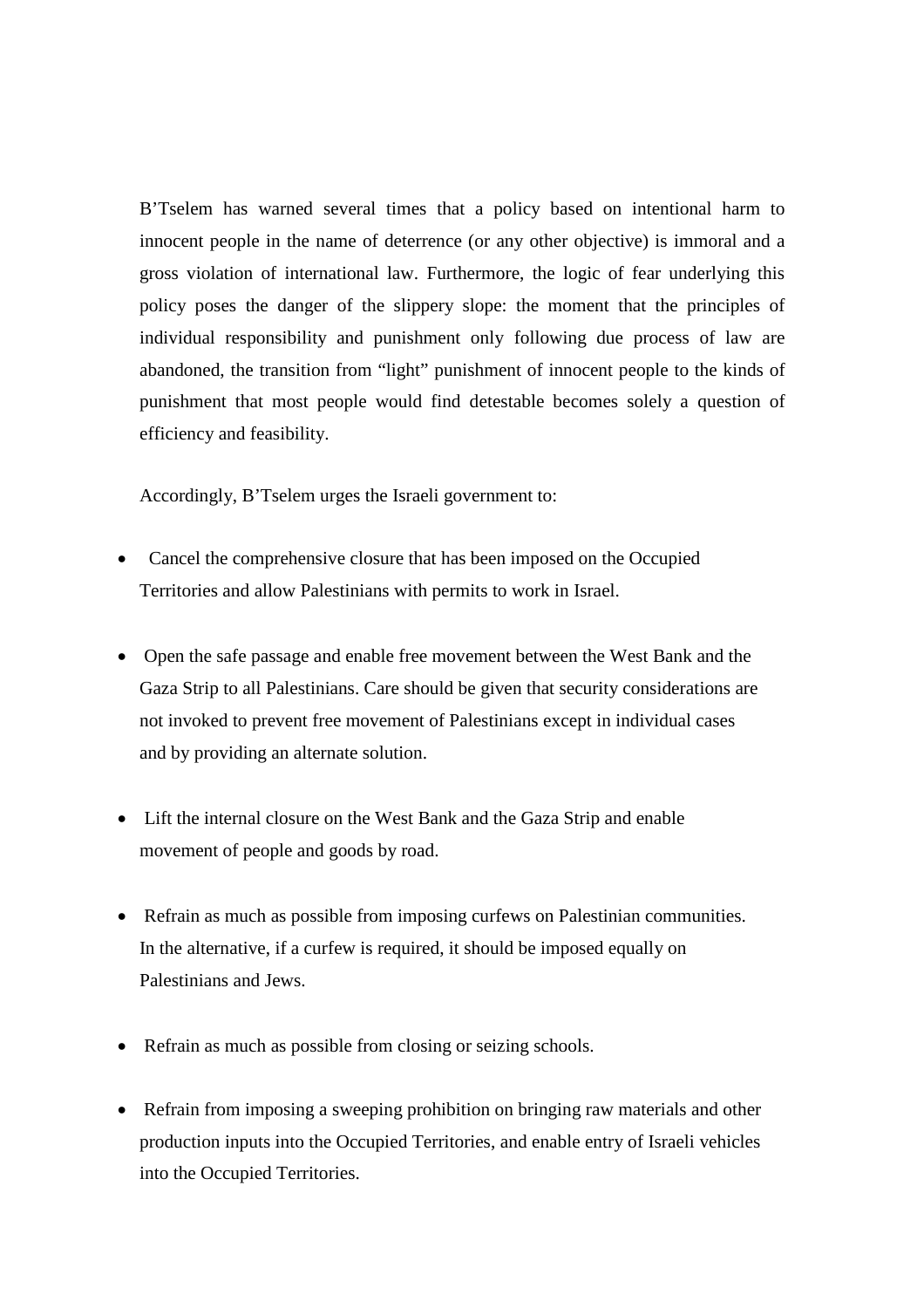B'Tselem has warned several times that a policy based on intentional harm to innocent people in the name of deterrence (or any other objective) is immoral and a gross violation of international law. Furthermore, the logic of fear underlying this policy poses the danger of the slippery slope: the moment that the principles of individual responsibility and punishment only following due process of law are abandoned, the transition from "light" punishment of innocent people to the kinds of punishment that most people would find detestable becomes solely a question of efficiency and feasibility.

Accordingly, B'Tselem urges the Israeli government to:

- Cancel the comprehensive closure that has been imposed on the Occupied Territories and allow Palestinians with permits to work in Israel.
- Open the safe passage and enable free movement between the West Bank and the Gaza Strip to all Palestinians. Care should be given that security considerations are not invoked to prevent free movement of Palestinians except in individual cases and by providing an alternate solution.
- Lift the internal closure on the West Bank and the Gaza Strip and enable movement of people and goods by road.
- Refrain as much as possible from imposing curfews on Palestinian communities. In the alternative, if a curfew is required, it should be imposed equally on Palestinians and Jews.
- Refrain as much as possible from closing or seizing schools.
- Refrain from imposing a sweeping prohibition on bringing raw materials and other production inputs into the Occupied Territories, and enable entry of Israeli vehicles into the Occupied Territories.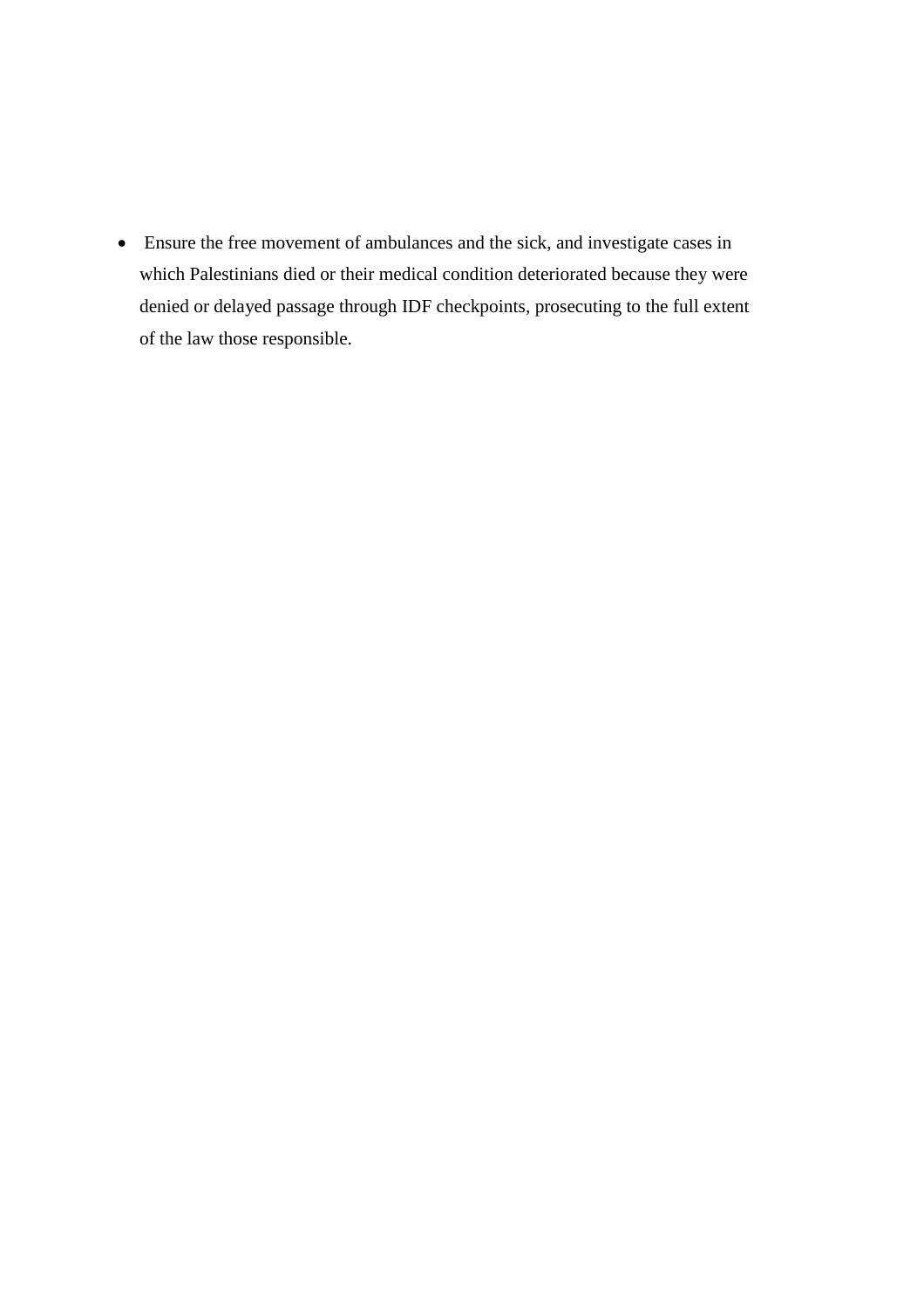• Ensure the free movement of ambulances and the sick, and investigate cases in which Palestinians died or their medical condition deteriorated because they were denied or delayed passage through IDF checkpoints, prosecuting to the full extent of the law those responsible.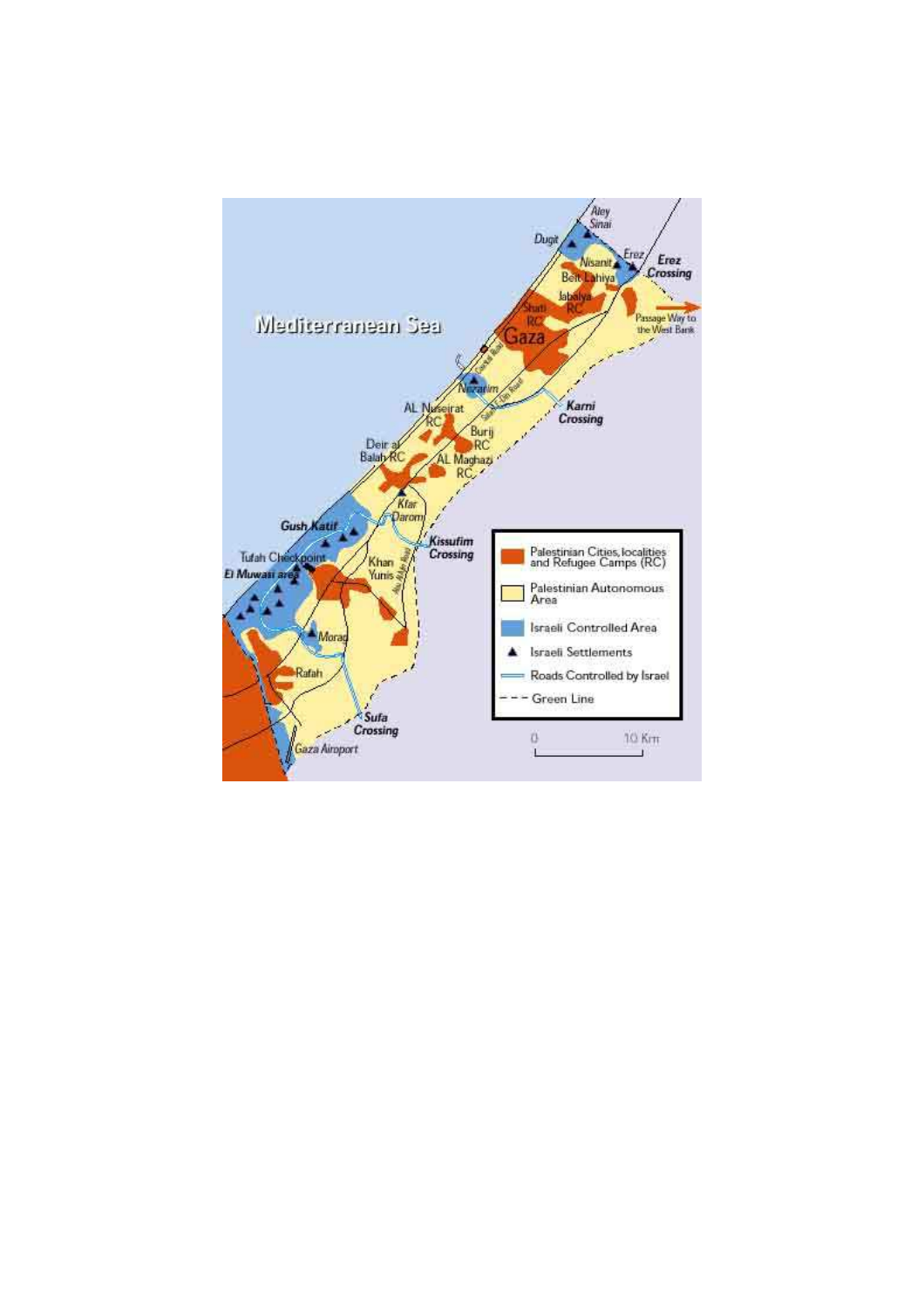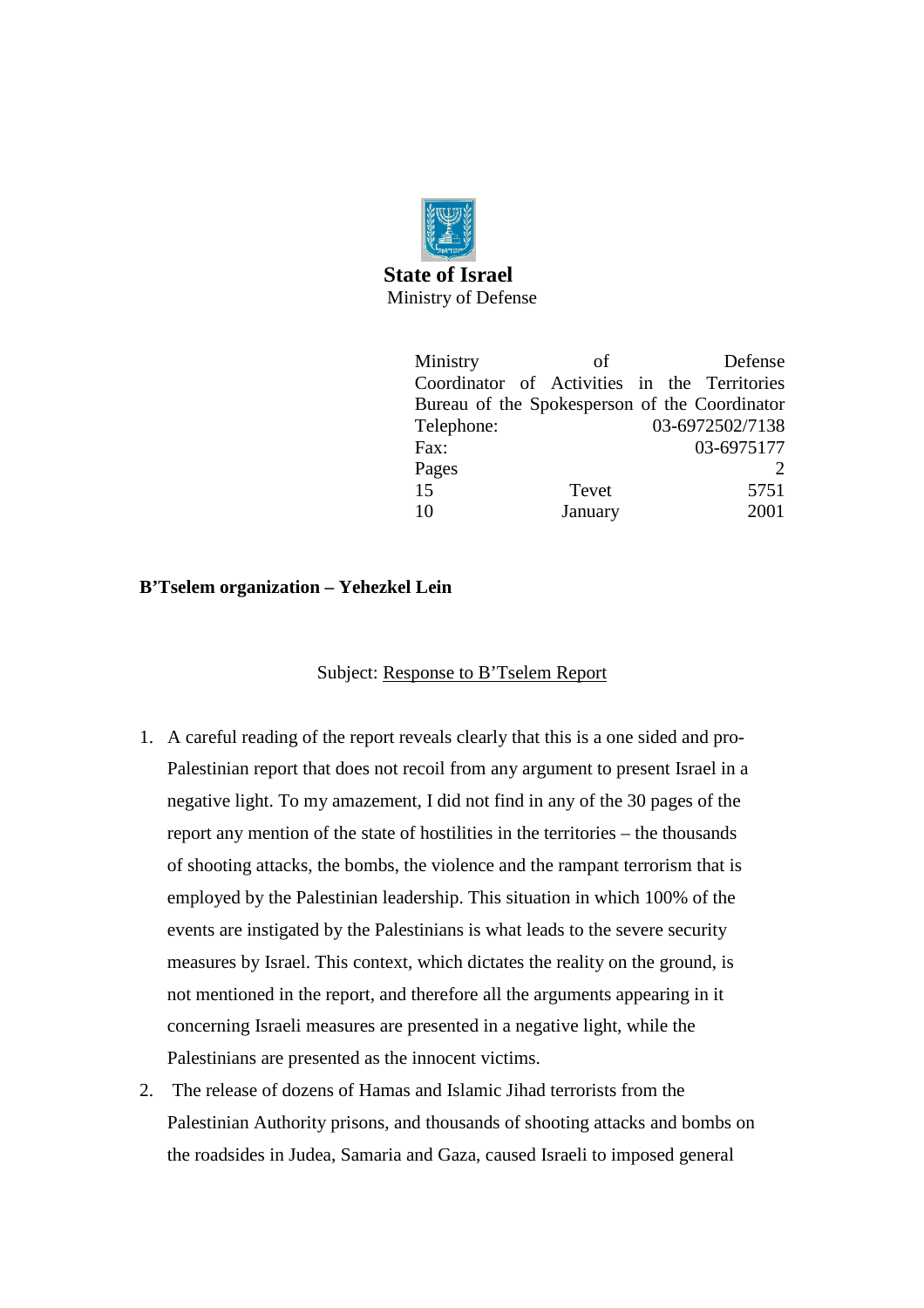

# **State of Israel**  Ministry of Defense

| Ministry   | οf                                            |  | Defense         |
|------------|-----------------------------------------------|--|-----------------|
|            | Coordinator of Activities in the Territories  |  |                 |
|            | Bureau of the Spokesperson of the Coordinator |  |                 |
| Telephone: |                                               |  | 03-6972502/7138 |
| Fax:       |                                               |  | 03-6975177      |
| Pages      |                                               |  |                 |
| 15         | Tevet                                         |  | 5751            |
| 10         | January                                       |  | 2001            |

# **B'Tselem organization – Yehezkel Lein**

# Subject: Response to B'Tselem Report

- 1. A careful reading of the report reveals clearly that this is a one sided and pro-Palestinian report that does not recoil from any argument to present Israel in a negative light. To my amazement, I did not find in any of the 30 pages of the report any mention of the state of hostilities in the territories – the thousands of shooting attacks, the bombs, the violence and the rampant terrorism that is employed by the Palestinian leadership. This situation in which 100% of the events are instigated by the Palestinians is what leads to the severe security measures by Israel. This context, which dictates the reality on the ground, is not mentioned in the report, and therefore all the arguments appearing in it concerning Israeli measures are presented in a negative light, while the Palestinians are presented as the innocent victims.
- 2. The release of dozens of Hamas and Islamic Jihad terrorists from the Palestinian Authority prisons, and thousands of shooting attacks and bombs on the roadsides in Judea, Samaria and Gaza, caused Israeli to imposed general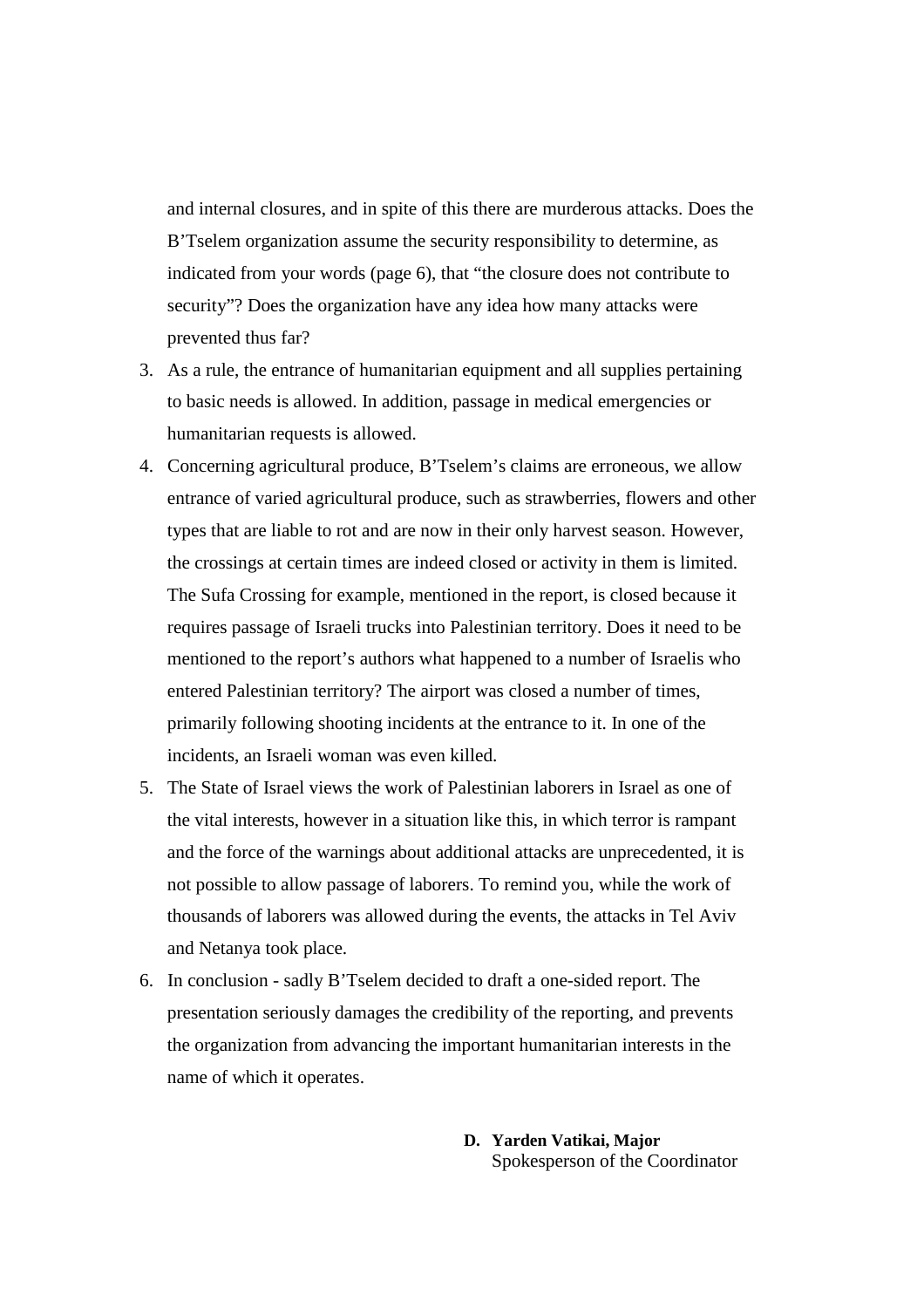and internal closures, and in spite of this there are murderous attacks. Does the B'Tselem organization assume the security responsibility to determine, as indicated from your words (page 6), that "the closure does not contribute to security"? Does the organization have any idea how many attacks were prevented thus far?

- 3. As a rule, the entrance of humanitarian equipment and all supplies pertaining to basic needs is allowed. In addition, passage in medical emergencies or humanitarian requests is allowed.
- 4. Concerning agricultural produce, B'Tselem's claims are erroneous, we allow entrance of varied agricultural produce, such as strawberries, flowers and other types that are liable to rot and are now in their only harvest season. However, the crossings at certain times are indeed closed or activity in them is limited. The Sufa Crossing for example, mentioned in the report, is closed because it requires passage of Israeli trucks into Palestinian territory. Does it need to be mentioned to the report's authors what happened to a number of Israelis who entered Palestinian territory? The airport was closed a number of times, primarily following shooting incidents at the entrance to it. In one of the incidents, an Israeli woman was even killed.
- 5. The State of Israel views the work of Palestinian laborers in Israel as one of the vital interests, however in a situation like this, in which terror is rampant and the force of the warnings about additional attacks are unprecedented, it is not possible to allow passage of laborers. To remind you, while the work of thousands of laborers was allowed during the events, the attacks in Tel Aviv and Netanya took place.
- 6. In conclusion sadly B'Tselem decided to draft a one-sided report. The presentation seriously damages the credibility of the reporting, and prevents the organization from advancing the important humanitarian interests in the name of which it operates.
	- **D. Yarden Vatikai, Major**  Spokesperson of the Coordinator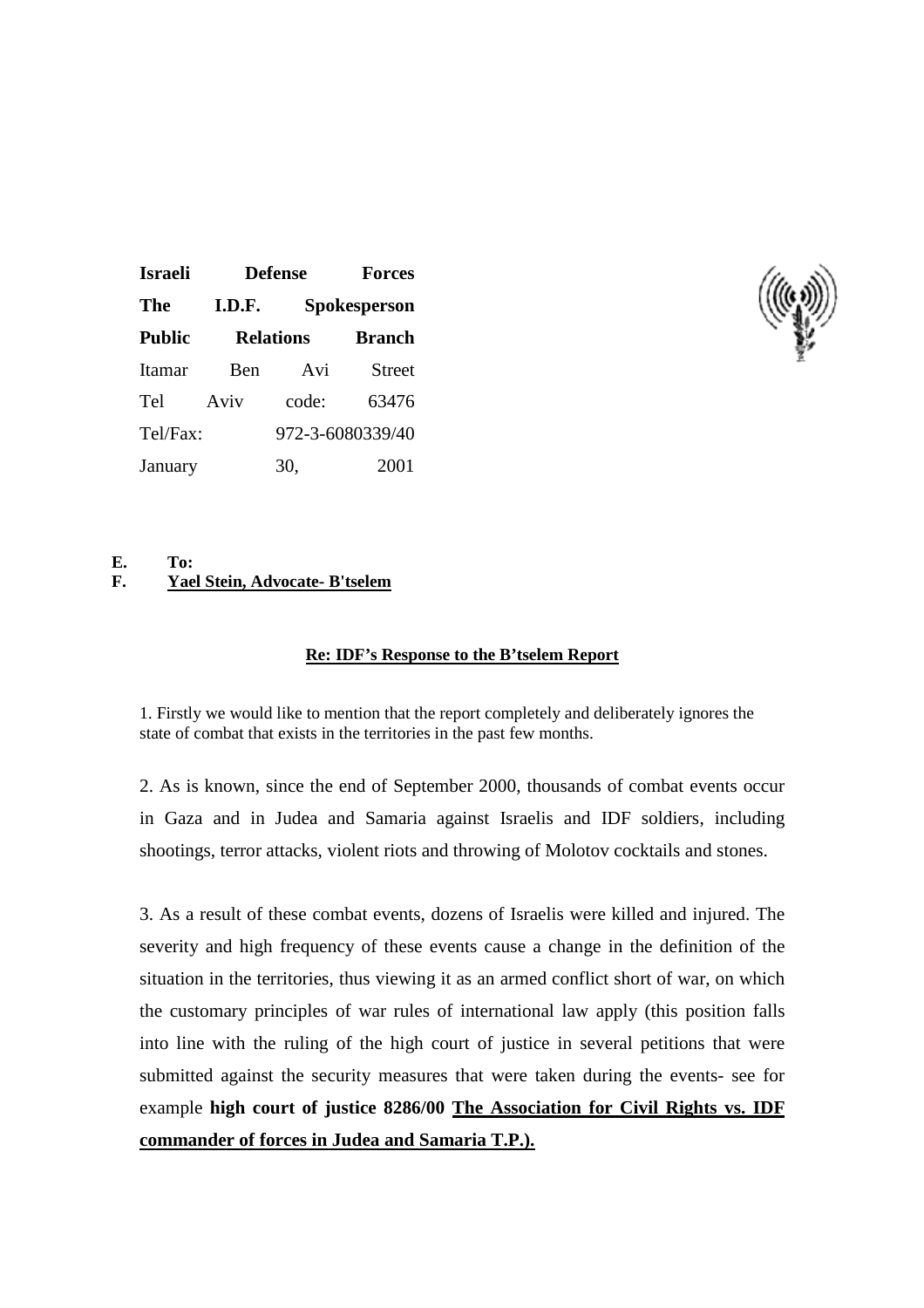| <b>Israeli</b> |        | <b>Defense</b>   |                     |
|----------------|--------|------------------|---------------------|
| The            | I.D.F. |                  | <b>Spokesperson</b> |
| <b>Public</b>  |        | <b>Relations</b> | <b>Branch</b>       |
| Itamar         | Ben    | Avi              | <b>Street</b>       |
| Tel            | Aviv   | code:            | 63476               |
| Tel/Fax:       |        |                  | 972-3-6080339/40    |
| January        |        | 30.              | 2001                |



## **E. To: F. Yael Stein, Advocate- B'tselem**

## **Re: IDF's Response to the B'tselem Report**

1. Firstly we would like to mention that the report completely and deliberately ignores the state of combat that exists in the territories in the past few months.

2. As is known, since the end of September 2000, thousands of combat events occur in Gaza and in Judea and Samaria against Israelis and IDF soldiers, including shootings, terror attacks, violent riots and throwing of Molotov cocktails and stones.

3. As a result of these combat events, dozens of Israelis were killed and injured. The severity and high frequency of these events cause a change in the definition of the situation in the territories, thus viewing it as an armed conflict short of war, on which the customary principles of war rules of international law apply (this position falls into line with the ruling of the high court of justice in several petitions that were submitted against the security measures that were taken during the events- see for example **high court of justice 8286/00 The Association for Civil Rights vs. IDF commander of forces in Judea and Samaria T.P.).**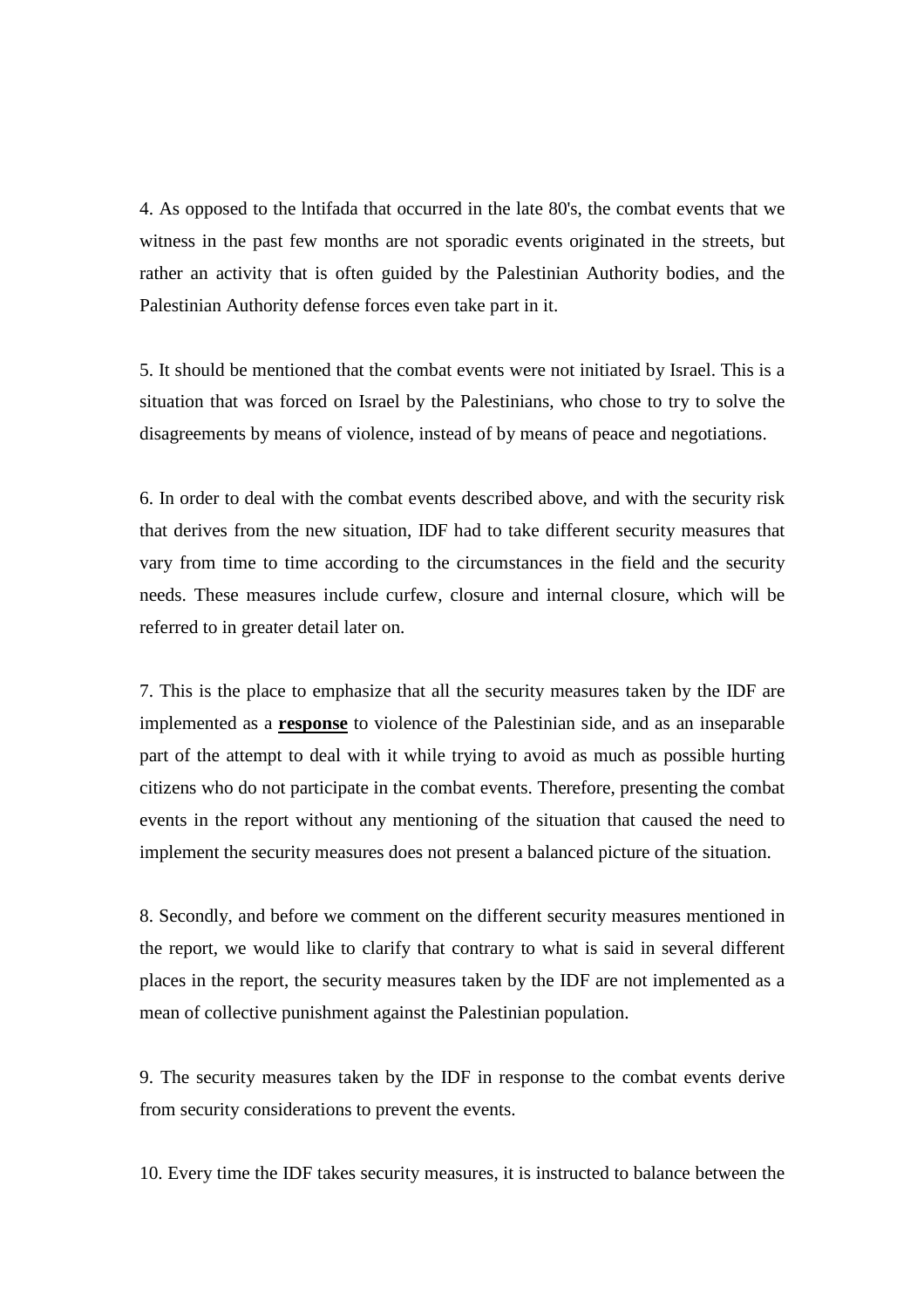4. As opposed to the lntifada that occurred in the late 80's, the combat events that we witness in the past few months are not sporadic events originated in the streets, but rather an activity that is often guided by the Palestinian Authority bodies, and the Palestinian Authority defense forces even take part in it.

5. It should be mentioned that the combat events were not initiated by Israel. This is a situation that was forced on Israel by the Palestinians, who chose to try to solve the disagreements by means of violence, instead of by means of peace and negotiations.

6. In order to deal with the combat events described above, and with the security risk that derives from the new situation, IDF had to take different security measures that vary from time to time according to the circumstances in the field and the security needs. These measures include curfew, closure and internal closure, which will be referred to in greater detail later on.

7. This is the place to emphasize that all the security measures taken by the IDF are implemented as a **response** to violence of the Palestinian side, and as an inseparable part of the attempt to deal with it while trying to avoid as much as possible hurting citizens who do not participate in the combat events. Therefore, presenting the combat events in the report without any mentioning of the situation that caused the need to implement the security measures does not present a balanced picture of the situation.

8. Secondly, and before we comment on the different security measures mentioned in the report, we would like to clarify that contrary to what is said in several different places in the report, the security measures taken by the IDF are not implemented as a mean of collective punishment against the Palestinian population.

9. The security measures taken by the IDF in response to the combat events derive from security considerations to prevent the events.

10. Every time the IDF takes security measures, it is instructed to balance between the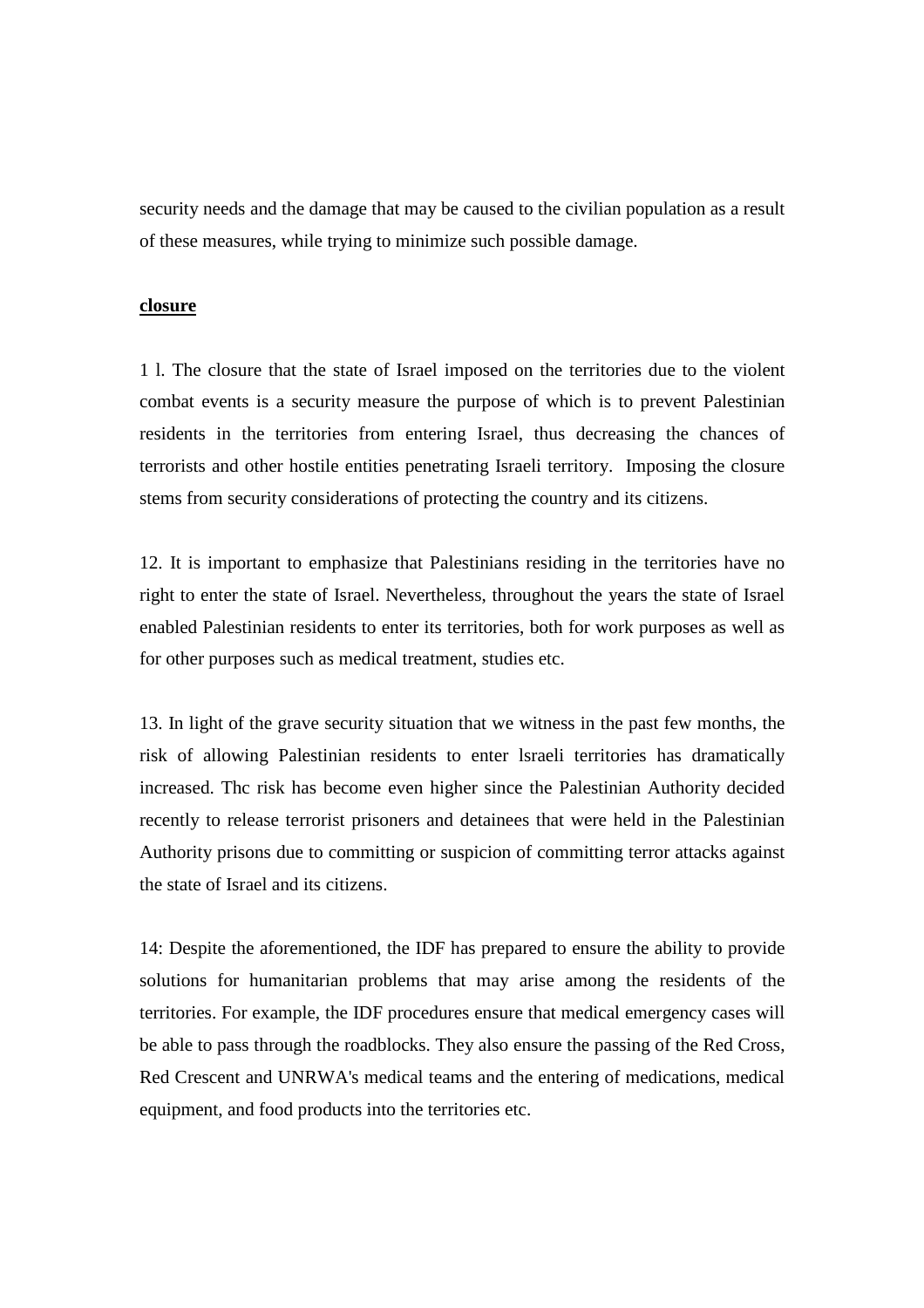security needs and the damage that may be caused to the civilian population as a result of these measures, while trying to minimize such possible damage.

## **closure**

1 l. The closure that the state of Israel imposed on the territories due to the violent combat events is a security measure the purpose of which is to prevent Palestinian residents in the territories from entering Israel, thus decreasing the chances of terrorists and other hostile entities penetrating Israeli territory. Imposing the closure stems from security considerations of protecting the country and its citizens.

12. It is important to emphasize that Palestinians residing in the territories have no right to enter the state of Israel. Nevertheless, throughout the years the state of Israel enabled Palestinian residents to enter its territories, both for work purposes as well as for other purposes such as medical treatment, studies etc.

13. In light of the grave security situation that we witness in the past few months, the risk of allowing Palestinian residents to enter lsraeli territories has dramatically increased. Thc risk has become even higher since the Palestinian Authority decided recently to release terrorist prisoners and detainees that were held in the Palestinian Authority prisons due to committing or suspicion of committing terror attacks against the state of Israel and its citizens.

14: Despite the aforementioned, the IDF has prepared to ensure the ability to provide solutions for humanitarian problems that may arise among the residents of the territories. For example, the IDF procedures ensure that medical emergency cases will be able to pass through the roadblocks. They also ensure the passing of the Red Cross, Red Crescent and UNRWA's medical teams and the entering of medications, medical equipment, and food products into the territories etc.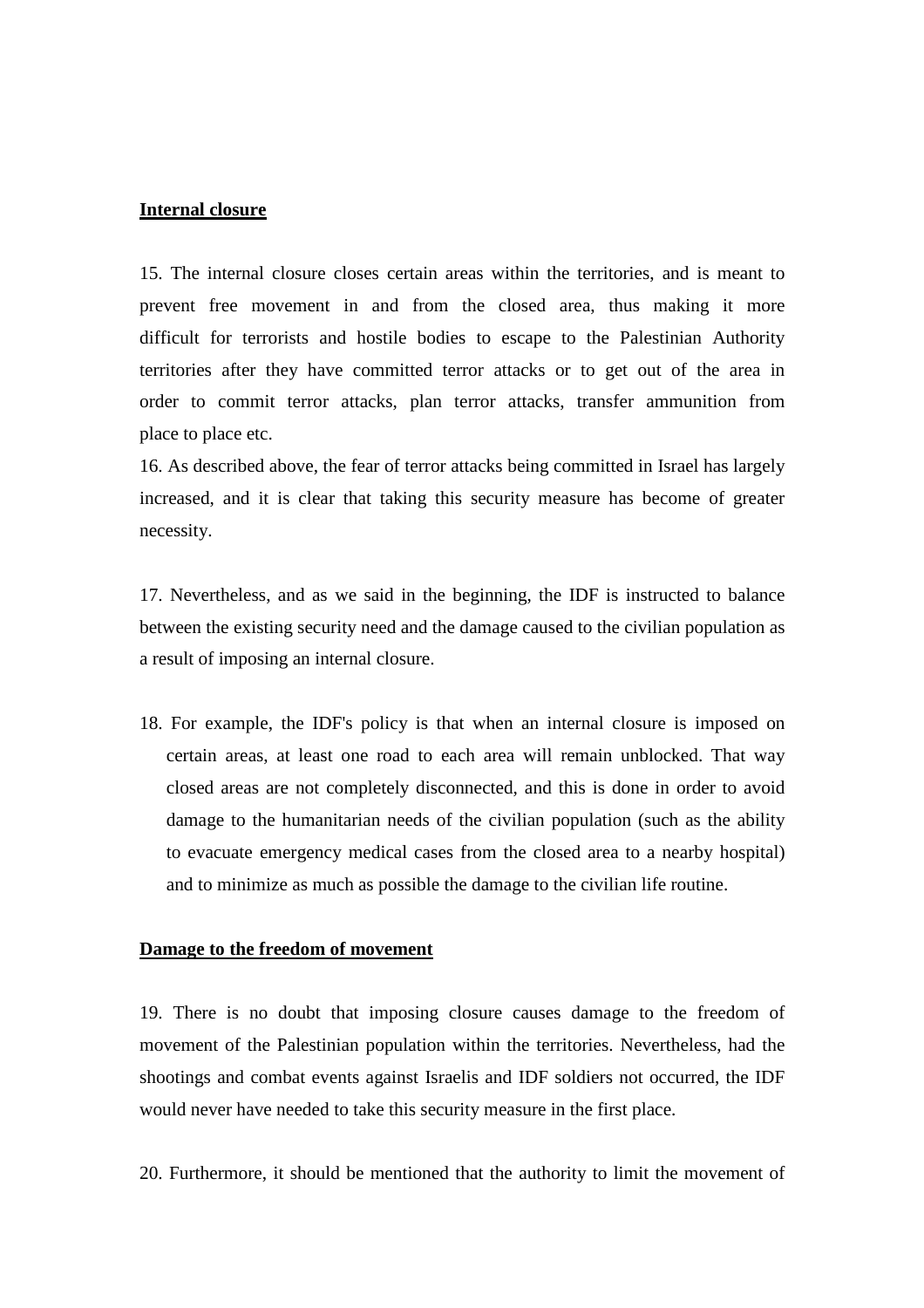#### **Internal closure**

15. The internal closure closes certain areas within the territories, and is meant to prevent free movement in and from the closed area, thus making it more difficult for terrorists and hostile bodies to escape to the Palestinian Authority territories after they have committed terror attacks or to get out of the area in order to commit terror attacks, plan terror attacks, transfer ammunition from place to place etc.

16. As described above, the fear of terror attacks being committed in Israel has largely increased, and it is clear that taking this security measure has become of greater necessity.

17. Nevertheless, and as we said in the beginning, the IDF is instructed to balance between the existing security need and the damage caused to the civilian population as a result of imposing an internal closure.

18. For example, the IDF's policy is that when an internal closure is imposed on certain areas, at least one road to each area will remain unblocked. That way closed areas are not completely disconnected, and this is done in order to avoid damage to the humanitarian needs of the civilian population (such as the ability to evacuate emergency medical cases from the closed area to a nearby hospital) and to minimize as much as possible the damage to the civilian life routine.

## **Damage to the freedom of movement**

19. There is no doubt that imposing closure causes damage to the freedom of movement of the Palestinian population within the territories. Nevertheless, had the shootings and combat events against Israelis and IDF soldiers not occurred, the IDF would never have needed to take this security measure in the first place.

20. Furthermore, it should be mentioned that the authority to limit the movement of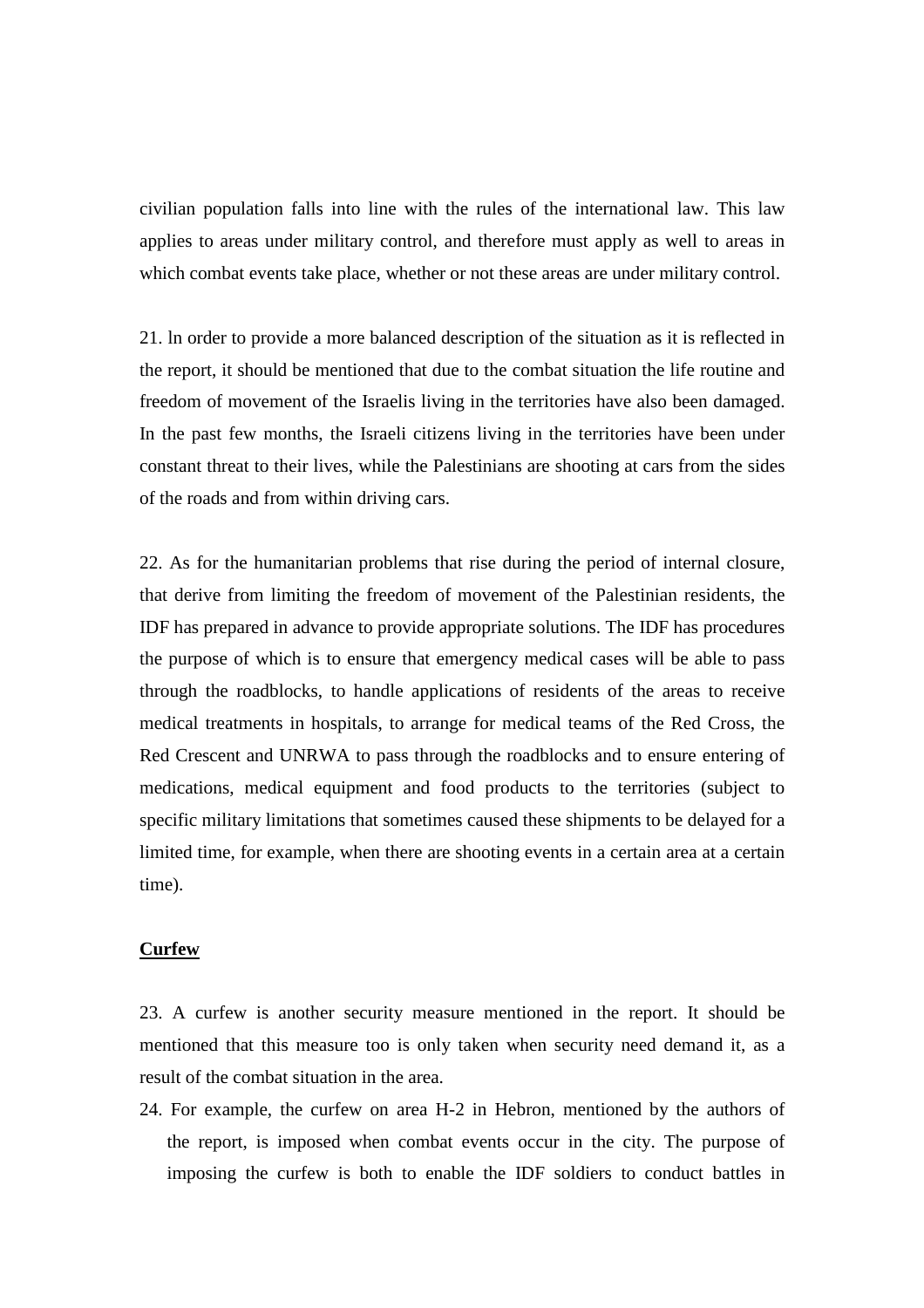civilian population falls into line with the rules of the international law. This law applies to areas under military control, and therefore must apply as well to areas in which combat events take place, whether or not these areas are under military control.

21. ln order to provide a more balanced description of the situation as it is reflected in the report, it should be mentioned that due to the combat situation the life routine and freedom of movement of the Israelis living in the territories have also been damaged. In the past few months, the Israeli citizens living in the territories have been under constant threat to their lives, while the Palestinians are shooting at cars from the sides of the roads and from within driving cars.

22. As for the humanitarian problems that rise during the period of internal closure, that derive from limiting the freedom of movement of the Palestinian residents, the IDF has prepared in advance to provide appropriate solutions. The IDF has procedures the purpose of which is to ensure that emergency medical cases will be able to pass through the roadblocks, to handle applications of residents of the areas to receive medical treatments in hospitals, to arrange for medical teams of the Red Cross, the Red Crescent and UNRWA to pass through the roadblocks and to ensure entering of medications, medical equipment and food products to the territories (subject to specific military limitations that sometimes caused these shipments to be delayed for a limited time, for example, when there are shooting events in a certain area at a certain time).

## **Curfew**

23. A curfew is another security measure mentioned in the report. It should be mentioned that this measure too is only taken when security need demand it, as a result of the combat situation in the area.

24. For example, the curfew on area H-2 in Hebron, mentioned by the authors of the report, is imposed when combat events occur in the city. The purpose of imposing the curfew is both to enable the IDF soldiers to conduct battles in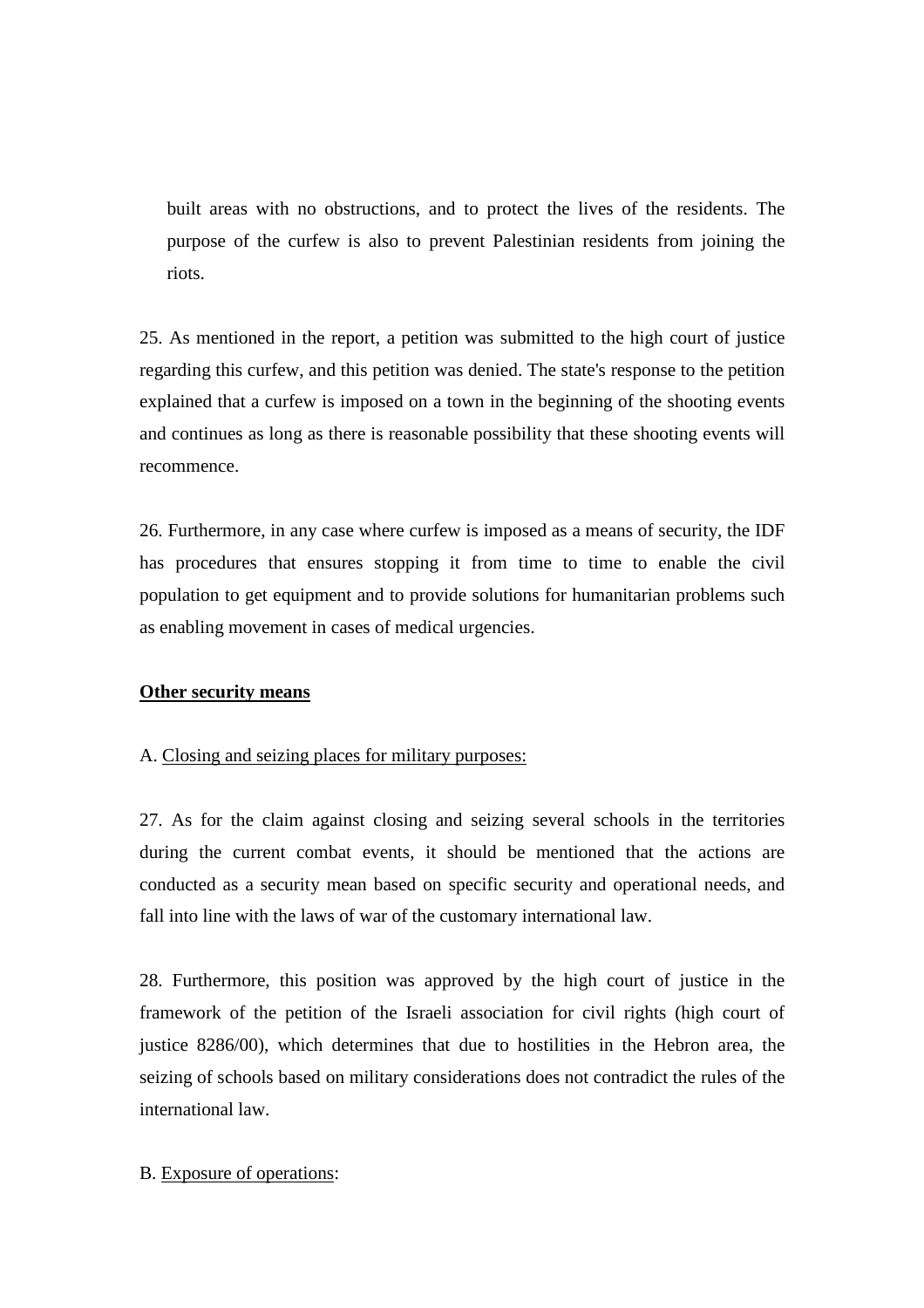built areas with no obstructions, and to protect the lives of the residents. The purpose of the curfew is also to prevent Palestinian residents from joining the riots.

25. As mentioned in the report, a petition was submitted to the high court of justice regarding this curfew, and this petition was denied. The state's response to the petition explained that a curfew is imposed on a town in the beginning of the shooting events and continues as long as there is reasonable possibility that these shooting events will recommence.

26. Furthermore, in any case where curfew is imposed as a means of security, the IDF has procedures that ensures stopping it from time to time to enable the civil population to get equipment and to provide solutions for humanitarian problems such as enabling movement in cases of medical urgencies.

## **Other security means**

### A. Closing and seizing places for military purposes:

27. As for the claim against closing and seizing several schools in the territories during the current combat events, it should be mentioned that the actions are conducted as a security mean based on specific security and operational needs, and fall into line with the laws of war of the customary international law.

28. Furthermore, this position was approved by the high court of justice in the framework of the petition of the Israeli association for civil rights (high court of justice 8286/00), which determines that due to hostilities in the Hebron area, the seizing of schools based on military considerations does not contradict the rules of the international law.

## B. Exposure of operations: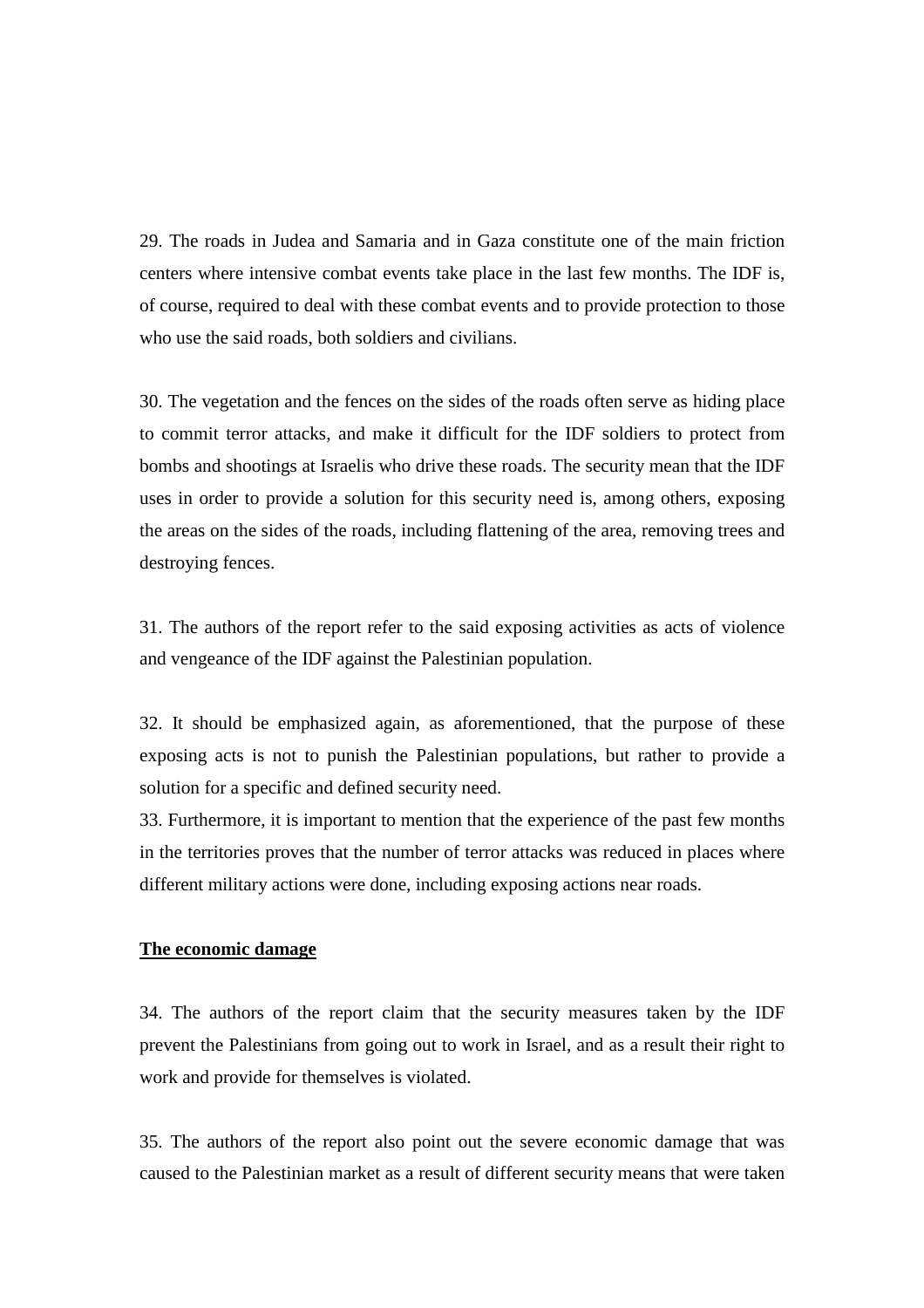29. The roads in Judea and Samaria and in Gaza constitute one of the main friction centers where intensive combat events take place in the last few months. The IDF is, of course, required to deal with these combat events and to provide protection to those who use the said roads, both soldiers and civilians.

30. The vegetation and the fences on the sides of the roads often serve as hiding place to commit terror attacks, and make it difficult for the IDF soldiers to protect from bombs and shootings at Israelis who drive these roads. The security mean that the IDF uses in order to provide a solution for this security need is, among others, exposing the areas on the sides of the roads, including flattening of the area, removing trees and destroying fences.

31. The authors of the report refer to the said exposing activities as acts of violence and vengeance of the IDF against the Palestinian population.

32. It should be emphasized again, as aforementioned, that the purpose of these exposing acts is not to punish the Palestinian populations, but rather to provide a solution for a specific and defined security need.

33. Furthermore, it is important to mention that the experience of the past few months in the territories proves that the number of terror attacks was reduced in places where different military actions were done, including exposing actions near roads.

# **The economic damage**

34. The authors of the report claim that the security measures taken by the IDF prevent the Palestinians from going out to work in Israel, and as a result their right to work and provide for themselves is violated.

35. The authors of the report also point out the severe economic damage that was caused to the Palestinian market as a result of different security means that were taken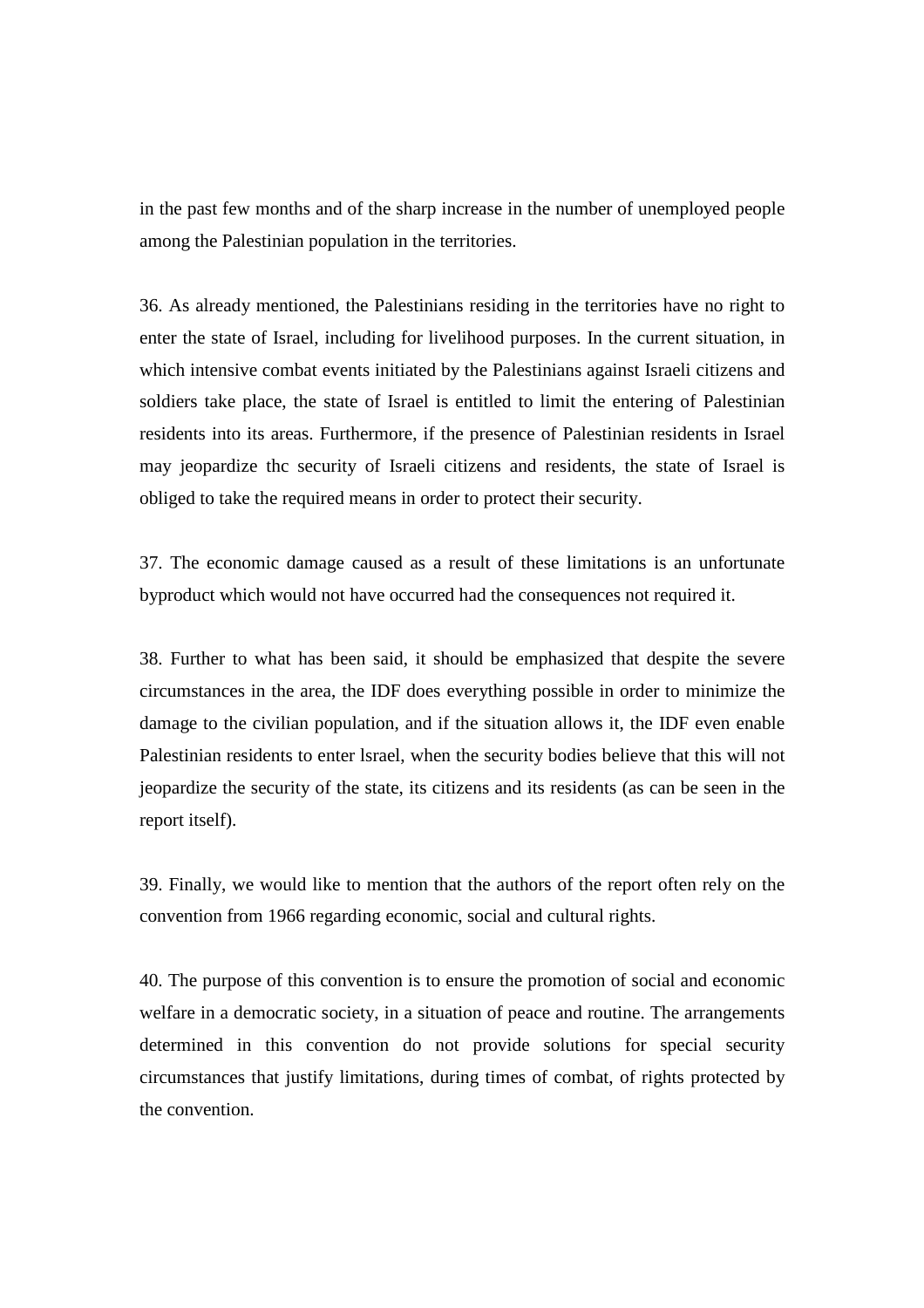in the past few months and of the sharp increase in the number of unemployed people among the Palestinian population in the territories.

36. As already mentioned, the Palestinians residing in the territories have no right to enter the state of Israel, including for livelihood purposes. In the current situation, in which intensive combat events initiated by the Palestinians against Israeli citizens and soldiers take place, the state of Israel is entitled to limit the entering of Palestinian residents into its areas. Furthermore, if the presence of Palestinian residents in Israel may jeopardize thc security of Israeli citizens and residents, the state of Israel is obliged to take the required means in order to protect their security.

37. The economic damage caused as a result of these limitations is an unfortunate byproduct which would not have occurred had the consequences not required it.

38. Further to what has been said, it should be emphasized that despite the severe circumstances in the area, the IDF does everything possible in order to minimize the damage to the civilian population, and if the situation allows it, the IDF even enable Palestinian residents to enter lsrael, when the security bodies believe that this will not jeopardize the security of the state, its citizens and its residents (as can be seen in the report itself).

39. Finally, we would like to mention that the authors of the report often rely on the convention from 1966 regarding economic, social and cultural rights.

40. The purpose of this convention is to ensure the promotion of social and economic welfare in a democratic society, in a situation of peace and routine. The arrangements determined in this convention do not provide solutions for special security circumstances that justify limitations, during times of combat, of rights protected by the convention.